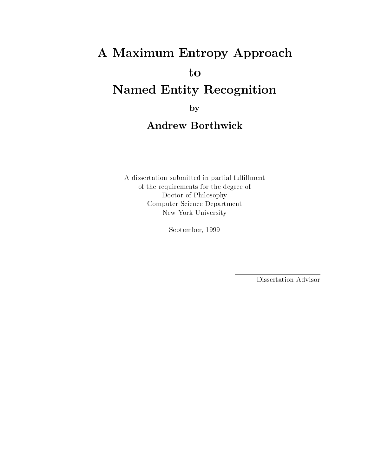## A Maximum Entropy Approach to Named Entity Recognition

by

A dissertation submitted in partial fulllment of the requirements for the degree of Doctor of Philosophy Computer Science Department New York University

September, 1999

Dissertation Advisor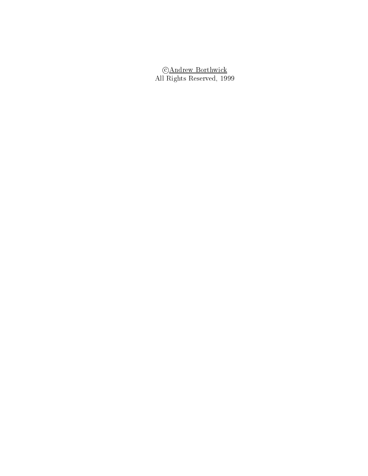**CAndrew Borthwick** ----*-*-----------------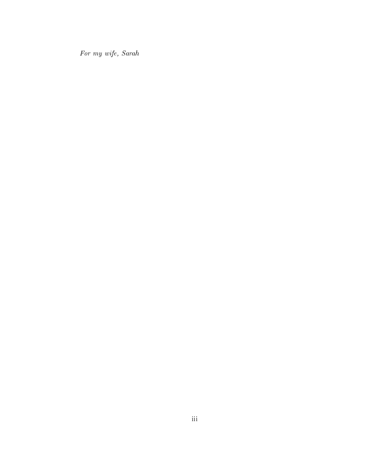For my wife, Sarah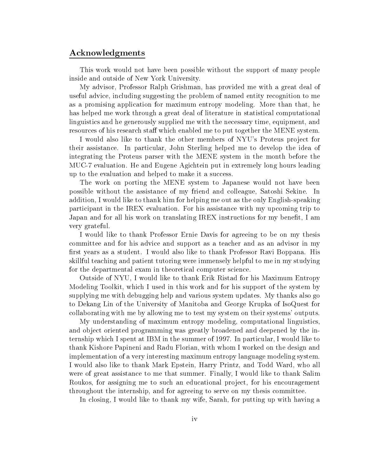#### Acknowledgments

This work would not have been possible without the support of many people inside and outside of New York University.

My advisor, Professor Ralph Grishman, has provided me with a great deal of useful advice, including suggesting the problem of named entity recognition to me as a promising application for maximum entropy modeling. More than that, he has helped me work through a great deal of literature in statistical computational linguistics and he generously supplied me with the necessary time, equipment, and resources of his research staff which enabled me to put together the MENE system.

I would also like to thank the other members of NYU's Proteus project for their assistance. In particular, John Sterling helped me to develop the idea of integrating the Proteus parser with the MENE system in the month before the MUC-7 evaluation. He and Eugene Agichtein put in extremely long hours leading up to the evaluation and helped to make it a success.

The work on porting the MENE system to Japanese would not have been possible without the assistance of my friend and colleague, Satoshi Sekine. In addition, I would like to thank him for helping me out as the only English-speaking participant in the IREX evaluation. For his assistance with my upcoming trip to Japan and for all his work on translating IREX instructions for my benefit, I am very grateful.

I would like to thank Professor Ernie Davis for agreeing to be on my thesis committee and for his advice and support as a teacher and as an advisor in my first years as a student. I would also like to thank Professor Ravi Boppana. His skillful teaching and patient tutoring were immensely helpful to me in my studying for the departmental exam in theoretical computer science.

Outside of NYU, I would like to thank Erik Ristad for his Maximum Entropy Modeling Toolkit, which I used in this work and for his support of the system by supplying me with debugging help and various system updates. My thanks also go to Dekang Lin of the University of Manitoba and George Krupka of IsoQuest for collaborating with me by allowing me to test my system on their systems' outputs.

My understanding of maximum entropy modeling, computational linguistics, and object oriented programming was greatly broadened and deepened by the internship which I spent at IBM in the summer of 1997. In particular, I would like to thank Kishore Papineni and Radu Florian, with whom I worked on the design and implementation of a very interesting maximum entropy language modeling system. I would also like to thank Mark Epstein, Harry Printz, and Todd Ward, who all were of great assistance to me that summer. Finally, I would like to thank Salim Roukos, for assigning me to such an educational project, for his encouragement throughout the internship, and for agreeing to serve on my thesis committee.

In closing, I would like to thank my wife, Sarah, for putting up with having a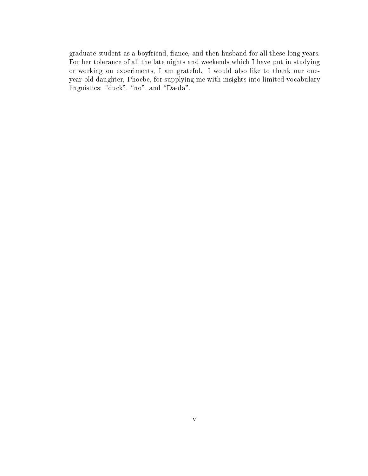graduate student as a boyfriend, ance, and then husband for all these long years. For her tolerance of all the late nights and weekends which I have put in studying or working on experiments, I am grateful. I would also like to thank our oneyear-old daughter, Phoebe, for supplying me with insights into limited-vocabulary linguistics: "duck", "no", and "Da-da".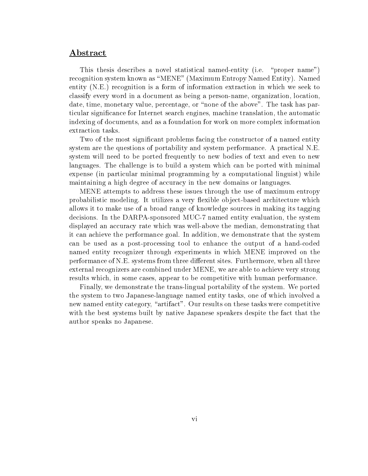#### Abstract

This thesis describes a novel statistical named-entity (i.e. "proper name") recognition system known as \MENE" (Maximum Entropy Named Entity). Named entity (N.E.) recognition is a form of information extraction in which we seek to classify every word in a document as being a person-name, organization, location, date, time, monetary value, percentage, or "none of the above". The task has particular signicance for Internet search engines, machine translation, the automatic indexing of documents, and as a foundation for work on more complex information extraction tasks.

Two of the most significant problems facing the constructor of a named entity system are the questions of portability and system performance. A practical N.E. system will need to be ported frequently to new bodies of text and even to new languages. The challenge is to build a system which can be ported with minimal expense (in particular minimal programming by a computational linguist) while maintaining a high degree of accuracy in the new domains or languages.

MENE attempts to address these issues through the use of maximum entropy probabilistic modeling. It utilizes a very flexible object-based architecture which allows it to make use of a broad range of knowledge sources in making its tagging decisions. In the DARPA-sponsored MUC-7 named entity evaluation, the system displayed an accuracy rate which was well-above the median, demonstrating that it can achieve the performance goal. In addition, we demonstrate that the system can be used as a post-processing tool to enhance the output of a hand-coded named entity recognizer through experiments in which MENE improved on the performance of N.E. systems from three different sites. Furthermore, when all three external recognizers are combined under MENE, we are able to achieve very strong results which, in some cases, appear to be competitive with human performance.

Finally, we demonstrate the trans-lingual portability of the system. We ported the system to two Japanese-language named entity tasks, one of which involved a new named entity category, "artifact". Our results on these tasks were competitive with the best systems built by native Japanese speakers despite the fact that the author speaks no Japanese.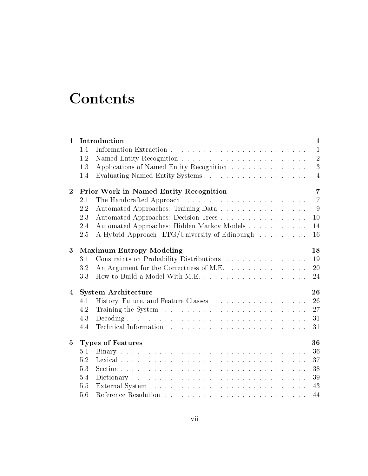## **Contents**

| $\mathbf{1}$   | Introduction                                  |                                                                                                                                                                                                                               | $\mathbf{1}$   |  |
|----------------|-----------------------------------------------|-------------------------------------------------------------------------------------------------------------------------------------------------------------------------------------------------------------------------------|----------------|--|
|                | 1.1                                           |                                                                                                                                                                                                                               | $\mathbf{1}$   |  |
|                | 1.2                                           |                                                                                                                                                                                                                               | $\overline{2}$ |  |
|                | 1.3                                           | Applications of Named Entity Recognition                                                                                                                                                                                      | 3              |  |
|                | 1.4                                           |                                                                                                                                                                                                                               | $\overline{4}$ |  |
| $\overline{2}$ | <b>Prior Work in Named Entity Recognition</b> | 7                                                                                                                                                                                                                             |                |  |
|                | 2.1                                           |                                                                                                                                                                                                                               | $\overline{7}$ |  |
|                | 2.2                                           | Automated Approaches: Training Data                                                                                                                                                                                           | 9              |  |
|                | 2.3                                           | Automated Approaches: Decision Trees                                                                                                                                                                                          | 10             |  |
|                | 2.4                                           | Automated Approaches: Hidden Markov Models                                                                                                                                                                                    | 14             |  |
|                | 2.5                                           | A Hybrid Approach: LTG/University of Edinburgh                                                                                                                                                                                | 16             |  |
| 3              | <b>Maximum Entropy Modeling</b>               |                                                                                                                                                                                                                               | 18             |  |
|                | 3.1                                           | Constraints on Probability Distributions                                                                                                                                                                                      | 19             |  |
|                | 3.2                                           | An Argument for the Correctness of M.E.                                                                                                                                                                                       | 20             |  |
|                | 3.3                                           |                                                                                                                                                                                                                               | 24             |  |
| 4              |                                               | <b>System Architecture</b>                                                                                                                                                                                                    | 26             |  |
|                | 4.1                                           |                                                                                                                                                                                                                               | 26             |  |
|                | 4.2                                           |                                                                                                                                                                                                                               | 27             |  |
|                | 4.3                                           |                                                                                                                                                                                                                               | 31             |  |
|                | 4.4                                           | Technical Information resources in the set of the set of the set of the set of the set of the set of the set of the set of the set of the set of the set of the set of the set of the set of the set of the set of the set of | 31             |  |
|                |                                               |                                                                                                                                                                                                                               | 36             |  |
| $\bf{5}$       |                                               | <b>Types of Features</b>                                                                                                                                                                                                      |                |  |
|                | 5.1                                           |                                                                                                                                                                                                                               | 36             |  |
|                | 5.2                                           |                                                                                                                                                                                                                               | 37             |  |
|                | 5.3                                           |                                                                                                                                                                                                                               | 38             |  |
|                | 5.4                                           |                                                                                                                                                                                                                               | 39             |  |
|                | 5.5                                           |                                                                                                                                                                                                                               | 43             |  |
|                | 5.6                                           |                                                                                                                                                                                                                               | 44             |  |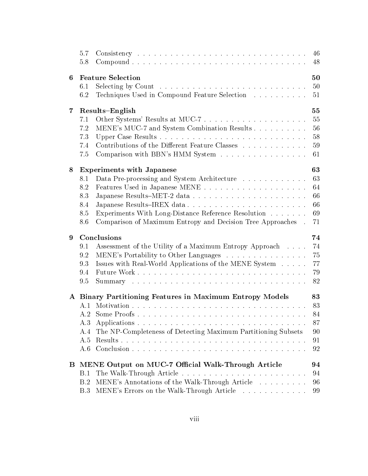|                         | 5.7<br>5.8                                               |                                                                                                                     | 46<br>48 |  |
|-------------------------|----------------------------------------------------------|---------------------------------------------------------------------------------------------------------------------|----------|--|
| 6                       | <b>Feature Selection</b>                                 |                                                                                                                     |          |  |
|                         | 6.1                                                      |                                                                                                                     | 50       |  |
|                         | 6.2                                                      | Techniques Used in Compound Feature Selection                                                                       | 51       |  |
| $\overline{\mathbf{7}}$ |                                                          | Results-English                                                                                                     |          |  |
|                         | 7.1                                                      | Other Systems' Results at MUC-7                                                                                     | 55       |  |
|                         | 7.2                                                      | MENE's MUC-7 and System Combination Results                                                                         | 56       |  |
|                         | 7.3                                                      |                                                                                                                     | 58       |  |
|                         | 7.4                                                      | Contributions of the Different Feature Classes                                                                      | 59       |  |
|                         | 7.5                                                      | Comparison with BBN's HMM System                                                                                    | 61       |  |
| 8                       | <b>Experiments with Japanese</b>                         |                                                                                                                     |          |  |
|                         | 8.1                                                      | Data Pre-processing and System Architecture                                                                         | 63       |  |
|                         | 8.2                                                      |                                                                                                                     | 64       |  |
|                         | 8.3                                                      |                                                                                                                     | 66       |  |
|                         | 8.4                                                      |                                                                                                                     | 66       |  |
|                         | 8.5<br>8.6                                               | Experiments With Long-Distance Reference Resolution<br>Comparison of Maximum Entropy and Decision Tree Approaches . | 69<br>71 |  |
|                         |                                                          |                                                                                                                     |          |  |
| 9                       |                                                          | Conclusions                                                                                                         | 74       |  |
|                         | 9.1                                                      | Assessment of the Utility of a Maximum Entropy Approach                                                             | 74       |  |
|                         | 9.2                                                      | MENE's Portability to Other Languages                                                                               | 75       |  |
|                         | 9.3                                                      | Issues with Real-World Applications of the MENE System                                                              | 77       |  |
|                         | 9.4                                                      |                                                                                                                     | 79       |  |
|                         | 9.5                                                      |                                                                                                                     | 82       |  |
|                         | A Binary Partitioning Features in Maximum Entropy Models |                                                                                                                     |          |  |
|                         | A.1                                                      |                                                                                                                     | 83       |  |
|                         | A.2                                                      | Some Proofs                                                                                                         | 84       |  |
|                         | A.3                                                      |                                                                                                                     | 87       |  |
|                         | A.4                                                      | The NP-Completeness of Detecting Maximum Partitioning Subsets                                                       | 90       |  |
|                         | A.5                                                      |                                                                                                                     | 91       |  |
|                         | A.6                                                      |                                                                                                                     | 92       |  |
| $\bf{B}$                |                                                          | MENE Output on MUC-7 Official Walk-Through Article                                                                  | 94       |  |
|                         | B.1                                                      |                                                                                                                     | 94       |  |
|                         | B.2                                                      | MENE's Annotations of the Walk-Through Article                                                                      | 96       |  |
|                         | B.3                                                      | MENE's Errors on the Walk-Through Article                                                                           | 99       |  |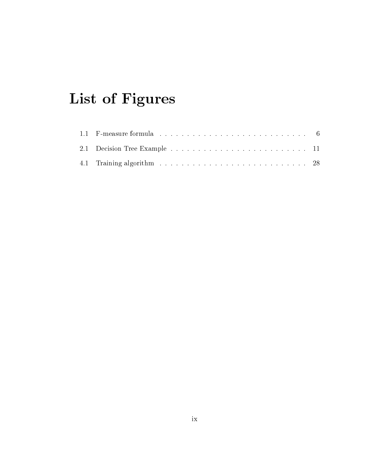## List of Figures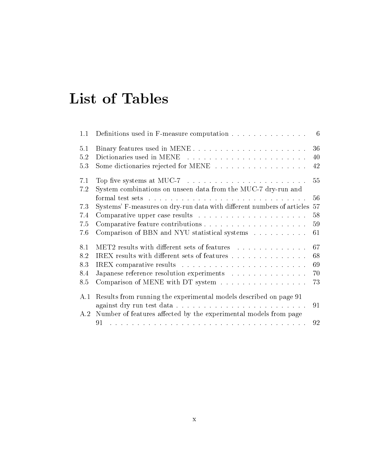## List of Tables

| 1.1                                                                      |                                                                                                                                                                                                                                                                                                                                                                                                                |
|--------------------------------------------------------------------------|----------------------------------------------------------------------------------------------------------------------------------------------------------------------------------------------------------------------------------------------------------------------------------------------------------------------------------------------------------------------------------------------------------------|
|                                                                          |                                                                                                                                                                                                                                                                                                                                                                                                                |
|                                                                          |                                                                                                                                                                                                                                                                                                                                                                                                                |
|                                                                          |                                                                                                                                                                                                                                                                                                                                                                                                                |
| Top five systems at MUC-7 $\dots \dots \dots \dots \dots \dots \dots$    | 55                                                                                                                                                                                                                                                                                                                                                                                                             |
| System combinations on unseen data from the MUC-7 dry-run and            |                                                                                                                                                                                                                                                                                                                                                                                                                |
|                                                                          | 56                                                                                                                                                                                                                                                                                                                                                                                                             |
|                                                                          |                                                                                                                                                                                                                                                                                                                                                                                                                |
|                                                                          | 58                                                                                                                                                                                                                                                                                                                                                                                                             |
|                                                                          |                                                                                                                                                                                                                                                                                                                                                                                                                |
|                                                                          | 61                                                                                                                                                                                                                                                                                                                                                                                                             |
|                                                                          |                                                                                                                                                                                                                                                                                                                                                                                                                |
|                                                                          |                                                                                                                                                                                                                                                                                                                                                                                                                |
|                                                                          |                                                                                                                                                                                                                                                                                                                                                                                                                |
|                                                                          |                                                                                                                                                                                                                                                                                                                                                                                                                |
| Comparison of MENE with DT system                                        | 73                                                                                                                                                                                                                                                                                                                                                                                                             |
| Results from running the experimental models described on page 91<br>A.1 |                                                                                                                                                                                                                                                                                                                                                                                                                |
|                                                                          |                                                                                                                                                                                                                                                                                                                                                                                                                |
| A.2 Number of features affected by the experimental models from page     |                                                                                                                                                                                                                                                                                                                                                                                                                |
|                                                                          |                                                                                                                                                                                                                                                                                                                                                                                                                |
|                                                                          | Definitions used in F-measure computation $\ldots \ldots \ldots \ldots \ldots$ 6<br>Some dictionaries rejected for MENE 42<br>Systems' F-measures on dry-run data with different numbers of articles 57<br>Comparison of BBN and NYU statistical systems<br>MET2 results with different sets of features 67<br>IREX results with different sets of features 68<br>Japanese reference resolution experiments 70 |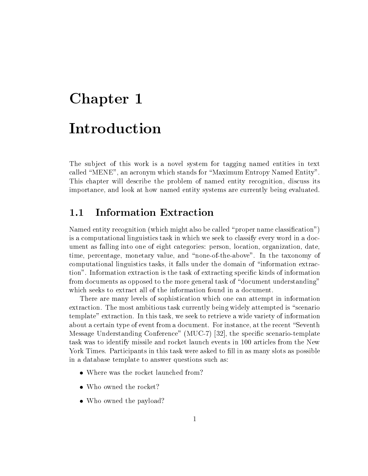# Chapter 1 Introduction

The sub ject of this work is a novel system for tagging named entities in text called "MENE", an acronym which stands for "Maximum Entropy Named Entity". This chapter will describe the problem of named entity recognition, discuss its importance, and look at how named entity systems are currently being evaluated.

### 1.1 Information Extraction

Named entity recognition (which might also be called "proper name classification") is a computational linguistics task in which we seek to classify every word in a document as falling into one of eight categories: person, location, organization, date, time, percentage, monetary value, and \none-of-the-above". In the taxonomy of computational linguistics tasks, it falls under the domain of \information extraction". Information extraction is the task of extracting specific kinds of information from documents as opposed to the more general task of "document understanding" which seeks to extract all of the information found in a document.

There are many levels of sophistication which one can attempt in information extraction. The most ambitious task currently being widely attempted is "scenario template" extraction. In this task, we seek to retrieve a wide variety of information about a certain type of event from a document. For instance, at the recent "Seventh Message Understanding Conference" (MUC-7) [32], the specic scenario-template task was to identify missile and rocket launch events in 100 articles from the New York Times. Participants in this task were asked to fill in as many slots as possible in a database template to answer questions such as:

- $\bullet$  where was the rocket launched from:
- $\bullet$  who owned the rocket:
- $\bullet\,$  who owned the payload: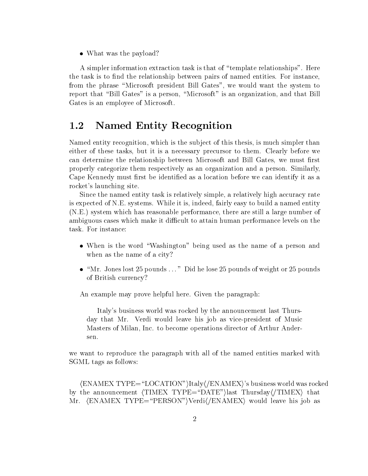$\bullet$  what was the payload:

A simpler information extraction task is that of \template relationships". Here the task is to find the relationship between pairs of named entities. For instance, from the phrase "Microsoft president Bill Gates", we would want the system to report that "Bill Gates" is a person, "Microsoft" is an organization, and that Bill Gates is an employee of Microsoft.

#### $1.2$ Named Entity Recognition

Named entity recognition, which is the subject of this thesis, is much simpler than either of these tasks, but it is a necessary precursor to them. Clearly before we can determine the relationship between Microsoft and Bill Gates, we must first properly categorize them respectively as an organization and a person. Similarly, Cape Kennedy must first be identified as a location before we can identify it as a rocket's launching site.

Since the named entity task is relatively simple, a relatively high accuracy rate is expected of N.E. systems. While it is, indeed, fairly easy to build a named entity (N.E.) system which has reasonable performance, there are still a large number of ambiguous cases which make it difficult to attain human performance levels on the task. For instance:

- $\bullet$  when is the word washington being used as the name of a person and when as the name of a city?
- $\bullet$  Mr. Jones lost 25 pounds  $\dots$  Did he lose 25 pounds of weight or 25 pounds  $\bullet$ of British currency?

An example may prove helpful here. Given the paragraph:

Italy's business world was rocked by the announcement last Thursday that Mr. Verdi would leave his job as vice-president of Music Masters of Milan, Inc. to become operations director of Arthur Andersen.

we want to reproduce the paragraph with all of the named entities marked with SGML tags as follows:

 $\langle$ ENAMEX TYPE="LOCATION")Italy $\langle$ /ENAMEX}'s business world was rocked by the announcement  $\langle \text{TIMEX} \text{ TYPE} = \text{"DATE} \rangle$  hast Thursday $\langle \text{TIMEX} \rangle$  that Mr. (ENAMEX TYPE="PERSON")Verdi(/ENAMEX) would leave his job as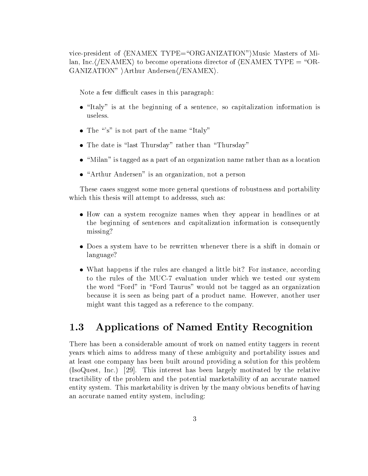vice-president of  $\langle$ ENAMEX TYPE="ORGANIZATION")Music Masters of Milan, Inc. $\langle$ /ENAMEX $\rangle$  to become operations director of  $\langle$ ENAMEX TYPE = "OR-GANIZATION" )Arthur Andersen(/ENAMEX).

Note a few difficult cases in this paragraph:

- $\bullet$  -ftaly is at the beginning of a sentence, so capitalization information is useless.
- The "s" is not part of the name "Italy"
- $\bullet$  The date is flast Thursday frather than Thursday  $\hspace{0.1cm}$
- $\bullet$  Nillan is tagged as a part of an organization name rather than as a location  $\bullet$
- $\bullet$  Arthur Andersen is an organization, not a person

These cases suggest some more general questions of robustness and portability which this thesis will attempt to addresss, such as:

- $\bullet$  frow can a system recognize names when they appear in headlines or at the beginning of sentences and capitalization information is consequently missing?
- $\bullet$  Does a system have to be rewritten whenever there is a shift in domain or language?
- $\bullet$  what happens if the rules are changed a little bit: For instance, according to the rules of the MUC-7 evaluation under which we tested our system the word "Ford" in "Ford Taurus" would not be tagged as an organization because it is seen as being part of a product name. However, another user might want this tagged as a reference to the company.

### 1.3 Applications of Named Entity Recognition

There has been a considerable amount of work on named entity taggers in recent years which aims to address many of these ambiguity and portability issues and at least one company has been built around providing a solution for this problem (IsoQuest, Inc.) [29]. This interest has been largely motivated by the relative tractibility of the problem and the potential marketability of an accurate named entity system. This marketability is driven by the many obvious benefits of having an accurate named entity system, including: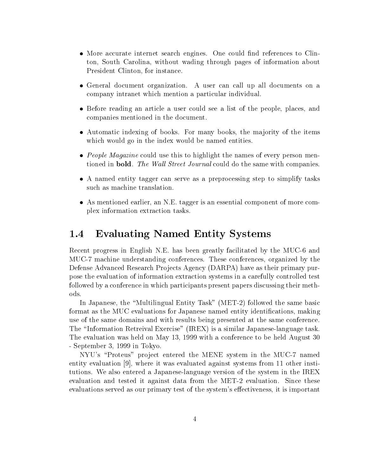- $\bullet$  more accurate internet search engines. One could find references to Clinton, South Carolina, without wading through pages of information about President Clinton, for instance.
- $\bullet$  General document organization. A user can call up all documents on a company intranet which mention a particular individual.
- $\bullet$  before reading an article a user could see a list of the people, places, and companies mentioned in the document.
- Automatic indexing of books. For many books, the ma jority of the items which would go in the index would be named entities.
- $\bullet$  *People Magazine* could use this to highlight the names of every person mentioned in **bold**. The Wall Street Journal could do the same with companies.
- $\bullet$  A named entity tagger can serve as a preprocessing step to simplify tasks such as machine translation.
- As mentioned earlier, an N.E. tagger is an essential component of more complex information extraction tasks.

#### 1.4 Evaluating Named Entity Systems

Recent progress in English N.E. has been greatly facilitated by the MUC-6 and MUC-7 machine understanding conferences. These conferences, organized by the Defense Advanced Research Projects Agency (DARPA) have as their primary purpose the evaluation of information extraction systems in a carefully controlled test followed by a conference in which participants present papers discussing their methods.

In Japanese, the "Multilingual Entity Task" (MET-2) followed the same basic format as the MUC evaluations for Japanese named entity identifications, making use of the same domains and with results being presented at the same conference. The "Information Retreival Exercise" (IREX) is a similar Japanese-language task. The evaluation was held on May 13, 1999 with a conference to be held August 30 - September 3, 1999 in Tokyo.

NYU's \Proteus" pro ject entered the MENE system in the MUC-7 named entity evaluation [9], where it was evaluated against systems from 11 other institutions. We also entered a Japanese-language version of the system in the IREX evaluation and tested it against data from the MET-2 evaluation. Since these evaluations served as our primary test of the system's effectiveness, it is important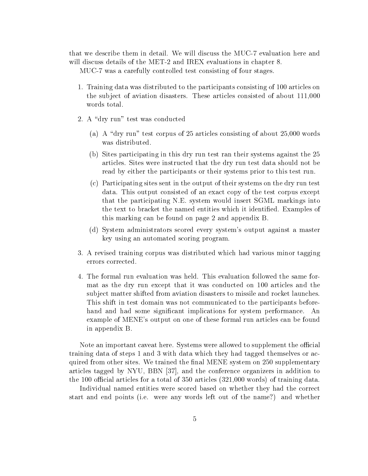that we describe them in detail. We will discuss the MUC-7 evaluation here and will discuss details of the MET-2 and IREX evaluations in chapter 8.

MUC-7 was a carefully controlled test consisting of four stages.

- 1. Training data was distributed to the participants consisting of 100 articles on the sub ject of aviation disasters. These articles consisted of about 111,000 words total.
- 2. A "dry run" test was conducted
	- (a) A "dry run" test corpus of 25 articles consisting of about  $25,000$  words was distributed.
	- (b) Sites participating in this dry run test ran their systems against the 25 articles. Sites were instructed that the dry run test data should not be read by either the participants or their systems prior to this test run.
	- (c) Participating sites sent in the output of their systems on the dry run test data. This output consisted of an exact copy of the test corpus except that the participating N.E. system would insert SGML markings into the text to bracket the named entities which it identied. Examples of this marking can be found on page 2 and appendix B.
	- (d) System administrators scored every system's output against a master key using an automated scoring program.
- 3. A revised training corpus was distributed which had various minor tagging errors corrected.
- 4. The formal run evaluation was held. This evaluation followed the same format as the dry run except that it was conducted on 100 articles and the sub ject matter shifted from aviation disasters to missile and rocket launches. This shift in test domain was not communicated to the participants beforehand and had some signicant implications for system performance. An example of MENE's output on one of these formal run articles can be found in appendix B.

Note an important caveat here. Systems were allowed to supplement the official training data of steps 1 and 3 with data which they had tagged themselves or acquired from other sites. We trained the final MENE system on 250 supplementary articles tagged by NYU, BBN [37], and the conference organizers in addition to the 100 official articles for a total of  $350$  articles  $(321,000 \text{ words})$  of training data.

Individual named entities were scored based on whether they had the correct start and end points (i.e. were any words left out of the name?) and whether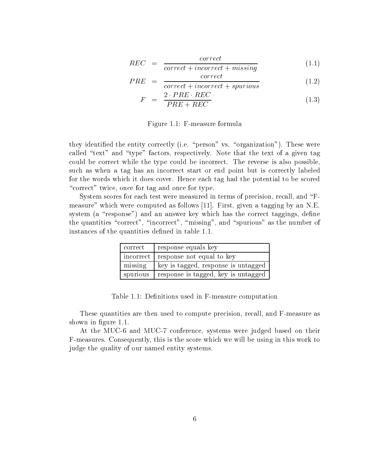$$
REC = \frac{correct}{correct + incorrect + missing} \tag{1.1}
$$

$$
PRE = \frac{correct}{correct + is \text{previous}} \tag{1.2}
$$

$$
F = \frac{2 \cdot PRE \cdot REC}{PRE + REC} \tag{1.3}
$$

Figure 1.1: F-measure formula

they identified the entity correctly (i.e. "person" vs. "organization"). These were called " $text"$  and "type" factors, respectively. Note that the text of a given tag could be correct while the type could be incorrect. The reverse is also possible, such as when a tag has an incorrect start or end point but is correctly labeled for the words which it does cover. Hence each tag had the potential to be scored "correct" twice, once for tag and once for type.

System scores for each test were measured in terms of precision, recall, and "Fmeasure" which were computed as follows [11]. First, given a tagging by an N.E. system (a "response") and an answer key which has the correct taggings, define the quantities "correct", "incorrect", "missing", and "spurious" as the number of instances of the quantities defined in table 1.1.

| correct    | response equals key                   |
|------------|---------------------------------------|
|            | incorrect   response not equal to key |
| missing    | key is tagged, response is untagged   |
| l spurious | response is tagged, key is untagged   |

Table 1.1: Definitions used in F-measure computation

These quantities are then used to compute precision, recall, and F-measure as shown in figure 1.1.

At the MUC-6 and MUC-7 conference, systems were judged based on their F-measures. Consequently, this is the score which we will be using in this work to judge the quality of our named entity systems.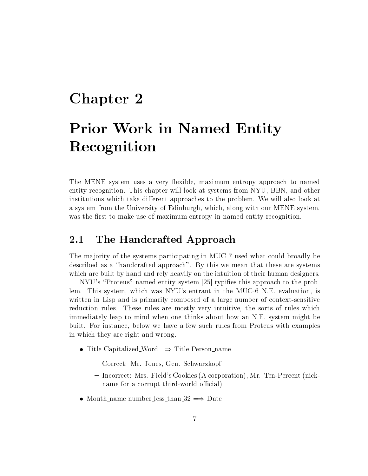### Chapter 2

## Prior Work in Named Entity Recognition

The MENE system uses a very flexible, maximum entropy approach to named entity recognition. This chapter will look at systems from NYU, BBN, and other institutions which take different approaches to the problem. We will also look at a system from the University of Edinburgh, which, along with our MENE system, was the first to make use of maximum entropy in named entity recognition.

#### 2.1 The Handcrafted Approach

The majority of the systems participating in MUC-7 used what could broadly be described as a "handcrafted approach". By this we mean that these are systems which are built by hand and rely heavily on the intuition of their human designers.

NYU's "Proteus" named entity system [25] typifies this approach to the problem. This system, which was NYU's entrant in the MUC-6 N.E. evaluation, is written in Lisp and is primarily composed of a large number of context-sensitive reduction rules. These rules are mostly very intuitive, the sorts of rules which immediately leap to mind when one thinks about how an N.E. system might be built. For instance, below we have a few such rules from Proteus with examples in which they are right and wrong.

- $\bullet$  Title Capitalized Word  $\Longrightarrow$  Title Person name
	- { Correct: Mr. Jones, Gen. Schwarzkopf
	- { Incorrect: Mrs. Field's Cookies (A corporation), Mr. Ten-Percent (nickname for a corrupt third-world official)
- $\bullet$  Month name number less than 32  $\Longrightarrow$  Date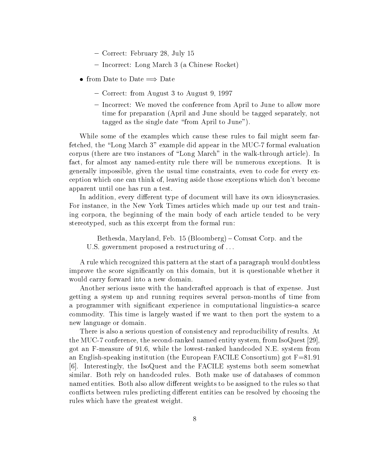- { Correct: February 28, July 15
- { Incorrect: Long March 3 (a Chinese Rocket)
- from Date to Date  $\implies$  Date
	- { Correct: from August 3 to August 9, 1997
	- Incorrect: We moved the conference from April to June to allow more time for preparation (April and June should be tagged separately, not tagged as the single date "from April to June").

While some of the examples which cause these rules to fail might seem farfetched, the "Long March 3" example did appear in the MUC-7 formal evaluation corpus (there are two instances of \Long March" in the walk-through article). In fact, for almost any named-entity rule there will be numerous exceptions. It is generally impossible, given the usual time constraints, even to code for every exception which one can think of, leaving aside those exceptions which don't become apparent until one has run a test.

In addition, every different type of document will have its own idiosyncrasies. For instance, in the New York Times articles which made up our test and training corpora, the beginning of the main body of each article tended to be very stereotyped, such as this excerpt from the formal run:

Bethesda, Maryland, Feb. 15 (Bloomberg) – Comsat Corp. and the U.S. government proposed a restructuring of . . .

A rule which recognized this pattern at the start of a paragraph would doubtless improve the score significantly on this domain, but it is questionable whether it would carry forward into a new domain.

Another serious issue with the handcrafted approach is that of expense. Just getting a system up and running requires several person-months of time from a programmer with significant experience in computational linguistics-a scarce commodity. This time is largely wasted if we want to then port the system to a new language or domain.

There is also a serious question of consistency and reproducibility of results. At the MUC-7 conference, the second-ranked named entity system, from IsoQuest [29], got an F-measure of 91.6, while the lowest-ranked handcoded N.E. system from an English-speaking institution (the European FACILE Consortium) got F=81.91 [6]. Interestingly, the IsoQuest and the FACILE systems both seem somewhat similar. Both rely on handcoded rules. Both make use of databases of common named entities. Both also allow different weights to be assigned to the rules so that conflicts between rules predicting different entities can be resolved by choosing the rules which have the greatest weight.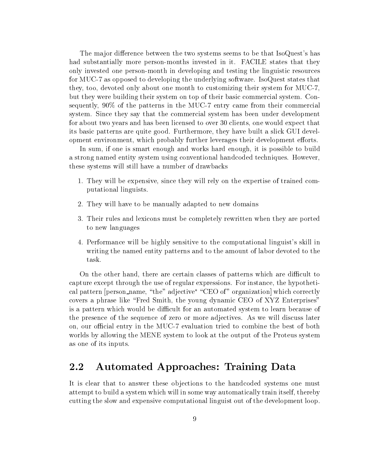The major difference between the two systems seems to be that IsoQuest's has had substantially more person-months invested in it. FACILE states that they only invested one person-month in developing and testing the linguistic resources for MUC-7 as opposed to developing the underlying software. IsoQuest states that they, too, devoted only about one month to customizing their system for MUC-7, but they were building their system on top of their basic commercial system. Consequently, 90% of the patterns in the MUC-7 entry came from their commercial system. Since they say that the commercial system has been under development for about two years and has been licensed to over 30 clients, one would expect that its basic patterns are quite good. Furthermore, they have built a slick GUI development environment, which probably further leverages their development efforts.

In sum, if one is smart enough and works hard enough, it is possible to build a strong named entity system using conventional handcoded techniques. However, these systems will still have a number of drawbacks

- 1. They will be expensive, since they will rely on the expertise of trained computational linguists.
- 2. They will have to be manually adapted to new domains
- 3. Their rules and lexicons must be completely rewritten when they are ported to new languages
- 4. Performance will be highly sensitive to the computational linguist's skill in writing the named entity patterns and to the amount of labor devoted to the task.

On the other hand, there are certain classes of patterns which are difficult to capture except through the use of regular expressions. For instance, the hypothetical pattern  $\rm [person\_name, \ the \ aq$ ective $\rm [CD \ of \ original \ normal \ written \ correlation]$ covers a phrase like "Fred Smith, the young dynamic CEO of XYZ Enterprises" is a pattern which would be difficult for an automated system to learn because of the presence of the sequence of zero or more adjectives. As we will discuss later on, our official entry in the MUC-7 evaluation tried to combine the best of both worlds by allowing the MENE system to look at the output of the Proteus system as one of its inputs.

#### 2.2 Automated Approaches: Training Data

It is clear that to answer these objections to the handcoded systems one must attempt to build a system which will in some way automatically train itself, thereby cutting the slow and expensive computational linguist out of the development loop.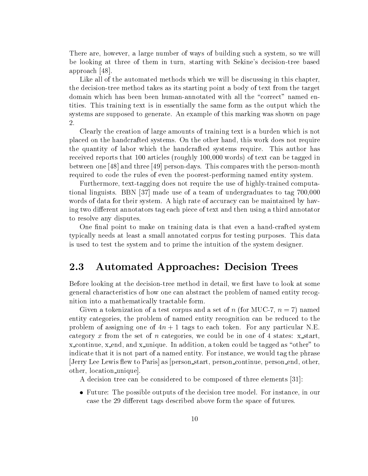There are, however, a large number of ways of building such a system, so we will be looking at three of them in turn, starting with Sekine's decision-tree based approach [48].

Like all of the automated methods which we will be discussing in this chapter, the decision-tree method takes as its starting point a body of text from the target domain which has been been human-annotated with all the "correct" named entities. This training text is in essentially the same form as the output which the systems are supposed to generate. An example of this marking was shown on page 2.

Clearly the creation of large amounts of training text is a burden which is not placed on the handcrafted systems. On the other hand, this work does not require the quantity of labor which the handcrafted systems require. This author has received reports that 100 articles (roughly 100,000 words) of text can be tagged in between one [48] and three [49] person-days. This compares with the person-month required to code the rules of even the poorest-performing named entity system.

Furthermore, text-tagging does not require the use of highly-trained computational linguists. BBN [37] made use of a team of undergraduates to tag 700,000 words of data for their system. A high rate of accuracy can be maintained by having two different annotators tag each piece of text and then using a third annotator to resolve any disputes.

One final point to make on training data is that even a hand-crafted system typically needs at least a small annotated corpus for testing purposes. This data is used to test the system and to prime the intuition of the system designer.

#### 2.3 Automated Approaches: Decision Trees

Before looking at the decision-tree method in detail, we first have to look at some general characteristics of how one can abstract the problem of named entity recognition into a mathematically tractable form.

Given a tokenization of a test corpus and a set of n (for MUC-7,  $n = 7$ ) named entity categories, the problem of named entity recognition can be reduced to the problem of assigning one of  $4n + 1$  tags to each token. For any particular N.E. category x from the set of n categories, we could be in one of 4 states:  $x$ -start,  $x_{\text{1}}$  x continue,  $x_{\text{2}}$  and  $x_{\text{2}}$  unique. In addition, a token could be tagged as "other" to indicate that it is not part of a named entity. For instance, we would tag the phrase |Jerry Lee Lewis flew to Paris| as |person\_start, person\_continue, person\_end, other, other, location unique].

A decision tree can be considered to be composed of three elements [31]:

 $\bullet$  future: The possible outputs of the decision tree model. For instance, in our case the 29 different tags described above form the space of futures.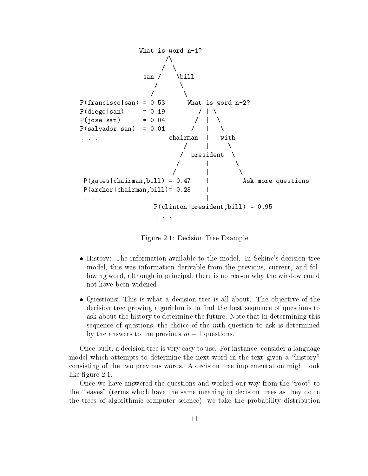

Figure 2.1: Decision Tree Example

- History: The information available to the model. In Sekine's decision tree model, this was information derivable from the previous, current, and following word, although in principal, there is no reason why the window could not have been widened.
- $\bullet$  Questions: This is what a decision tree is all about. The objective of the  $\bullet$ decision tree growing algorithm is to find the best sequence of questions to ask about the history to determine the future. Note that in determining this sequence of questions, the choice of the mth question to ask is determined by the answers to the previous  $m - 1$  questions.

Once built, a decision tree is very easy to use. For instance, consider a language model which attempts to determine the next word in the text given a "history" consisting of the two previous words. A decision tree implementation might look like figure 2.1.

Once we have answered the questions and worked our way from the "root" to the \leaves" (terms which have the same meaning in decision trees as they do in the trees of algorithmic computer science), we take the probability distribution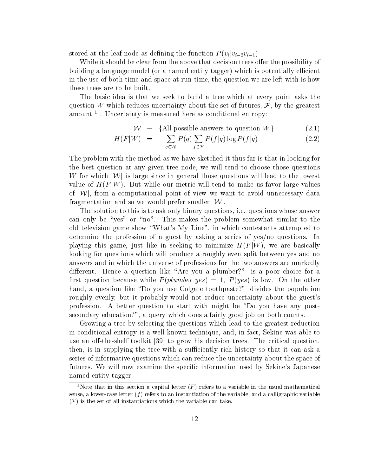stored at the leaf node as defining the function  $P(v_i|v_{i-2}v_{i-1})$ 

While it should be clear from the above that decision trees offer the possibility of building a language model (or a named entity tagger) which is potentially efficient in the use of both time and space at run-time, the question we are left with is how these trees are to be built.

The basic idea is that we seek to build a tree which at every point asks the question W which reduces uncertainty about the set of futures,  $\mathcal{F}$ , by the greatest amount <sup>1</sup> . Uncertainty is measured here as conditional entropy:

$$
\mathcal{W} \equiv \{\text{All possible answers to question } W\} \tag{2.1}
$$

$$
H(F|W) = -\sum_{q \in \mathcal{W}} P(q) \sum_{f \in \mathcal{F}} P(f|q) \log P(f|q) \tag{2.2}
$$

The problem with the method as we have sketched it thus far is that in looking for the best question at any given tree node, we will tend to choose those questions The problem with the method as we have sketched it thus far is that in looking for<br>the best question at any given tree node, we will tend to choose those questions<br>W for which  $|\mathcal{W}|$  is large since in general those ques value of H(F jW). But while our metric will tend to make us favor large values W for which  $|\mathcal{W}|$  is large since in general those questions will lead to the lowest<br>value of  $H(F|W)$ . But while our metric will tend to make us favor large values<br>of  $|\mathcal{W}|$ , from a computational point of view we want value of  $H(F|W)$ . But while our metric will tend to make us f<br>of  $|\mathcal{W}|$ , from a computational point of view we want to avoid if<br>ragmentation and so we would prefer smaller  $|\mathcal{W}|$ .

The solution to this is to ask only binary questions, i.e. questions whose answer can only be "yes" or "no". This makes the problem somewhat similar to the old television game show \What's My Line", in which contestants attempted to determine the profession of a guest by asking a series of yes/no questions. In playing this game, just like in seeking to minimize  $H(F|W)$ , we are basically looking for questions which will produce a roughly even split between yes and no answers and in which the universe of professions for the two answers are markedly different. Hence a question like "Are you a plumber?" is a poor choice for a first question because while  $P(plumber|yes) = 1, P(yes)$  is low. On the other hand, a question like "Do you use Colgate toothpaste?" divides the population roughly evenly, but it probably would not reduce uncertainty about the guest's profession. A better question to start with might be \Do you have any postsecondary education?", a query which does a fairly good job on both counts.

Growing a tree by selecting the questions which lead to the greatest reduction in conditional entropy is a well-known technique, and, in fact, Sekine was able to use an off-the-shelf toolkit  $[39]$  to grow his decision trees. The critical question, then, is in supplying the tree with a sufficiently rich history so that it can ask a series of informative questions which can reduce the uncertainty about the space of futures. We will now examine the specific information used by Sekine's Japanese named entity tagger.

<sup>&</sup>lt;sup>1</sup>Note that in this section a capital letter  $(F)$  refers to a variable in the usual mathematical sense, a lower-case letter  $(f)$  refers to an instantiation of the variable, and a calligraphic variable  $(\mathcal{F})$  is the set of all instantiations which the variable can take.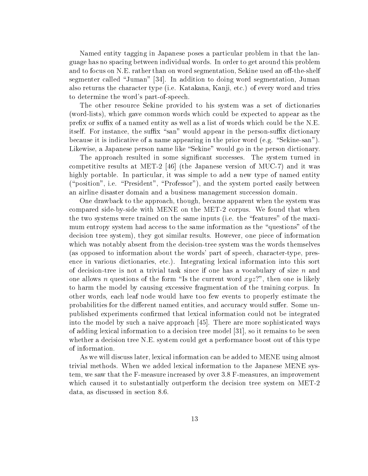Named entity tagging in Japanese poses a particular problem in that the language has no spacing between individual words. In order to get around this problem and to focus on N.E. rather than on word segmentation, Sekine used an off-the-shelf segmenter called "Juman" [34]. In addition to doing word segmentation, Juman also returns the character type (i.e. Katakana, Kanji, etc.) of every word and tries to determine the word's part-of-speech.

The other resource Sekine provided to his system was a set of dictionaries (word-lists), which gave common words which could be expected to appear as the prefix or suffix of a named entity as well as a list of words which could be the N.E. itself. For instance, the suffix "san" would appear in the person-suffix dictionary because it is indicative of a name appearing in the prior word (e.g. "Sekine-san"). Likewise, a Japanese person name like "Sekine" would go in the person dictionary.

The approach resulted in some signicant successes. The system turned in competitive results at MET-2 [46] (the Japanese version of MUC-7) and it was highly portable. In particular, it was simple to add a new type of named entity ("position", i.e. "President", "Professor"), and the system ported easily between an airline disaster domain and a business management succession domain.

One drawback to the approach, though, became apparent when the system was compared side-by-side with MENE on the MET-2 corpus. We found that when the two systems were trained on the same inputs (i.e. the \features" of the maximum entropy system had access to the same information as the "questions" of the decision tree system), they got similar results. However, one piece of information which was notably absent from the decision-tree system was the words themselves (as opposed to information about the words' part of speech, character-type, presence in various dictionaries, etc.). Integrating lexical information into this sort of decision-tree is not a trivial task since if one has a vocabulary of size  $n$  and one allows n questions of the form "Is the current word  $xyz$ ?", then one is likely to harm the model by causing excessive fragmentation of the training corpus. In other words, each leaf node would have too few events to properly estimate the probabilities for the different named entities, and accuracy would suffer. Some unpublished experiments confirmed that lexical information could not be integrated into the model by such a naive approach [45]. There are more sophisticated ways of adding lexical information to a decision tree model [31], so it remains to be seen whether a decision tree N.E. system could get a performance boost out of this type of information.

As we will discuss later, lexical information can be added to MENE using almost trivial methods. When we added lexical information to the Japanese MENE system, we saw that the F-measure increased by over 3.8 F-measures, an improvement which caused it to substantially outperform the decision tree system on MET-2 data, as discussed in section 8.6.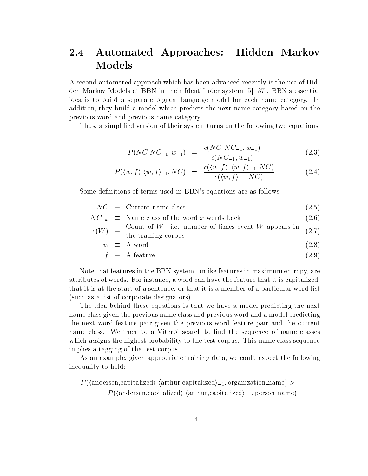#### 2.4 Automated Approaches: Hidden Markov 2.4 Models

A second automated approach which has been advanced recently is the use of Hidden Markov Models at BBN in their Identinder system [5] [37]. BBN's essential idea is to build a separate bigram language model for each name category. In addition, they build a model which predicts the next name category based on the previous word and previous name category.

Thus, a simplied version of their system turns on the following two equations:

$$
P(NC|NC_{-1}, w_{-1}) = \frac{c(NC, NC_{-1}, w_{-1})}{c(NC_{-1}, w_{-1})}
$$
\n(2.3)

$$
P(\langle w, f \rangle | \langle w, f \rangle_{-1}, NC) = \frac{c(\langle w, f \rangle, \langle w, f \rangle_{-1}, NC)}{c(\langle w, f \rangle_{-1}, NC)}
$$
(2.4)

Some definitions of terms used in BBN's equations are as follows:

|  | $NC \equiv$ Current name class                       | (2.5) |
|--|------------------------------------------------------|-------|
|  | $NC_{-x} \equiv$ Name class of the word x words back | (2.6) |

 $c(W)$ Count of W. i.e. number of times event W appears in  $(27)$ 

$$
y = \text{the training corpus} \tag{2.1}
$$

$$
w \equiv A \text{ word} \tag{2.8}
$$

$$
f \equiv \text{ A feature} \tag{2.9}
$$

Note that features in the BBN system, unlike features in maximum entropy, are attributes of words. For instance, a word can have the feature that it is capitalized, that it is at the start of a sentence, or that it is a member of a particular word list (such asa list of corporate designators).

The idea behind these equations is that we have a model predicting the next name class given the previous name class and previous word and a model predicting the next word-feature pair given the previous word-feature pair and the current name class. We then do a Viterbi search to find the sequence of name classes which assigns the highest probability to the test corpus. This name class sequence implies a tagging of the test corpus.

As an example, given appropriate training data, we could expect the following inequality to hold:

 $P(\langle {\rm andersen, capitalized} \rangle | \langle {\rm arthur, capitalized} \rangle_{-1}, {\rm organization\_name}) >$  $P(\langle \text{andersen}, \text{capitalized} \rangle | \langle \text{arthur}, \text{capitalized} \rangle_{-1}, \text{person\_name})$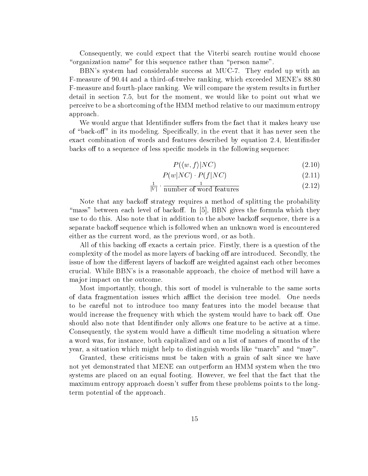Consequently, we could expect that the Viterbi search routine would choose "organization name" for this sequence rather than "person name".

BBN's system had considerable success at MUC-7. They ended up with an F-measure of 90.44 and a third-of-twelve ranking, which exceeded MENE's 88.80 F-measure and fourth-place ranking. We will compare the system results in further detail in section 7.5, but for the moment, we would like to point out what we perceive to be a shortcoming of the HMM method relative to our maximum entropy approach.

We would argue that Identifinder suffers from the fact that it makes heavy use of "back-off" in its modeling. Specifically, in the event that it has never seen the exact combination of words and features described by equation 2.4, Identinder backs off to a sequence of less specific models in the following sequence:

$$
P(\langle w, f \rangle|NC) \tag{2.10}
$$

$$
P(w|NC) \cdot P(f|NC) \tag{2.11}
$$

$$
\frac{1}{|V|} \cdot \frac{1}{\text{number of word features}} \tag{2.12}
$$

Note that any backoff strategy requires a method of splitting the probability "mass" between each level of backoff. In  $[5]$ , BBN gives the formula which they use to do this. Also note that in addition to the above backoff sequence, there is a separate backoff sequence which is followed when an unknown word is encountered either as the current word, as the previous word, or as both.

All of this backing off exacts a certain price. Firstly, there is a question of the complexity of the model as more layers of backing off are introduced. Secondly, the issue of how the different layers of backoff are weighted against each other becomes crucial. While BBN's is a reasonable approach, the choice of method willhave a ma jor impact on the outcome.

Most importantly, though, this sort of model is vulnerable to the same sorts of data fragmentation issues which afflict the decision tree model. One needs to be careful not to introduce too many features into the model because that would increase the frequency with which the system would have to back off. One should also note that Identinder only allows one feature to be active at a time. Consequently, the system would have a difficult time modeling a situation where a word was, for instance, both capitalized and on a list of names of months of the year, a situation which might help to distinguish words like "march" and "may".

Granted, these criticisms must be taken with a grain of salt since we have not yet demonstrated that MENE can outperform an HMM system when the two systems are placed on an equal footing. However, we feel that the fact that the maximum entropy approach doesn't suffer from these problems points to the longterm potential of the approach.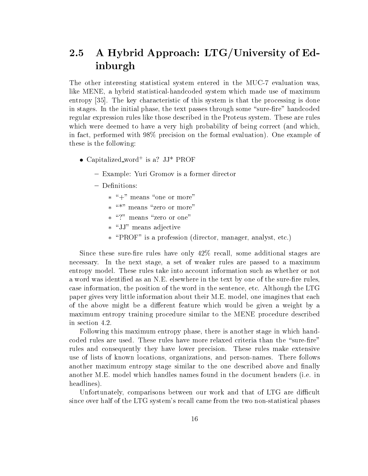#### $2.5$ A Hybrid Approach: LTG/University of Edinburgh

The other interesting statistical system entered in the MUC-7 evaluation was, like MENE, a hybrid statistical-handcoded system which made use of maximum entropy [35]. The key characteristic of this system is that the processing is done in stages. In the initial phase, the text passes through some "sure-fire" handcoded regular expression rules like those described in the Proteus system. These are rules which were deemed to have a very high probability of being correct (and which, in fact, performed with 98% precision on the formal evaluation). One example of these is the following:

- $\bullet$  Capitalized word is a? JJ  $\prime$  PROF
	- { Example: Yuri Gromov is a former director
	- Definitions:
		- $*\ + \$  means one or more
		- $\,*$  means zero or more  $\,$
		- $\; * \;$  : means zero or one  $\;$
		- \JJ" means adjective
		- $\ast$  PROF is a profession (director, manager, analyst, etc.)  $\,$

Since these sure-fire rules have only  $42\%$  recall, some additional stages are necessary. In the next stage, a set of weaker rules are passed to a maximum entropy model. These rules take into account information such as whether or not a word was identified as an N.E. elsewhere in the text by one of the sure-fire rules, case information, the position of the word in the sentence, etc. Although the LTG paper gives very little information about their M.E. model, one imagines that each of the above might be a different feature which would be given a weight by a maximum entropy training procedure similar to the MENE procedure described in section 4.2.

Following this maximum entropy phase, there is another stage in which handcoded rules are used. These rules have more relaxed criteria than the "sure-fire" rules and consequently they have lower precision. These rules make extensive use of lists of known locations, organizations, and person-names. There follows another maximum entropy stage similar to the one described above and finally another M.E. model which handles names found in the document headers (i.e. in headlines).

Unfortunately, comparisons between our work and that of LTG are difficult since over half of the LTG system's recall came from the two non-statistical phases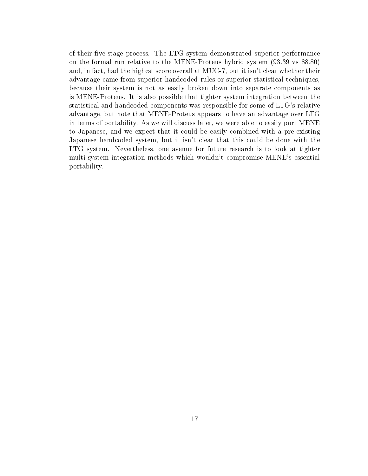of their five-stage process. The LTG system demonstrated superior performance on the formal run relative to the MENE-Proteus hybrid system (93.39 vs 88.80) and, in fact, had the highest score overall at MUC-7, but it isn't clear whether their advantage came from superior handcoded rules or superior statistical techniques, because their system is not as easily broken down into separate components as is MENE-Proteus. It is also possible that tighter system integration between the statistical and handcoded components was responsible for some of LTG's relative advantage, but note that MENE-Proteus appears to have an advantage over LTG in terms of portability. As we will discuss later, we were able to easily port MENE to Japanese, and we expect that it could be easily combined with a pre-existing Japanese handcoded system, but it isn't clear that this could be done with the LTG system. Nevertheless, one avenue for future research is to look at tighter multi-system integration methods which wouldn't compromise MENE's essential portability.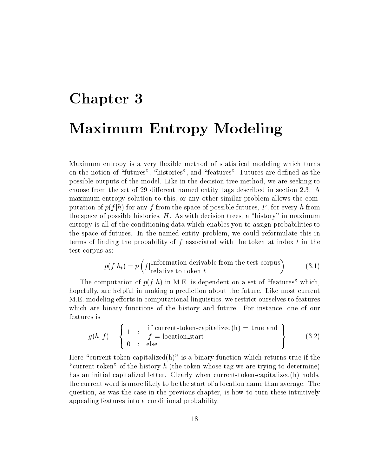# Chapter 3 Maximum Entropy Modeling

Maximum entropy is a very flexible method of statistical modeling which turns on the notion of "futures", "histories", and "features". Futures are defined as the possible outputs of the model. Like in the decision tree method, we are seeking to choose from the set of 29 different named entity tags described in section 2.3. A maximum entropy solution to this, or any other similar problem allows the computation of  $p(f|h)$  for any f from the space of possible futures, F, for every h from the space of possible histories,  $H$ . As with decision trees, a "history" in maximum entropy is all of the conditioning data which enables you to assign probabilities to the space of futures. In the named entity problem, we could reformulate this in terms of finding the probability of  $f$  associated with the token at index  $t$  in the test corpus as:

$$
p(f|h_t) = p\left(f\Big| \begin{matrix} \text{Information derivable from the test corpus} \\ \text{relative to token } t \end{matrix}\right) \tag{3.1}
$$

The computation of  $p(f|h)$  in M.E. is dependent on a set of "features" which, hopefully, are helpful in making a prediction about the future. Like most current M.E. modeling efforts in computational linguistics, we restrict ourselves to features which are binary functions of the history and future. For instance, one of our features is

$$
g(h, f) = \left\{ \begin{array}{rcl} 1 & \text{if current-token-capitalized(h)} = \text{true and} \\ 0 & \text{else} \end{array} \right\} \tag{3.2}
$$

Here "current-token-capitalized(h)" is a binary function which returns true if the "current token" of the history h (the token whose tag we are trying to determine) has an initial capitalized letter. Clearly when current-token-capitalized(h) holds, the current word is more likely to be the start of a location name than average. The question, as was the case in the previous chapter, is how to turn these intuitively appealing features into a conditional probability.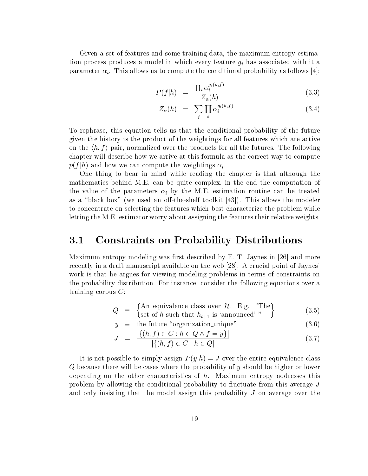Given a set of features and some training data, the maximum entropy estimation produces produces a model in which every feature given feature given feature given  $g$  has associated with it and  $g$ parameter is allows the computer in this condition is to compute the computer  $\mu$  and the conditional probability  $\mu$ 

$$
P(f|h) = \frac{\prod_{i} \alpha_i^{g_i(h,f)}}{Z_{\alpha}(h)} \tag{3.3}
$$

$$
Z_{\alpha}(h) = \sum_{f} \prod_{i} \alpha_i^{g_i(h,f)} \tag{3.4}
$$

To rephrase, this equation tells us that the conditional probability of the future given the history is the product of the weightings for all features which are active on the  $\langle h, f \rangle$  pair, normalized over the products for all the futures. The following chapter will describe how we arrive at this formula as the correct way to compute  $p_{(f \mid h)}$  and how we can compute the weightings  $\alpha_i$ .

One thing to bear in mind while reading the chapter is that although the mathematics behind M.E. can be quite complex, in the end the computation of the value of the parameters is the parameters in the M.E. estimation routine can be treated to  $\theta$ as a "black box" (we used an off-the-shelf toolkit  $[43]$ ). This allows the modeler to concentrate on selecting the features which best characterize the problem while letting the M.E. estimator worry about assigning the features their relative weights.

#### 3.1 Constraints on Probability Distributions

Maximum entropy modeling was first described by  $E$ . T. Jaynes in [26] and more recently in a draft manuscript available on the web [28]. A crucial point of Jaynes' work is that he argues for viewing modeling problems in terms of constraints on the probability distribution. For instance, consider the following equations over a training corpus C:

$$
Q \equiv \begin{cases} \text{An equivalence class over } \mathcal{H}. \quad \text{E.g. \dots} \\ \text{set of } h \text{ such that } h_{t+1} \text{ is 'announced'''} \end{cases} \tag{3.5}
$$

$$
y \equiv \text{the future "organization\_unique"} \tag{3.6}
$$

$$
J = \frac{|\{(h, f) \in C : h \in Q \land f = y\}|}{|\{(h, f) \in C : h \in Q|}
$$
\n(3.7)

It is not possible to simply assign  $P(y|h) = J$  over the entire equivalence class Q because there will be cases where the probability of y should be higher or lower depending on the other characteristics of h. Maximum entropy addresses this problem by allowing the conditional probability to fluctuate from this average  $J$ and only insisting that the model assign this probability J on average over the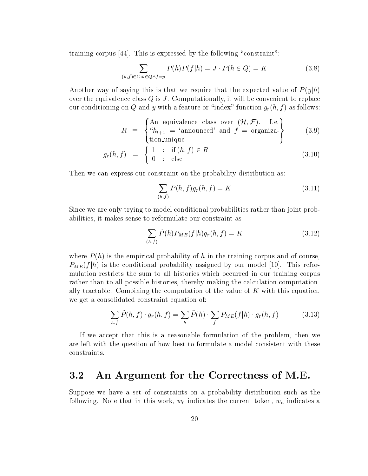training corpus  $[44]$ . This is expressed by the following "constraint":

$$
\sum_{(h,f)\in C:h\in Q\wedge f=y} P(h)P(f|h) = J \cdot P(h\in Q) = K \tag{3.8}
$$

Another way of saying this is that we require that the expected value of  $P(y|h)$ over the equivalence class  $Q$  is  $J$ . Computationally, it will be convenient to replace our conditioning on Q and y with a feature or "index" function  $g_r(h, f)$  as follows:

$$
R \equiv \begin{cases} \text{An equivalence class over } (\mathcal{H}, \mathcal{F}). & \text{I.e.} \\ \text{``}h_{t+1} = \text{``announced'} \text{ and } f = \text{organiza-} \\ \text{tion\_unique} \end{cases} \tag{3.9}
$$

$$
g_r(h,f) = \begin{cases} 1 & \text{: if } (h,f) \in R \\ 0 & \text{: else} \end{cases}
$$
 (3.10)

Then we can express our constraint on the probability distribution as:

$$
\sum_{(h,f)} P(h,f)g_r(h,f) = K \tag{3.11}
$$

Since we are only trying to model conditional probabilities rather than joint probabilities, it makes sense to reformulate our constraint as

$$
\sum_{(h,f)} \tilde{P}(h) P_{ME}(f|h) g_r(h,f) = K \tag{3.12}
$$

where  $P_{\{h\}}$  is the empirical probability of  $h$  in the training corpus and of course,  $P_{ME}(f|h)$  is the conditional probability assigned by our model [10]. This reformulation restricts the sum to all histories which occurred in our training corpus rather than to all possible histories, thereby making the calculation computationally tractable. Combining the computation of the value of  $K$  with this equation, we get a consolidated constraint equation of:

$$
\sum_{h,f} \tilde{P}(h,f) \cdot g_r(h,f) = \sum_h \tilde{P}(h) \cdot \sum_f P_{ME}(f|h) \cdot g_r(h,f) \tag{3.13}
$$

If we accept that this is a reasonable formulation of the problem, then we are left with the question of how best to formulate a model consistent with these constraints.

#### 3.2 An Argument for the Correctness of M.E.

Suppose we have a set of constraints on a probability distribution such as the following. Note that in this work,  $w_0$  indicates the current token,  $w_n$  indicates a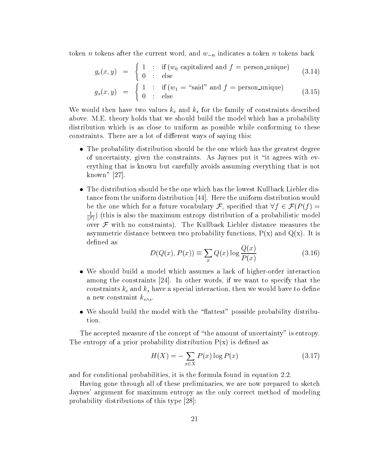token *n* tokens after the current word, and  $w_{-n}$  indicates a token *n* tokens back

$$
g_c(x,y) = \begin{cases} 1 : & \text{if } (w_0 \text{ capitalized and } f = \text{person\_unique})\\ 0 : & \text{else} \end{cases} \tag{3.14}
$$

$$
g_s(x,y) = \begin{cases} 1 : & \text{if } (w_1 = \text{``said''} \text{ and } f = \text{person\_unique}) \\ 0 : & \text{else} \end{cases} \tag{3.15}
$$

We would then the family of the family of the family of  $\alpha$  and  $\alpha$  for the family of constraints described to the family of  $\alpha$ above. M.E. theory holds that we should build the model which has a probability distribution which is as close to uniform as possible while conforming to these constraints. There are a lot of different ways of saying this:

- $\bullet$  -fine probability distribution should be the one which has the greatest degree of uncertainty, given the constraints. As Jaynes put it \it agrees with everything that is known but carefully avoids assuming everything that is not known" [27].
- $\bullet$  -fine distribution should be the one-which has the lowest Kullback Liebler distance from the uniform distribution [44]. Here the uniform distribution would be the one which for a future vocabulary F, specified that  $\forall f \in \mathcal{F}(P(f) =$  $\overline{|\mathcal{F}|}$ ) (this is also the maximum entropy distribution of a probabilistic model over  $\mathcal F$  with no constraints). The Kullback Liebler distance measures the asymmetric distance between two probability functions,  $P(x)$  and  $Q(x)$ . It is defined as

$$
D(Q(x), P(x)) \equiv \sum_{x} Q(x) \log \frac{Q(x)}{P(x)}
$$
(3.16)

- $\bullet$  we should build a model which assumes a lack of higher-order interaction among the constraints [24]. In other words, if we want to specify that the constraints kc and ks have a special interaction, then we would have to dene a new constraint  $k_{c \wedge s}$ .
- $\bullet$  we should build the model with the  $\,$  nattest  $\,$  possible probability distribu-  $\,$ tion.

The accepted measure of the concept of "the amount of uncertainty" is entropy. The entropy of a prior probability distribution  $P(x)$  is defined as

$$
H(X) = -\sum_{x \in X} P(x) \log P(x) \tag{3.17}
$$

and for conditional probabilities, it is the formula found in equation 2.2.

Having gone through all of these preliminaries, we are now prepared to sketch Jaynes' argument for maximum entropy as the only correct method of modeling probability distributions of this type [28]: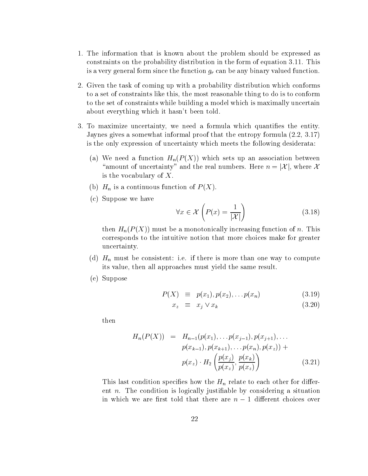- 1. The information that is known about the problem should be expressed as constraints on the probability distribution in the form of equation 3.11. This is a very general form since the function gr can be any binary valued function.
- 2. Given the task of coming up with a probability distribution which conforms to a set of constraints like this, the most reasonable thing to do is to conform to the set of constraints while building a model which is maximally uncertain about everything which it hasn't been told.
- 3. To maximize uncertainty, we need a formula which quantifies the entity. Jaynes gives a somewhat informal proof that the entropy formula (2.2, 3.17) is the only expression of uncertainty which meets the following desiderata:
	- (a) We need a function  $\mathbb{H}$  (F (P )) which sets up and association between sets up and We need a function  $H_n(P(X))$  which sets up an association between<br>"amount of uncertainty" and the real numbers. Here  $n = |\mathcal{X}|$ , where X is the vocabulary of  $X$ .
	- $\sqrt{ }$  H<sub>n</sub>  $\sqrt{ }$
	- (c) Suppose we have

$$
\forall x \in \mathcal{X} \left( P(x) = \frac{1}{|\mathcal{X}|} \right) \tag{3.18}
$$

then  $H_n(P(X))$  must be a monotonically increasing function of n. This corresponds to the intuitive notion that more choices make for greater uncertainty.

- (d) H<sub>n</sub> must be consistent be consistent in the intervals of the intervals one way to compute than one way to compute its value, then all approaches must yield the same result.
- (e) Suppose

$$
P(X) \equiv p(x_1), p(x_2), \ldots, p(x_n) \tag{3.19}
$$

$$
x_z \equiv x_j \vee x_k \tag{3.20}
$$

then

$$
H_n(P(X)) = H_{n-1}(p(x_1), \ldots p(x_{j-1}), p(x_{j+1}), \ldots
$$
  
\n
$$
p(x_{k-1}), p(x_{k+1}), \ldots p(x_n), p(x_z) + p(x_z) \cdot H_2\left(\frac{p(x_j)}{p(x_z)}, \frac{p(x_k)}{p(x_z)}\right)
$$
\n(3.21)

This last condition species is the Hn relation species for the Hn relation  $\sim$  to each other for distribution ent  $n$ . The condition is logically justifiable by considering a situation in which we are first told that there are  $n-1$  different choices over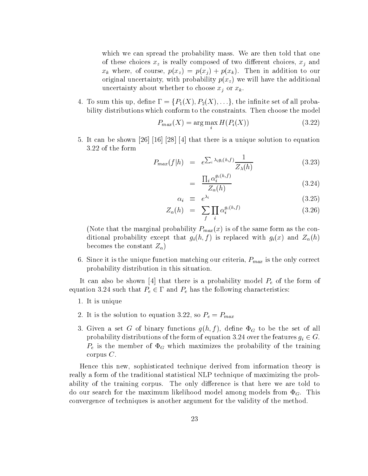which we can spread the probability mass. We are then told that one of these choices  $\mathcal{U}$  is really composed of two diependix composed of two diependix composed of two diependix composed of two diependix composed of two diependix composed of two diependix composed of two diependix com  $\mathbb{P}^n$  where  $\mathbb{P}^n$  is constant in a distribution to our political  $\mathbb{P}^n$  ,  $\mathbb{P}^n$  ,  $\mathbb{P}^n$  ,  $\mathbb{P}^n$  ,  $\mathbb{P}^n$  ,  $\mathbb{P}^n$  ,  $\mathbb{P}^n$  ,  $\mathbb{P}^n$  ,  $\mathbb{P}^n$  ,  $\mathbb{P}^n$  ,  $\mathbb{P}^n$  ,  $\math$ original uncertainty, with probability probability probability parameters  $\mathcal{U}(\mathcal{X})$  will have the additional method of  $\mathcal{U}(\mathcal{X})$ uncertainty about whether to choose  $\alpha$  and  $\alpha$  are  $\alpha$  . The choose  $\alpha$ 

4. To sum this up, define  $\Gamma = \{P_1(X), P_2(X), \ldots\}$ , the infinite set of all probability distributions which conform to the constraints. Then choose the model

$$
P_{max}(X) = \arg\max_{i} H(P_i(X))
$$
\n(3.22)

5. It can be shown [26] [16] [28] [4] that there is a unique solution to equation 3.22 of the form

$$
P_{max}(f|h) = e^{\sum_{i} \lambda_i g_i(h,f)} \frac{1}{Z_{\lambda}(h)}
$$
(3.23)

$$
= \frac{\prod_{i} \alpha_i^{g_i(h,f)}}{Z_{\alpha}(h)} \tag{3.24}
$$

$$
\alpha_i \equiv e^{\lambda_i} \tag{3.25}
$$

$$
Z_{\alpha}(h) = \sum_{f} \prod_{i} \alpha_i^{g_i(h,f)} \tag{3.26}
$$

(Note that the marginal probability  $P_{max}(x)$  is of the same form as the conditional probability except that  $g_i(h, f)$  is replaced with  $g_i(x)$  and  $Z_{\alpha}(h)$ becomes the constant  $Z_{\alpha}$ )

6. Since it is the unit distribution matching our criteria, PMAX is the only correct our corrections of  $\sim$ probability distribution in this situation.

It can also be shown in the form of the form of the form of the form of the form of the form of the form of the form of the form of the form of the form of the form of the form of the form of the form of the form of the f equation 3.24 such that  $P_e \in \Gamma$  and  $P_e$  has the following characteristics:

- 1. It is unique
- $2.22, 2.22, 3.22, 3.22, 3.22, 3.22, 3.22, 3.22, 3.22, 3.22, 3.22, 3.22, 3.22, 3.22, 3.22, 3.22, 3.22, 3.22, 3.22, 3.22, 3.22, 3.22, 3.22, 3.22, 3.22, 3.22, 3.22, 3.22, 3.22, 3.22, 3.22, 3.22, 3.22, 3.22, 3.22, 3.22, 3.22$
- $3.5.$  Given a set G of binary functions g(h; f ), define G to be the set of all  $\alpha$ probability distributions of the form of equation 3.24 over the features  $g_i \in \mathbf{G}$ . Pe is the member of G which maximizes the probability of the training corpus  $C$ .

Hence this new, sophisticated technique derived from information theory is really a form of the traditional statistical NLP technique of maximizing the probability of the training corpus. The only difference is that here we are told to do our search for the maximum likelihood model among models from  $\Phi_G$ . This convergence of techniques is another argument for the validity of the method.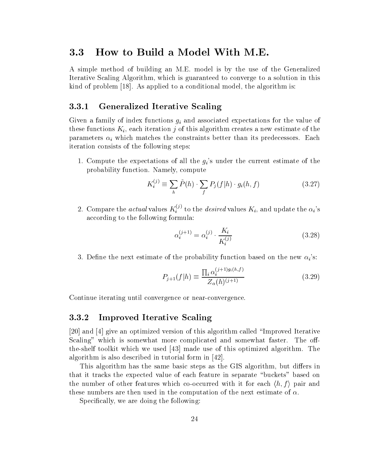### 3.3 How to Build a Model With M.E.

A simple method of building an M.E. model is by the use of the Generalized Iterative Scaling Algorithm, which is guaranteed to converge to a solution in this kind of problem [18]. As applied to a conditional model, the algorithm is:

#### 3.3.1 Generalized Iterative Scaling

Given a family of index functions given a family of the value of the value of the value of the value of the value of the value of the value of the value of the value of the value of the value of the value of the value of these functions  $K_i$ , each iteration j of this algorithm creates a new estimate of the parameters in the constraints between the constraints between the constraints predecessors. Each its predecess iteration consists of the following steps:

1. Compute the expectations of all the  $g_i$ 's under the current estimate of the probability function. Namely, compute

$$
K_i^{(j)} \equiv \sum_h \tilde{P}(h) \cdot \sum_f P_j(f|h) \cdot g_i(h,f) \tag{3.27}
$$

i

2. Compare the *actual* values  $K_i^{(j)}$  to the *desired* values  $K_i$ , and update the  $\alpha_i$ 's according to the following formula:

$$
\alpha_i^{(j+1)} = \alpha_i^{(j)} \cdot \frac{K_i}{K_i^{(j)}}\tag{3.28}
$$

3. Define the next estimate of the probability function based on the new  $\alpha_i$ 's:

$$
P_{j+1}(f|h) \equiv \frac{\prod_{i} \alpha_i^{(j+1)g_i(h,f)}}{Z_\alpha(h)^{(j+1)}}\tag{3.29}
$$

Continue iterating until convergence or near-convergence.

#### 3.3.2 Improved Iterative Scaling

[20] and [4] give an optimized version of this algorithm called \Improved Iterative Scaling" which is somewhat more complicated and somewhat faster. The offthe-shelf toolkit which we used [43] made use of this optimized algorithm. The algorithm is also described in tutorial form in [42].

This algorithm has the same basic steps as the GIS algorithm, but differs in that it tracks the expected value of each feature in separate \buckets" based on the number of other features which co-occurred with it for each  $\langle h, f \rangle$  pair and these numbers are then used in the computation of the next estimate of  $\alpha$ .

Specifically, we are doing the following: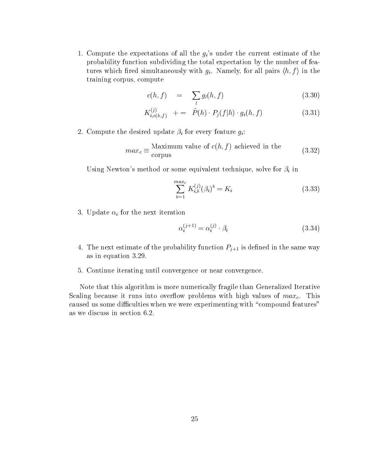1. Compute the expectations of all the  $g_i$ 's under the current estimate of the probability function subdividing the total expectation by the number of features which fired simultaneously with  $g_i$ . Namely, for all pairs  $\langle h, f \rangle$  in the training corpus, compute

l

$$
c(h, f) = \sum_{l} g_l(h, f) \tag{3.30}
$$

$$
K_{i,c(h,f)}^{(j)} + = \tilde{P}(h) \cdot P_j(f|h) \cdot g_i(h,f) \qquad (3.31)
$$

2. Compute the desired update i for every feature gi:

$$
max_c \equiv \frac{\text{Maximum value of } c(h, f) \text{ achieved in the}}{\text{corpus}} \tag{3.32}
$$

Using Newton's method or some equivalent technique, solve for  $\beta_i$  in

$$
\sum_{b=1}^{max_c} K_{i,b}^{(j)}(\beta_i)^b = K_i
$$
\n(3.33)

 $\sim$  Update in formulation in the next iteration is the next interaction in the next interaction in the next interaction in the next interaction in the next interaction in the next interaction in the next interaction in t

$$
\alpha_i^{(j+1)} = \alpha_i^{(j)} \cdot \beta_i \tag{3.34}
$$

- 4. The next estimate of the probability function  $P_{j+1}$  is defined in the same way as in equation 3.29.
- 5. Continue iterating until convergence or near convergence.

Note that this algorithm is more numerically fragile than Generalized Iterative Scaling because it runs into overflow problems with high values of  $max_c$ . This caused us some difficulties when we were experimenting with "compound features" as we discuss in section 6.2.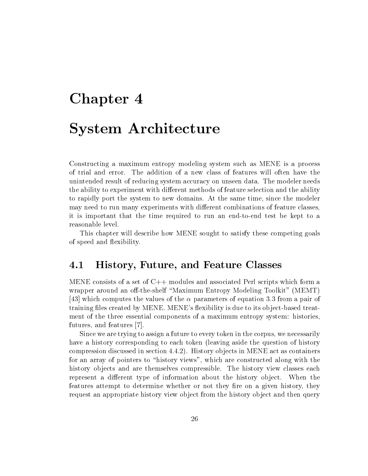# Chapter 4 System Architecture

Constructing a maximum entropy modeling system such as MENE is a process of trial and error. The addition of a new class of features will often have the unintended result of reducing system accuracy on unseen data. The modeler needs the ability to experiment with different methods of feature selection and the ability to rapidly port the system to new domains. At the same time, since the modeler may need to run many experiments with different combinations of feature classes, it is important that the time required to run an end-to-end test be kept to a reasonable level.

This chapter will describe how MENE sought to satisfy these competing goals of speed and flexibility.

#### $4.1\,$ 4.1 History, Future, and Feature Classes

MENE consists of a set of C++ modules and associated Perl scripts which form a wrapper around an off-the-shelf "Maximum Entropy Modeling Toolkit" (MEMT) [43] which computes the values of the  $\alpha$  parameters of equation 3.3 from a pair of training files created by MENE. MENE's flexibility is due to its object-based treatment of the three essential components of a maximum entropy system: histories, futures, and features [7].

Since we are trying to assign a future to every token in the corpus, we necessarily have a history corresponding to each token (leaving aside the question of history compression discussed in section 4.4.2). History ob jects in MENE act as containers for an array of pointers to "history views", which are constructed along with the history objects and are themselves compressible. The history view classes each represent a different type of information about the history object. When the features attempt to determine whether or not they fire on a given history, they request an appropriate history view object from the history object and then query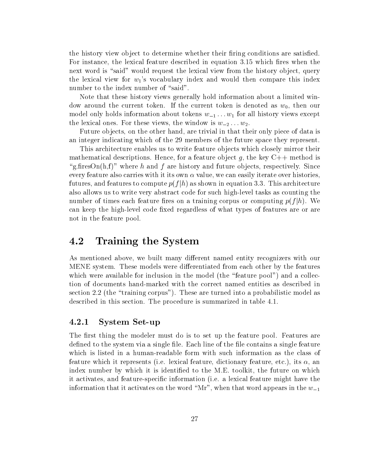the history view object to determine whether their firing conditions are satisfied. For instance, the lexical feature described in equation 3.15 which fires when the next word is "said" would request the lexical view from the history object, query the lexical view for  $w_1$ 's vocabulary index and would then compare this index number to the index number of "said".

Note that these history views generally hold information about a limited window around the current token. If the current token is denoted as  $w_0$ , then our model only holds information about tokens  $w_{-1} \ldots w_1$  for all history views except the lexical ones. For these views, the window is  $w_{-2} \ldots w_2$ .

Future objects, on the other hand, are trivial in that their only piece of data is an integer indicating which of the 29 members of the future space they represent.

This architecture enables us to write feature objects which closely mirror their mathematical descriptions. Hence, for a feature object g, the key  $C++$  method is "g.firesOn(h,f)" where h and f are history and future objects, respectively. Since every feature also carries with it its own  $\alpha$  value, we can easily iterate over histories. futures, and features to compute  $p(f|h)$  as shown in equation 3.3. This architecture also allows us to write very abstract code for such high-level tasks as counting the number of times each feature fires on a training corpus or computing  $p(f|h)$ . We can keep the high-level code fixed regardless of what types of features are or are not in the feature pool.

### 4.2 Training the System

As mentioned above, we built many different named entity recognizers with our MENE system. These models were differentiated from each other by the features which were available for inclusion in the model (the "feature pool") and a collection of documents hand-marked with the correct named entities as described in section 2.2 (the "training corpus"). These are turned into a probabilistic model as described in this section. The procedure is summarized in table 4.1.

#### 4.2.1 System Set-up

The first thing the modeler must do is to set up the feature pool. Features are defined to the system via a single file. Each line of the file contains a single feature which is listed in a human-readable form with such information as the class of feature which it represents (i.e. lexical feature, dictionary feature, etc.), its  $\alpha$ , an index number by which it is identified to the M.E. toolkit, the future on which it activates, and feature-specic information (i.e. a lexical feature might have the information that it activates on the word "Mr", when that word appears in the  $w_{-1}$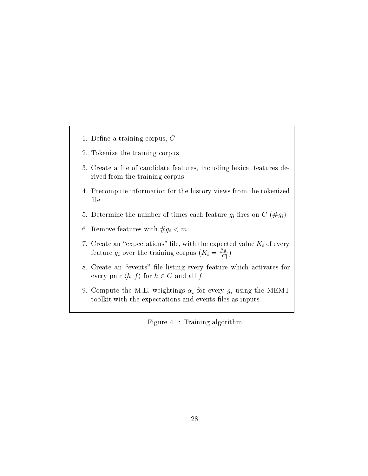- 1. Define a training corpus,  $C$
- 2. Tokenize the training corpus
- 3. Create a file of candidate features, including lexical features derived from the training corpus
- 4. Precompute information for the history views from the tokenized file
- $5.96$  berefore the number of times each feature given  $5.96$  feature given by  $5.96$  feature given by  $2.96$  feature given by  $2.96$  feature given by  $2.96$  feature given by  $2.96$  feature given by  $2.96$  feature given b
- for  $\alpha$  remove features with  $\alpha$  and  $\alpha$  and  $\alpha$  must be a more very set of  $\alpha$
- 7. Create an \expectations" le, with the expected value Ki of every feature  $g_i$  over the training corpus  $(K_i = \frac{n g_i}{|C|})$
- 8. Create an "events" file listing every feature which activates for every pair  $\langle h, f \rangle$  for  $h \in C$  and all f
- 9. Compute the M.E. weightings i for every gi using the MEMT toolkit with the expectations and events files as inputs

Figure 4.1: Training algorithm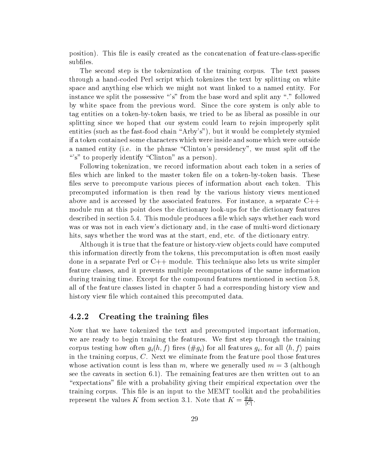position). This file is easily created as the concatenation of feature-class-specific subfiles.

The second step is the tokenization of the training corpus. The text passes through a hand-coded Perl script which tokenizes the text by splitting on white space and anything else which we might not want linked to a named entity. For instance we split the possessive "s" from the base word and split any "." followed by white space from the previous word. Since the core system is only able to tag entities on a token-by-token basis, we tried to be as liberal as possible in our splitting since we hoped that our system could learn to rejoin improperly split entities (such as the fast-food chain "Arby's"), but it would be completely stymied if a token contained some characters which were inside and some which were outside a named entity (i.e. in the phrase "Clinton's presidency", we must split off the "'s" to properly identify "Clinton" as a person).

Following tokenization, we record information about each token in a series of files which are linked to the master token file on a token-by-token basis. These files serve to precompute various pieces of information about each token. This precomputed information is then read by the various history views mentioned above and is accessed by the associated features. For instance, a separate  $C++$ module run at this point does the dictionary look-ups for the dictionary features described in section 5.4. This module produces a file which says whether each word was or was not in each view's dictionary and, in the case of multi-word dictionary hits, says whether the word was at the start, end, etc. of the dictionary entry.

Although it is true that the feature or history-view ob jects could have computed this information directly from the tokens, this precomputation is often most easily done in a separate Perl or C++ module. This technique also lets us write simpler feature classes, and it prevents multiple recomputations of the same information during training time. Except for the compound features mentioned in section 5.8, all of the feature classes listed in chapter 5 had a corresponding history view and history view file which contained this precomputed data.

#### 4.2.2 Creating the training files

Now that we have tokenized the text and precomputed important information, we are ready to begin training the features. We first step through the training corpus testing how often  $g_i(h, f)$  fires  $(\# g_i)$  for all features  $g_i$ , for all  $\langle h, f \rangle$  pairs in the training corpus, C. Next we eliminate from the feature pool those features whose activation count is less than m, where we generally used  $m = 3$  (although see the caveats in section 6.1). The remaining features are then written out to an "expectations" file with a probability giving their empirical expectation over the training corpus. This file is an input to the MEMT toolkit and the probabilities represent the values K from section 3.1. Note that  $K = \frac{d^2}{|C|}$ .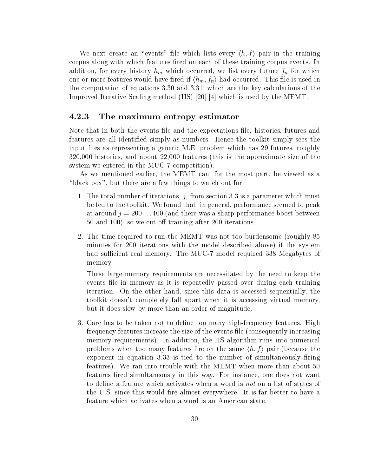We next create an "events" file which lists every  $\langle h, f \rangle$  pair in the training corpus along with which features fired on each of these training corpus events. In addition, for every help hold  $\mu$  hill where every future for the future future fn for which  $\mu$ one or more features would have fired if  $\langle h_m, f_n \rangle$  had occurred. This file is used in the computation of equations 3.30 and 3.31, which are the key calculations of the Improved Iterative Scaling method (IIS) [20] [4] which is used by the MEMT.

#### 4.2.3 The maximum entropy estimator

Note that in both the events file and the expectations file, histories, futures and features are all identied simply as numbers. Hence the toolkit simply sees the input files as representing a generic M.E. problem which has 29 futures, roughly 320,000 histories, and about 22,000 features (this is the approximate size of the system we entered in the MUC-7 competition).

As we mentioned earlier, the MEMT can, for the most part, be viewed as a "black box", but there are a few things to watch out for:

- 1. The total number of iterations, j, from section 3.3 is a parameter which must be fed to the toolkit. We found that, in general, performance seemed to peak at around  $j = 200 \ldots 400$  (and there was a sharp performance boost between 50 and 100), so we cut off training after 200 iterations.
- 2. The time required to run the MEMT was not too burdensome (roughly 85 minutes for 200 iterations with the model described above) if the system had sufficient real memory. The MUC-7 model required 338 Megabytes of memory.

These large memory requirements are necessitated by the need to keep the events file in memory as it is repeatedly passed over during each training iteration. On the other hand, since this data is accessed sequentially, the toolkit doesn't completely fall apart when it is accessing virtual memory, but it does slow bymore than an order of magnitude.

3. Care has to be taken not to define too many high-frequency features. High frequency features increase the size of the events le (consequently increasing memory requirements). In addition, the IIS algorithm runs into numerical problems when too many features fire on the same  $\langle h, f \rangle$  pair (because the exponent in equation 3.33 is tied to the number of simultaneously firing features). We ran into trouble with the MEMT when more than about 50 features fired simultaneously in this way. For instance, one does not want to define a feature which activates when a word is not on a list of states of the U.S. since this would fire almost everywhere. It is far better to have a feature which activates when a word is an American state.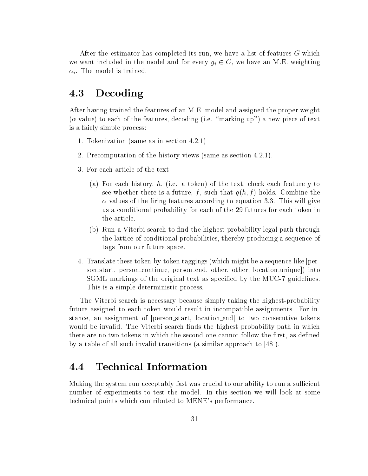After the estimator has completed its run, we have a list of features G which we want included in the model and for every  $g_i \in G$ , we have an M.E. weighting  $\alpha_i$ . The model is trained.

# 4.3 Decoding

After having trained the features of an M.E. model and assigned the proper weight  $(\alpha$  value) to each of the features, decoding (i.e. "marking up") a new piece of text is a fairly simple process:

- 1. Tokenization (same as in section 4.2.1)
- 2. Precomputation of the history views (same as section 4.2.1).
- 3. For each article of the text
	- (a) For each history, h, (i.e. a token) of the text, check each feature g to see whether there is a future, f, such that  $g(h, f)$  holds. Combine the  $\alpha$  values of the firing features according to equation 3.3. This will give us a conditional probability for each of the 29 futures for each token in the article.
	- (b) Run a Viterbi search to find the highest probability legal path through the lattice of conditional probabilities, thereby producing a sequence of tags from our future space.
- 4. Translate these token-by-token taggings (which might be a sequence like [person start, person continue, person end, other, other, location unique]) into SGML markings of the original text as specied by the MUC-7 guidelines. This is a simple deterministic process.

The Viterbi search is necessary because simply taking the highest-probability future assigned to each token would result in incompatible assignments. For instance, an assignment of [person start, location end] to two consecutive tokens would be invalid. The Viterbi search finds the highest probability path in which there are no two tokens in which the second one cannot follow the first, as defined by a table of all such invalid transitions (a similar approach to [48]).

#### **Technical Information**  $4.4\,$

Making the system run acceptably fast was crucial to our ability to run a sufficient number of experiments to test the model. In this section we will look at some technical points which contributed to MENE's performance.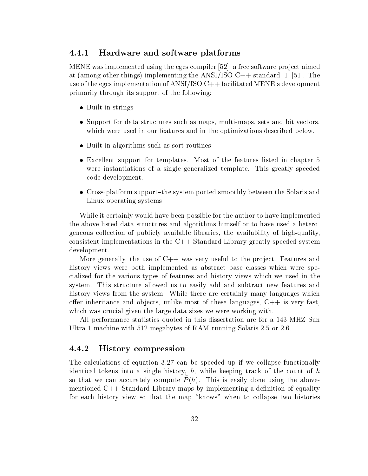#### 4.4.1 Hardware and software platforms

MENE was implemented using the egcs compiler  $[52]$ , a free software project aimed at (among other things) implementing the ANSI/ISO  $C++$  standard [1] [51]. The use of the egcs implementation of ANSI/ISO  $C++$  facilitated MENE's development primarily through its support of the following:

- $\bullet$  built-in strings
- $\bullet$  support for data structures such as maps, multi-maps, sets and bit vectors, which were used in our features and in the optimizations described below.
- $\bullet$  Built-in algorithms such as sort routines
- $\bullet$  excellent support for templates. Most of the features fisted in chapter  $5$ were instantiations of a single generalized template. This greatly speeded code development.
- $\bullet$  Cross-platform support-the system ported smoothly between the Solaris and Linux operating systems

While it certainly would have been possible for the author to have implemented the above-listed data structures and algorithms himself or to have used a heterogeneous collection of publicly available libraries, the availability of high-quality, consistent implementations in the C++ Standard Library greatly speeded system development.

More generally, the use of  $C++$  was very useful to the project. Features and history views were both implemented as abstract base classes which were specialized for the various types of features and history views which we used in the system. This structure allowed us to easily add and subtract new features and history views from the system. While there are certainly many languages which offer inheritance and objects, unlike most of these languages,  $C++$  is very fast, which was crucial given the large data sizes we were working with.

All performance statistics quoted in this dissertation are for a 143 MHZ Sun Ultra-1 machine with 512 megabytes of RAM running Solaris 2.5 or 2.6.

#### 4.4.2 History compression

The calculations of equation 3.27 can be speeded up if we collapse functionally identical tokens into a single history,  $h$ , while keeping track of the count of  $h$ so that we can accurately compute  $P_{\perp}(n)$ . This is easily done using the abovementioned  $C_{++}$  Standard Library maps by implementing a definition of equality for each history view so that the map "knows" when to collapse two histories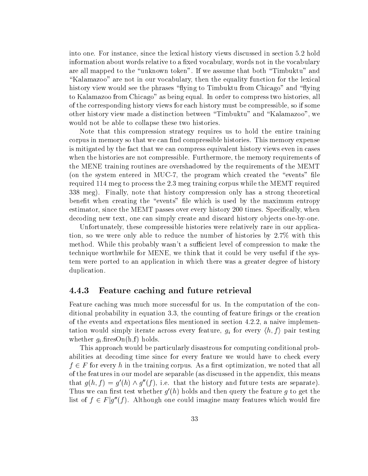into one. For instance, since the lexical history views discussed in section 5.2 hold information about words relative to a fixed vocabulary, words not in the vocabulary are all mapped to the "unknown token". If we assume that both "Timbuktu" and "Kalamazoo" are not in our vocabulary, then the equality function for the lexical history view would see the phrases "flying to Timbuktu from Chicago" and "flying to Kalamazoo from Chicago" as being equal. In order to compress two histories, all of the corresponding history views for each history must be compressible, so if some other history view made a distinction between \Timbuktu" and \Kalamazoo", we would not be able to collapse these two histories.

Note that this compression strategy requires us to hold the entire training corpus in memory so that we can find compressible histories. This memory expense is mitigated by the fact that we can compress equivalent history views even in cases when the histories are not compressible. Furthermore, the memory requirements of the MENE training routines are overshadowed by the requirements of the MEMT (on the system entered in MUC-7, the program which created the "events" file required 114 meg to process the 2.3 meg training corpus while the MEMT required 338 meg). Finally, note that history compression only has a strong theoretical benefit when creating the "events" file which is used by the maximum entropy estimator, since the MEMT passes over every history 200 times. Specically, when decoding new text, one can simply create and discard history objects one-by-one.

Unfortunately, these compressible histories were relatively rare in our application, so we were only able to reduce the number of histories by 2.7% with this method. While this probably wasn't a sufficient level of compression to make the technique worthwhile for MENE, we think that it could be very useful if the system were ported to an application in which there was a greater degree of history duplication.

#### 4.4.3 Feature caching and future retrieval

Feature caching was much more successful for us. In the computation of the conditional probability in equation  $3.3$ , the counting of feature firings or the creation of the events and expectations files mentioned in section  $4.2.2$ , a naive implementation would simply iterate across every feature,  $g_i$  for every  $\langle n, f \rangle$  pair testing whether  $g_i$  firesOn(h,f) holds.

This approach would be particularly disastrous for computing conditional probabilities at decoding time since for every feature we would have to check every  $f \in F$  for every h in the training corpus. As a first optimization, we noted that all of the features in our model are separable (as discussed in the appendix, this means that  $q(n, t) = q(n) \wedge q(t)$ , i.e. that the history and future tests are separate). Thus we can first test whether  $q(n)$  holds and then query the feature  $q$  to get the list of  $\tau \in F$  of (f). Although one could imagine many features which would fire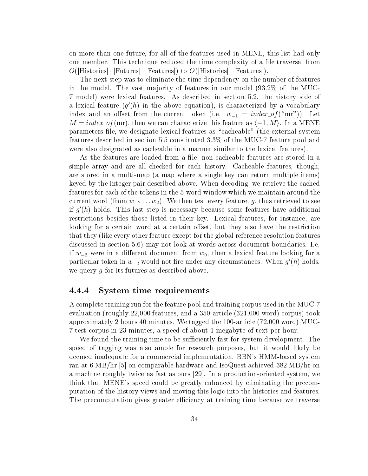on more than one future, for all of the features used in MENE, this list had only one member. This technique reduced the time complexity of a file traversal from  $O(|\text{Histories}|\cdot|\text{Futures}|\cdot|\text{Features}|)$  to  $O(|\text{Histories}|\cdot|\text{Features}|)$ .

The next step was to eliminate the time dependency on the number of features in the model. The vast majority of features in our model (93.2\%) of the MUC-7 model) were lexical features. As described in section 5.2, the history side of a lexical feature ( $g\left(n\right)$  in the above equation), is characterized by a vocabulary index and an offset from the current token (i.e.  $w_{-1} = index\_of("mr")$ ). Let  $M = index\_of(mr)$ , then we can characterize this feature as  $\langle -1, M \rangle$ . In a MENE parameters file, we designate lexical features as "cacheable" (the external system features described in section 5.5 constituted 3.3% of theMUC-7 feature pool and were also designated as cacheable in a manner similar to the lexical features).

As the features are loaded from a file, non-cacheable features are stored in a simple array and are all checked for each history. Cacheable features, though, are stored in a multi-map (a map where a single key can return multiple items) keyed by the integer pair described above. When decoding, we retrieve the cached features for each of the tokens in the 5-word-window which we maintain around the current word (from  $w_{-2} \ldots w_2$ ). We then test every feature, g, thus retrieved to see  $\scriptstyle\rm II$  g  $\scriptstyle\rm II$  holds. This last step is necessary because some features have additional restrictions besides those listed in their key. Lexical features, for instance, are looking for a certain word at a certain offset, but they also have the restriction that they (like every other feature except for the global reference resolution features discussed in section 5.6) may not look at words across document boundaries. I.e. if  $w_{-2}$  were in a different document from  $w_0$ , then a lexical feature looking for a particular token in  $w_{-2}$  would not fire under any circumstances. When  $g\left(n\right)$  holds, we query g for its futures as described above.

#### 4.4.4 System time requirements

A complete training run for the feature pool and training corpus used in the MUC-7 evaluation (roughly 22,000 features, and a 350-article (321,000 word) corpus) took approximately 2 hours 40 minutes. We tagged the 100-article (72,000 word) MUC-7 test corpus in 23 minutes, a speed of about 1 megabyte of text per hour.

We found the training time to be sufficiently fast for system development. The speed of tagging was also ample for research purposes, but it would likely be deemed inadequate for a commercial implementation. BBN's HMM-based system ran at 6 MB/hr [5] on comparable hardware and IsoQuest achieved 382 MB/hr on a machine roughly twice as fast as ours [29]. In a production-oriented system, we think that MENE's speed could be greatly enhanced by eliminating the precomputation of the history views and moving this logic into the histories and features. The precomputation gives greater efficiency at training time because we traverse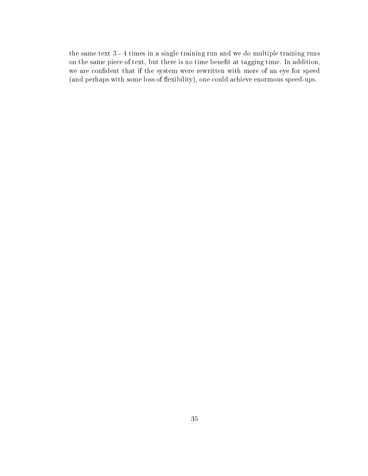the same text 3 - 4 times in a single training run and we do multiple training runs on the same piece of text, but there is no time benefit at tagging time. In addition, we are condent that if the system were rewritten with more of an eye for speed (and perhaps with some loss of flexibility), one could achieve enormous speed-ups.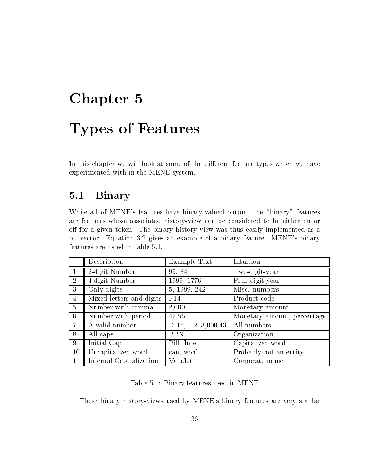# Chapter 5 Types of Features

In this chapter we will look at some of the different feature types which we have experimented with in the MENE system.

# 5.1 Binary

While all of MENE's features have binary-valued output, the "binary" features are features whose associated history-view can be considered to be either on or off for a given token. The binary history view was thus easily implemented as a bit-vector. Equation 3.2 gives an example of a binary feature. MENE's binary features are listed in table 5.1.

|                 | Description              | Example Text           | Intuition                   |
|-----------------|--------------------------|------------------------|-----------------------------|
|                 | 2-digit Number           | 99, 84                 | Two-digit-year              |
| $\overline{2}$  | 4-digit Number           | 1999, 1776             | Four-digit-year             |
| 3               | Only digits              | 5, 1999, 242           | Misc. numbers               |
| $\overline{4}$  | Mixed letters and digits | F14                    | Product code                |
| $\overline{5}$  | Number with comma        | 2,000                  | Monetary amount             |
| $6\phantom{.}6$ | Number with period       | 42.56                  | Monetary amount, percentage |
|                 | A valid number           | $-3.15, .12, 3,000.43$ | All numbers                 |
| 8               | All-caps                 | <b>BBN</b>             | Organization                |
| 9               | Initial Cap              | Bill, Intel            | Capitalized word            |
| 10              | Uncapitalized word       | can, won't             | Probably not an entity      |
| 11              | Internal Capitalization  | ValuJet                | Corporate name              |

Table 5.1: Binary features used in MENE

These binary history-views used by MENE's binary features are very similar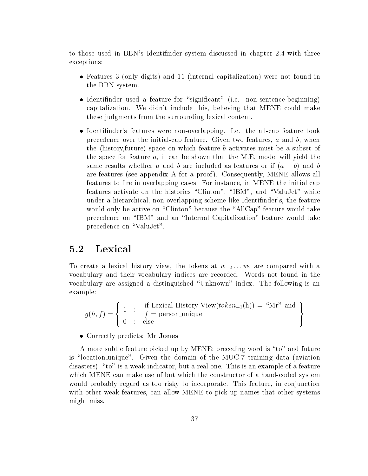to those used in BBN's Identinder system discussed in chapter 2.4 with three exceptions:

- Features 3 (only digits) and 11 (internal capitalization) were not found in the BBN system.
- $\bullet$  identimider used a feature for  $\,$  significant  $\,$  (i.e. non-sentence-beginning)  $\,$ capitalization. We didn't include this, believing that MENE could make these judgments from the surrounding lexical content.
- Identifinder's features were non-overlapping. I.e. the all-cap feature took precedence over the initial-cap feature. Given two features,  $a$  and  $b$ , when the  $\langle$ history,future $\rangle$  space on which feature b activates must be a subset of the space for feature  $a$ , it can be shown that the M.E. model will yield the same results whether a and b are included as features or if  $(a - b)$  and b are features (see appendix A for a proof). Consequently, MENE allows all features to fire in overlapping cases. For instance, in MENE the initial cap features activate on the histories "Clinton", "IBM", and "ValuJet" while under a hierarchical, non-overlapping scheme like Identinder's, the feature would only be active on "Clinton" because the "AllCap" feature would take precedence on "IBM" and an "Internal Capitalization" feature would take precedence on "ValuJet".

#### $5.2$ **Lexical**

To create a lexical history view, the tokens at  $w_{-2} \ldots w_2$  are compared with a vocabulary and their vocabulary indices are recorded. Words not found in the vocabulary are assigned a distinguished \Unknown" index. The following is an example:

$$
g(h, f) = \left\{ \begin{array}{rcl} 1 & \text{: if Lexical-History-View}(token_{-1}(h)) = \text{``Mr'' and} \\ 0 & \text{: else} \end{array} \right\}
$$

• Correctly predicts: Mr Jones

A more subtle feature picked up by MENE: preceding word is \to" and future is "location unique". Given the domain of the MUC-7 training data (aviation disasters), "to" is a weak indicator, but a real one. This is an example of a feature which MENE can make use of but which the constructor of a hand-coded system would probably regard as too risky to incorporate. This feature, in conjunction with other weak features, can allow MENE to pick up names that other systems might miss.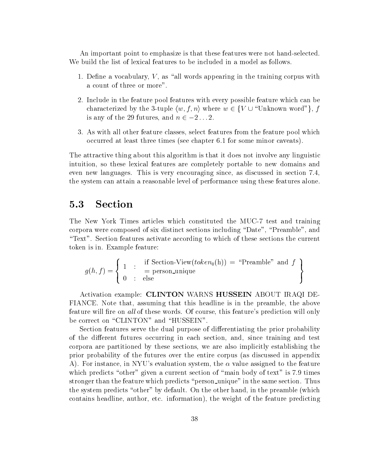An important point to emphasize is that these features were not hand-selected. We build the list of lexical features to be included in a model as follows.

- 1. Define a vocabulary,  $V$ , as "all words appearing in the training corpus with a count of three or more".
- 2. Include in the feature pool features with every possible feature which can be Include in the feature pool features with every possible feature which can be<br>characterized by the 3-tuple  $\langle w, f, n \rangle$  where  $w \in \{V \cup$  "Unknown word" }, *f* Include in the feature pool features with every p-<br>characterized by the 3-tuple  $\langle w, f, n \rangle$  where  $w \in$ <br>is any of the 29 futures, and  $n \in -2...2$ .
- 3. As with all other feature classes, select features from the feature pool which occurred at least three times (see chapter 6.1 for some minor caveats).

The attractive thing about this algorithm is that it does not involve any linguistic intuition, so these lexical features are completely portable to new domains and even new languages. This is very encouraging since, as discussed in section 7.4, the system can attain a reasonable level of performance using these features alone.

### 5.3 Section

The New York Times articles which constituted the MUC-7 test and training corpora were composed of six distinct sections including "Date", "Preamble", and \Text". Section features activate according to which of these sections the current token is in. Example feature:

$$
g(h, f) = \left\{ \begin{array}{rcl} 1 & \text{: if Section-View}(token_0(h)) = \text{``Preample''} \\ 0 & \text{: else} \end{array} \right\}
$$

Activation example: CLINTON WARNS HUSSEIN ABOUT IRAQI DE-FIANCE. Note that, assuming that this headline is in the preamble, the above feature will fire on all of these words. Of course, this feature's prediction will only be correct on "CLINTON" and "HUSSEIN".

Section features serve the dual purpose of differentiating the prior probability of the different futures occurring in each section, and, since training and test corpora are partitioned by these sections, we are also implicitly establishing the prior probability of the futures over the entire corpus (as discussed in appendix A). For instance, in NYU's evaluation system, the  $\alpha$  value assigned to the feature which predicts "other" given a current section of "main body of text" is 7.9 times stronger than the feature which predicts "person unique" in the same section. Thus the system predicts "other" by default. On the other hand, in the preamble (which contains headline, author, etc. information), the weight of the feature predicting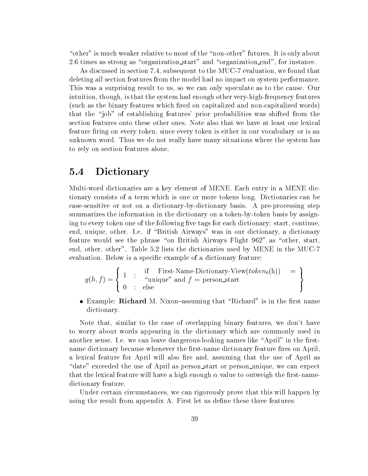"other" is much weaker relative to most of the "non-other" futures. It is only about 2.6 times as strong as "organization start" and "organization end", for instance.

As discussed in section 7.4, subsequent to the MUC-7 evaluation, we found that deleting all section features from the model had no impact on system performance. This was a surprising result to us, so we can only speculate as to the cause. Our intuition, though, is that the system had enough other very-high-frequency features (such as the binary features which fired on capitalized and non-capitalized words) that the \job" of establishing features' prior probabilities was shifted from the section features onto these other ones. Note also that we have at least one lexical feature firing on every token, since every token is either in our vocabulary or is an unknown word. Thus we do not really have many situations where the system has to rely on section features alone.

### 5.4 Dictionary

Multi-word dictionaries are a key element of MENE. Each entry in a MENE dictionary consists of a term which is one or more tokens long. Dictionaries can be case-sensitive or not on a dictionary-by-dictionary basis. A pre-processing step summarizes the information in the dictionary on a token-by-token basis by assigning to every token one of the following five tags for each dictionary: start, continue, end, unique, other. I.e. if "British Airways" was in our dictionary, a dictionary feature would see the phrase "on British Airways Flight  $962$ " as "other, start, end, other, other". Table 5.2 lists the dictionaries used by MENE in the MUC-7 evaluation. Below is a specific example of a dictionary feature:

$$
g(h, f) = \left\{ \begin{array}{rcl} 1 & \colon & \text{if} & \text{First-Name-Dictionary-View}(token_0(h)) & = \\ 0 & \colon & \text{else} \end{array} \right\}
$$

 $\bullet$  example: Kichard M. Nixon-assuming that  $\,$  Kichard  $\,$  is in the first name  $\,$ dictionary.

Note that, similar to the case of overlapping binary features, we don't have to worry about words appearing in the dictionary which are commonly used in another sense. I.e. we can leave dangerous-looking names like "April" in the firstname dictionary because whenever the first-name dictionary feature fires on April, a lexical feature for April will also fire and, assuming that the use of April as "date" exceeded the use of April as person\_start or person\_unique, we can expect that the lexical feature will have a high enough  $\alpha$  value to outweigh the first-namedictionary feature.

Under certain circumstances, we can rigorously prove that this will happen by using the result from appendix  $A$ . First let us define these three features: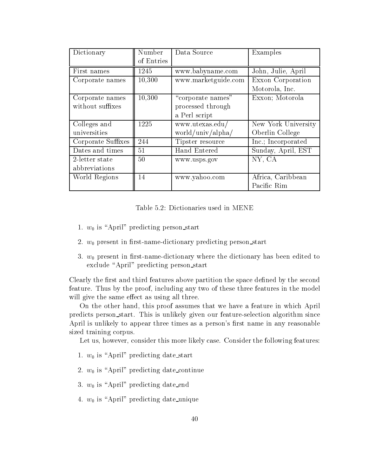| Dictionary         | Number     | Data Source         | Examples            |  |
|--------------------|------------|---------------------|---------------------|--|
|                    | of Entries |                     |                     |  |
| First names        | 1245       | www.babyname.com    | John, Julie, April  |  |
| Corporate names    | 10,300     | www.marketguide.com | Exxon Corporation   |  |
|                    |            |                     | Motorola, Inc.      |  |
| Corporate names    | 10,300     | "corporate names"   | Exxon; Motorola     |  |
| without suffixes   |            | processed through   |                     |  |
|                    |            | a Perl script       |                     |  |
| Colleges and       | 1225       | www.utexas.edu/     | New York University |  |
| universities       |            | world/univ/alpha/   | Oberlin College     |  |
| Corporate Suffixes | 244        | Tipster resource    | Inc.; Incorporated  |  |
| Dates and times    | 51         | Hand Entered        | Sunday, April, EST  |  |
| 2-letter state     | 50         | www.usps.gov        | NY, CA              |  |
| abbreviations      |            |                     |                     |  |
| World Regions      | 14         | www.yahoo.com       | Africa, Caribbean   |  |
|                    |            |                     | Pacific Rim         |  |

Table 5.2: Dictionaries used in MENE

- 1.  $w_0$  is "April" predicting person start
- 2.  $w_0$  present in first-name-dictionary predicting person start
- 3.  $w_0$  present in first-name-dictionary where the dictionary has been edited to exclude "April" predicting person start

Clearly the first and third features above partition the space defined by the second feature. Thus by the proof, including any two of these three features in the model will give the same effect as using all three.

On the other hand, this proof assumes that we have a feature in which April predicts person start. This is unlikely given our feature-selection algorithm since April is unlikely to appear three times as a person's first name in any reasonable sized training corpus.

Let us, however, consider this more likely case. Consider the following features:

- 1.  $w_0$  is "April" predicting date start
- 2.  $w_0$  is "April" predicting date continue
- 3.  $w_0$  is "April" predicting date end
- 4.  $w_0$  is "April" predicting date unique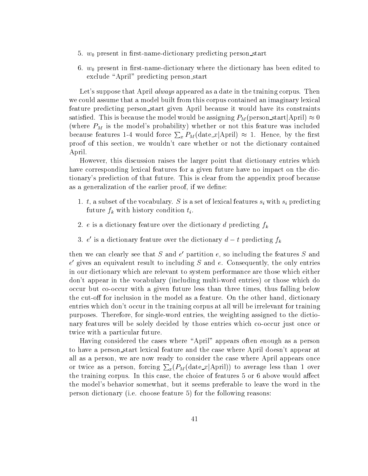- 5.  $w_0$  present in first-name-dictionary predicting person-start
- 6.  $w_0$  present in first-name-dictionary where the dictionary has been edited to exclude "April" predicting person start

Let's suppose that April *always* appeared as a date in the training corpus. Then we could assume that a model built from this corpus contained an imaginary lexical feature predicting person start given April because it would have its constraints satisfied. This is because the model would be assigning  $P_M$ (person\_start|April)  $\approx 0$ (where  $P_M$  is the model's probability) whether or not this feature was included because features 1-4 would force  $\sum_{x} P_M({\rm date\_}x|{\rm April}) \approx 1$ . Hence, by the first proof of this section, we wouldn't care whether or not the dictionary contained April.

However, this discussion raises the larger point that dictionary entries which have corresponding lexical features for a given future have no impact on the dictionary's prediction of that future. This is clear from the appendix proof because as a generalization of the earlier proof, if we define:

- $\mathbf{u} = \mathbf{u} \cdot \mathbf{v}$  is a set of leads in the vocabulary. Since  $\mathbf{u} = \mathbf{u} \cdot \mathbf{v}$  with since  $\mathbf{u} = \mathbf{u} \cdot \mathbf{v}$ future function function time  $f$  and the function of  $f$  . In the function time  $f$  , we can consider the function of  $f$
- 2. e is a dictionary feature over the dictionary d predicting  $f_k$
- 3. e is a dictionary feature over the dictionary  $a i$  predicting  $f_k$

then we can clearly see that  $S$  and  $e$  -partition  $e$ , so including the features  $S$  and  $e$  gives an equivalent result to including  $\beta$  and  $e$ . Consequently, the only entries in our dictionary which are relevant to system performance are those which either don't appear in the vocabulary (including multi-word entries) or those which do occur but co-occur with a given future less than three times, thus falling below the cut-off for inclusion in the model as a feature. On the other hand, dictionary entries which don't occur in the training corpus at all will be irrelevant for training purposes. Therefore, for single-word entries, the weighting assigned to the dictionary features will be solely decided by those entries which co-occur just once or twice with a particular future.

Having considered the cases where \April" appears often enough as a person to have a person start lexical feature and the case where April doesn't appear at all as a person, we are now ready to consider the case where April appears once or twice as a person, forcing  $\sum_x(P_M(\text{date\_x}|\text{April}))$  to average less than 1 over the training corpus. In this case, the choice of features 5 or 6 above would affect the model's behavior somewhat, but it seems preferable to leave the word in the person dictionary (i.e. choose feature 5) for the following reasons: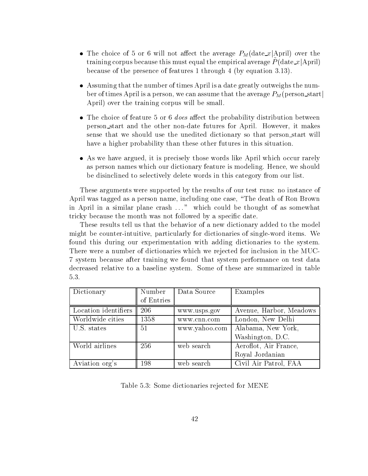- $\bullet$  The choice of 5 or 6 will not affect the average  $P_M$ (date  $x$  April) over the  ${\rm training}$  corpus because this must equal the empirical average  $P({\rm date\_}x|{\rm April})$ because of the presence of features 1 through 4 (by equation 3.13).
- Assuming that the number of times April is a date greatly outweighs the number of times April is a person, we can assume that the average  $P_M$ (person\_start) April) over the training corpus will be small.
- $\bullet$  The choice of feature 5 or 6 *does* affect the probability distribution between person start and the other non-date futures for April. However, it makes sense that we should use the unedited dictionary so that person start will have a higher probability than these other futures in this situation.
- As we have argued, it is precisely those words like April which occur rarely as person names which our dictionary feature is modeling. Hence, we should be disinclined to selectively delete words in this category from our list.

These arguments were supported by the results of our test runs: no instance of April was tagged as a person name, including one case, "The death of Ron Brown in April in a similar plane crash ..." which could be thought of as somewhat tricky because the month was not followed by a specific date.

These results tell us that the behavior of a new dictionary added to the model might be counter-intuitive, particularly for dictionaries of single-word items. We found this during our experimentation with adding dictionaries to the system. There were a number of dictionaries which we rejected for inclusion in the MUC-7 system because after training we found that system performance on test data decreased relative to a baseline system. Some of these are summarized in table 5.3.

| Dictionary           | Number     | Data Source   | Examples                |
|----------------------|------------|---------------|-------------------------|
|                      | of Entries |               |                         |
| Location identifiers | 206        | www.usps.gov  | Avenue, Harbor, Meadows |
| Worldwide cities     | 1358       | www.cnn.com   | London, New Delhi       |
| U.S. states          | 51         | www.yahoo.com | Alabama, New York,      |
|                      |            |               | Washington, D.C.        |
| World airlines       | 256        | web search    | Aeroflot, Air France,   |
|                      |            |               | Royal Jordanian         |
| Aviation org's       | 198        | web search    | Civil Air Patrol, FAA   |

Table 5.3: Some dictionaries rejected for MENE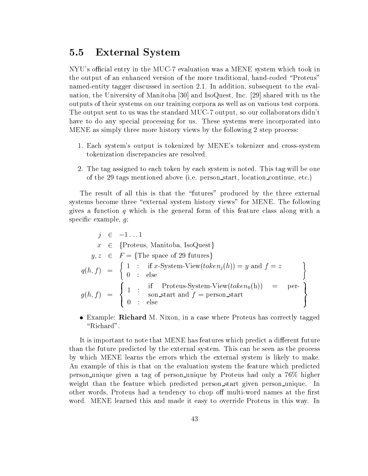## 5.5 External System

NYU's official entry in the MUC-7 evaluation was a MENE system which took in the output of an enhanced version of the more traditional, hand-coded \Proteus" named-entity tagger discussed in section 2.1. In addition, subsequent to the evaluation, the University of Manitoba [30] and IsoQuest, Inc. [29] shared with us the outputs of their systems on our training corpora as well as on various test corpora. The output sent to us was the standard MUC-7 output, so our collaborators didn't have to do any special processing for us. These systems were incorporated into MENE as simply three more history views by the following 2 step process:

- 1. Each system's output is tokenized by MENE's tokenizer and cross-system tokenization discrepancies are resolved.
- 2. The tag assigned to each token by each system is noted. This tag will be one of the 29 tags mentioned above (i.e. person start, location continue, etc.)

The result of all this is that the "futures" produced by the three external systems become three "external system history views" for MENE. The following gives a function q which is the general form of this feature class along with a specific example,  $q$ :

$$
j \in -1...1
$$
  
\n $x \in \{\text{Proteus, Manitoba, IsoQuest}\}\$   
\n $y, z \in F = \{\text{The space of 29 futures}\}\$   
\n $q(h, f) = \begin{cases} 1 : \text{ if } x\text{-System-View}(token_j(h)) = y \text{ and } f = z\\ 0 : \text{ else}\end{cases}$   
\n $g(h, f) = \begin{cases} 1 : \text{ if Proteus-System-View}(token_0(h)) = \text{per-}\}\ 0 : \text{ else}\end{cases}$ 

 $\bullet$  Example: Kichard M. Nixon, in a case where Proteus has correctly tagged "Richard".

It is important to note that MENE has features which predict a different future than the future predicted by the external system. This can be seen as the process by which MENE learns the errors which the external system is likely to make. An example of this is that on the evaluation system the feature which predicted person unique given <sup>a</sup> tag of person unique by Proteus had only <sup>a</sup> 76% higher weight than the feature which predicted person\_start given person\_unique. In other words, Proteus had a tendency to chop off multi-word names at the first word. MENE learned this and made it easy to override Proteus in this way. In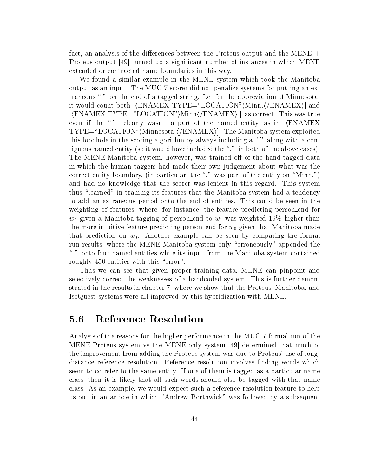fact, an analysis of the differences between the Proteus output and the MENE  $+$ Proteus output [49] turned up a significant number of instances in which MENE extended or contracted name boundaries in this way.

We found a similar example in the MENE system which took the Manitoba output as an input. The MUC-7 scorer did not penalize systems for putting an extraneous "." on the end of a tagged string. I.e. for the abbreviation of Minnesota, it would count both  $[\n\langle \text{ENAMEX} \text{ TYPE}=\text{``LOCATION''}\n\rangle \text{Minn.}\n\langle \text{/ENAMEX}\n\rangle]$  and  $[\n\langle \text{ENAMEX TYPE} = \text{``LOCATION''}\n\langle \text{Minn}\n\langle \text{ENAMEX}\n\rangle.]\n\] as correct. This was true.$ even if the "." clearly wasn't a part of the named entity, as in  $KENAMEX$  $TYPE=\text{``LOCATION''}$ )Minnesota. $\langle$ /ENAMEX). The Manitoba system exploited this loophole in the scoring algorithm by always including a "." along with a contiguous named entity (so it would have included the \." in both of the above cases). The MENE-Manitoba system, however, was trained off of the hand-tagged data in which the human taggers had made their own judgement about what was the correct entity boundary, (in particular, the "." was part of the entity on "Minn.") and had no knowledge that the scorer was lenient in this regard. This system thus \learned" in training its features that the Manitoba system had a tendency to add an extraneous period onto the end of entities. This could be seen in the weighting of features, where, for instance, the feature predicting person end for  $w_0$  given a Manitoba tagging of person end to  $w_1$  was weighted 19% higher than the more intuitive feature predicting person end for  $w_0$  given that Manitoba made that prediction on  $w_0$ . Another example can be seen by comparing the formal run results, where the MENE-Manitoba system only "erroneously" appended the \." onto four named entities while its input from the Manitoba system contained roughly 450 entities with this "error".

Thus we can see that given proper training data, MENE can pinpoint and selectively correct the weaknesses of a handcoded system. This is further demonstrated in the results in chapter 7, where we show that the Proteus, Manitoba, and IsoQuest systems were all improved by this hybridization with MENE.

## 5.6 Reference Resolution

Analysis of the reasons for the higher performance in the MUC-7 formal run of the MENE-Proteus system vs the MENE-only system [49] determined that much of the improvement from adding the Proteus system was due to Proteus' use of longdistance reference resolution. Reference resolution involves finding words which seem to co-refer to the same entity. If one of them is tagged asa particular name class, then it is likely that all such words should also be tagged with that name class. As an example, we would expect such a reference resolution feature to help us out in an article in which "Andrew Borthwick" was followed by a subsequent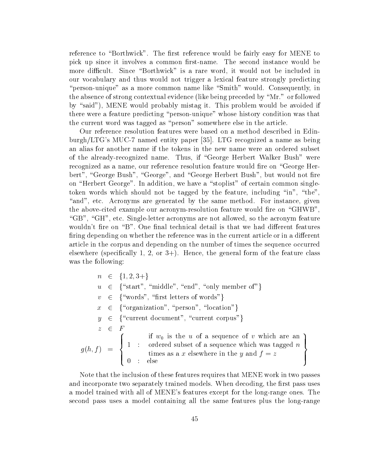reference to "Borthwick". The first reference would be fairly easy for MENE to pick up since it involves a common first-name. The second instance would be more difficult. Since "Borthwick" is a rare word, it would not be included in our vocabulary and thus would not trigger a lexical feature strongly predicting "person-unique" as a more common name like "Smith" would. Consequently, in the absence of strong contextual evidence (like being preceded by \Mr." or followed by "said"), MENE would probably mistag it. This problem would be avoided if there were a feature predicting \person-unique" whose history condition was that the current word was tagged as "person" somewhere else in the article.

Our reference resolution features were based on a method described in Edinburgh/LTG's MUC-7 named entity paper [35]. LTG recognized a name as being an alias for another name if the tokens in the new name were an ordered subset of the already-recognized name. Thus, if "George Herbert Walker Bush" were recognized as a name, our reference resolution feature would fire on "George Herbert", "George Bush", "George", and "George Herbert Bush", but would not fire on "Herbert George". In addition, we have a "stoplist" of certain common singletoken words which should not be tagged by the feature, including "in", "the", "and", etc. Acronyms are generated by the same method. For instance, given the above-cited example our acronym-resolution feature would fire on "GHWB". "GB", "GH", etc. Single-letter acronyms are not allowed, so the acronym feature wouldn't fire on "B". One final technical detail is that we had different features firing depending on whether the reference was in the current article or in a different article in the corpus and depending on the number of times the sequence occurred elsewhere (specifically 1, 2, or  $3+$ ). Hence, the general form of the feature class was the following:

 $n \in \{1, 2, 3+\}$  $u \in \{$  "start", "middle", "end", "only member of"}  $v \in \{$  "words", "first letters of words"}  $x \in \{$  "organization", "person", "location"}  $y \in \{$  "current document", "current corpus"}  $z$   $\leftarrow$   $r$  $\mathcal{F}$  , f  $\mathcal{F}$  , f  $\mathcal{F}$  , and  $\mathcal{F}$  , and  $\mathcal{F}$  , and  $\mathcal{F}$  , and  $\mathcal{F}$ and the second contract of the second contract of the second contract of the second contract of the second contract of the second contract of the second contract of the second contract of the second contract of the second  $\begin{array}{ccc} \n\end{array}$   $\begin{array}{ccc} \n\end{array}$  $\begin{array}{ccc} \circ & \circ & \circ \\ \circ & \circ & \circ \end{array}$ if would be used to a sequence of a subsequence of various  $\mu$ ordered subset of a sequence which was tagged not a sequence which was tagged not a sequence which was tagged not a sequence which was tagged not a sequence which was tagged not a sequence which was tagged not a sequence times as a x elsewhere in the y and f = z **99 For the Contract of Contract Contract Contract Contract Contract Contract Contract Contract Contract Contract Contract Contract Contract Contract Contract Contract Contract Contract Contract Contract Contract Contract**  $\mathbb{R}^n$  and  $\mathbb{R}^n$  are  $\mathbb{R}^n$  .  $\mathbb{R}^n$  ; and  $\mathbb{R}^n$  is the set of  $\mathbb{R}^n$ 

Note that the inclusion of these features requires that MENE work in two passes and incorporate two separately trained models. When decoding, the first pass uses a model trained with all of MENE's features except for the long-range ones. The second pass uses a model containing all the same features plus the long-range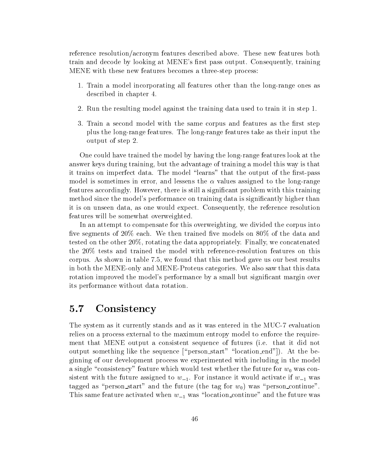reference resolution/acronym features described above. These new features both train and decode by looking at MENE's first pass output. Consequently, training MENE with these new features becomes a three-step process:

- 1. Train a model incorporating all features other than the long-range ones as described in chapter 4.
- 2. Run the resulting model against the training data used to train it in step 1.
- 3. Train a second model with the same corpus and features as the first step plus the long-range features. The long-range features take as their input the output of step 2.

One could have trained the model by having the long-range features look at the answer keys during training, but the advantage of training a model this way is that it trains on imperfect data. The model "learns" that the output of the first-pass model is sometimes in error, and lessens the  $\alpha$  values assigned to the long-range features accordingly. However, there is still a signicant problem with this training method since the model's performance on training data is signicantly higher than it is on unseen data, as one would expect. Consequently, the reference resolution features will be somewhat overweighted.

In an attempt to compensate for this overweighting, we divided the corpus into five segments of  $20\%$  each. We then trained five models on  $80\%$  of the data and tested on the other 20%, rotating the data appropriately. Finally, we concatenated the 20% tests and trained the model with reference-resolution features on this corpus. As shown in table 7.5, we found that this method gave us our best results in both the MENE-only and MENE-Proteus categories. We also saw that this data rotation improved the model's performance by a small but signicant margin over its performance without data rotation.

## 5.7 Consistency

The system as it currently stands and as it was entered in the MUC-7 evaluation relies on a process external to the maximum entropy model to enforce the requirement that MENE output a consistent sequence of futures (i.e. that it did not output something like the sequence  $\lceil \varphi \rceil$  start" "location end"]). At the beginning of our development process we experimented with including in the model a single "consistency" feature which would test whether the future for  $w_0$  was consistent with the future assigned to  $w_{-1}$ . For instance it would activate if  $w_{-1}$  was tagged as "person\_start" and the future (the tag for  $w_0$ ) was "person\_continue". This same feature activated when  $w_{-1}$  was "location continue" and the future was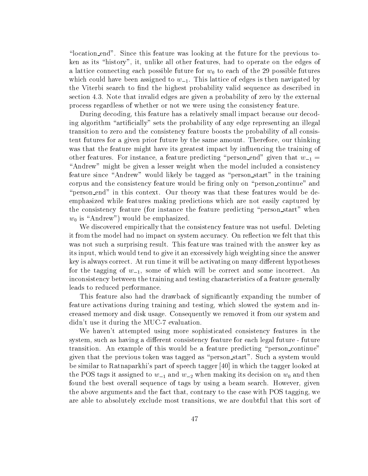"location end". Since this feature was looking at the future for the previous token as its "history", it, unlike all other features, had to operate on the edges of a lattice connecting each possible future for  $w_0$  to each of the 29 possible futures which could have been assigned to  $w_{-1}$ . This lattice of edges is then navigated by the Viterbi search to find the highest probability valid sequence as described in section 4.3. Note that invalid edges are given a probability of zero by the external process regardless of whether or not we were using the consistency feature.

During decoding, this feature has a relatively small impact because our decoding algorithm "artificially" sets the probability of any edge representing an illegal transition to zero and the consistency feature boosts the probability of all consistent futures for a given prior future by the same amount. Therefore, our thinking was that the feature might have its greatest impact by influencing the training of other features. For instance, a feature predicting "person end" given that  $w_{-1} =$ "Andrew" might be given a lesser weight when the model included a consistency feature since "Andrew" would likely be tagged as "person\_start" in the training corpus and the consistency feature would be firing only on "person continue" and "person\_end" in this context. Our theory was that these features would be deemphasized while features making predictions which are not easily captured by the consistency feature (for instance the feature predicting "person\_start" when  $w_0$  is "Andrew") would be emphasized.

We discovered empirically that the consistency feature was not useful. Deleting it from the model had no impact on system accuracy. On reflection we felt that this was not such a surprising result. This feature was trained with the answer key as its input, which would tend to give it an excessively high weighting since the answer key is always correct. At run time it will be activating on many different hypotheses for the tagging of  $w_{-1}$ , some of which will be correct and some incorrect. An inconsistency between the training and testing characteristics of a feature generally leads to reduced performance.

This feature also had the drawback of signicantly expanding the number of feature activations during training and testing, which slowed the system and increased memory and disk usage. Consequently we removed it from our system and didn't use it during the MUC-7 evaluation.

We haven't attempted using more sophisticated consistency features in the system, such as having a different consistency feature for each legal future - future transition. An example of this would be a feature predicting \person continue" given that the previous token was tagged as \person start". Such a system would be similar to Ratnaparkhi's part of speech tagger [40] in which the tagger looked at the POS tags it assigned to  $w_{-1}$  and  $w_{-2}$  when making its decision on  $w_0$  and then found the best overall sequence of tags by using a beam search. However, given the above arguments and the fact that, contrary to the case with POS tagging, we are able to absolutely exclude most transitions, we are doubtful that this sort of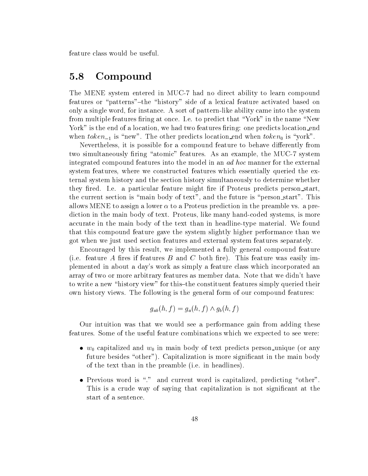feature class would be useful.

## 5.8 Compound

The MENE system entered in MUC-7 had no direct ability to learn compound features or "patterns"-the "history" side of a lexical feature activated based on only a single word, for instance. A sort of pattern-like ability came into the system from multiple features firing at once. I.e. to predict that "York" in the name "New York" is the end of a location, we had two features firing: one predicts location end when  $token_{-1}$  is "new". The other predicts location end when  $token_0$  is "york".

Nevertheless, it is possible for a compound feature to behave differently from two simultaneously firing "atomic" features. As an example, the MUC-7 system integrated compound features into the model in an ad hoc manner for the external system features, where we constructed features which essentially queried the external system history and the section history simultaneously to determine whether they fired. I.e. a particular feature might fire if Proteus predicts person\_start, the current section is "main body of text", and the future is "person\_start". This allows MENE to assign a lower  $\alpha$  to a Proteus prediction in the preamble vs. a prediction in the main body of text. Proteus, like many hand-coded systems, is more accurate in the main body of the text than in headline-type material. We found that this compound feature gave the system slightly higher performance than we got when we just used section features and external system features separately.

Encouraged by this result, we implemented a fully general compound feature (i.e. feature A fires if features B and C both fire). This feature was easily implemented in about a day's work as simply a feature class which incorporated an array of two or more arbitrary features as member data. Note that we didn't have to write a new "history view" for this-the constituent features simply queried their own history views. The following is the general form of our compound features:

$$
g_{ab}(h,f)=g_a(h,f)\wedge g_b(h,f)
$$

Our intuition was that we would see a performance gain from adding these features. Some of the useful feature combinations which we expected to see were:

- $\bullet$   $w_0$  capitalized and  $w_0$  in main body of text predicts person unique (or any future besides "other"). Capitalization is more significant in the main body of the text than in the preamble (i.e. in headlines).
- $\bullet$  Previous word is . and current word is capitalized, predicting  $\circ$ ther". This is a crude way of saying that capitalization is not significant at the start of a sentence.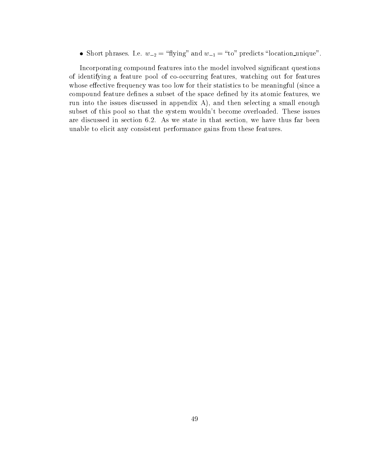• Short phrases. I.e.  $w_{-2} = \text{||j||g}$  and  $w_{-1} = \text{||to}$  predicts  $\text{||ocaution\_unique}$ .

Incorporating compound features into the model involved significant questions of identifying a feature pool of co-occurring features, watching out for features whose effective frequency was too low for their statistics to be meaningful (since a compound feature defines a subset of the space defined by its atomic features, we run into the issues discussed in appendix  $A$ ), and then selecting a small enough subset of this pool so that the system wouldn't become overloaded. These issues are discussed in section 6.2. As we state in that section, we have thus far been unable to elicit any consistent performance gains from these features.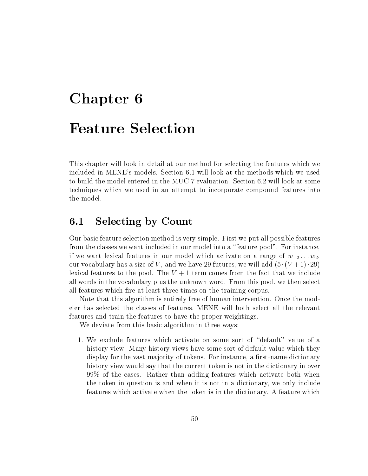# Chapter 6 Feature Selection

This chapter will look in detail at our method for selecting the features which we included in MENE's models. Section 6.1 will look at the methods which we used to build the model entered in the MUC-7 evaluation. Section 6.2 will look at some techniques which we used in an attempt to incorporate compound features into the model.

# 6.1 Selecting by Count

Our basic feature selection method is very simple. First we put all possible features from the classes we want included in our model into a \feature pool". For instance, if we want lexical features in our model which activate on a range of  $w_{-2} \ldots w_2$ , our vocabulary has a size of V, and we have 29 futures, we will add  $(5 \cdot (V + 1) \cdot 29)$ lexical features to the pool. The  $V + 1$  term comes from the fact that we include all words in the vocabulary plus the unknown word. From this pool, we then select all features which fire at least three times on the training corpus.

Note that this algorithm is entirely free of human intervention. Once the modeler has selected the classes of features, MENE will both select all the relevant features and train the features to have the proper weightings.

We deviate from this basic algorithm in three ways:

1. We exclude features which activate on some sort of "default" value of a history view. Many history views have some sort of default value which they display for the vast majority of tokens. For instance, a first-name-dictionary history view would say that the current token is not in the dictionary in over 99% of the cases. Rather than adding features which activate both when the token in question is and when it is not in a dictionary, we only include features which activate when the token is in the dictionary. A feature which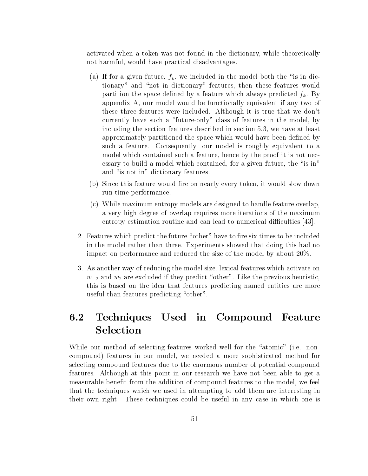activated when a token was not found in the dictionary, while theoretically not harmful, would have practical disadvantages.

- (a) If for a given future,  $f_k$ , we included in the model both the "is in dictionary" and "not in dictionary" features, then these features would partition the space defined by a feature which always predicted  $f_k$ . By appendix A, our model would be functionally equivalent if any two of these three features were included. Although it is true that we don't currently have such a "future-only" class of features in the model, by including the section features described in section 5.3, we have at least approximately partitioned the space which would have been defined by such a feature. Consequently, our model is roughly equivalent to a model which contained such a feature, hence by the proof it is not necessary to build a model which contained, for a given future, the "is in" and "is not in" dictionary features.
- (b) Since this feature would fire on nearly every token, it would slow down run-time performance.
- (c) While maximum entropy models are designed to handle feature overlap, a very high degree of overlap requires more iterations of the maximum entropy estimation routine and can lead to numerical difficulties [43].
- 2. Features which predict the future "other" have to fire six times to be included in the model rather than three. Experiments showed that doing this had no impact on performance and reduced the size of the model by about 20%.
- 3. As another way of reducing the model size, lexical features which activate on  $w_{-2}$  and  $w_2$  are excluded if they predict "other". Like the previous heuristic, this is based on the idea that features predicting named entities are more useful than features predicting "other".

#### Techniques Used in Compound Feature  $6.2$ Selection

While our method of selecting features worked well for the "atomic" (i.e. noncompound) features in our model, we needed a more sophisticated method for selecting compound features due to the enormous number of potential compound features. Although at this point in our research we have not been able to get a measurable benet from the addition of compound features to the model, we feel that the techniques which we used in attempting to add them are interesting in their own right. These techniques could be useful in any case in which one is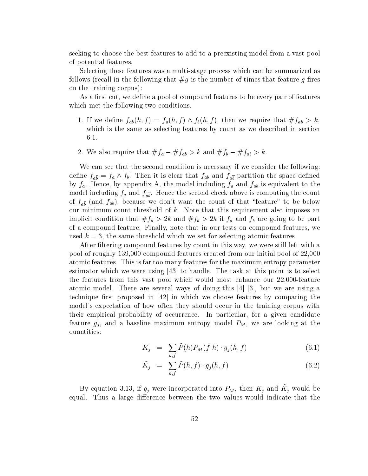seeking to choose the best features to add to a preexisting model from a vast pool of potential features.

Selecting these features was a multi-stage process which can be summarized as follows (recall in the following that  $\#g$  is the number of times that feature g fires on the training corpus):

As a first cut, we define a pool of compound features to be every pair of features which met the following two conditions.

- 1. If we define  $f_{ab}(n, f) = f_a(n, f) \wedge f_b(n, f)$ , then we require that  $\#f_{ab} > \kappa$ , which is the same as selecting features by count as we described in section 6.1.
- 2. We also require that  $\#J_a = \#J_{ab} \geq \kappa$  and  $\#J_b = \#J_{ab} \geq \kappa$ .

We can see that the second condition is necessary if we consider the following: denne  $f_{a\overline{b}}=f_{a}\wedge f_{b}.$  Then it is clear that  $f_{ab}$  and  $f_{a\overline{b}}$  partition the space denned by fa. Hence, by appendix A, the model including fa and fab is equivalent to the model including farmer  $f_{a}$  and  $f_{a}$  above is computing the second check above is computing the countries is computing the countries of  $\alpha$ of  $f_{a\overline{b}}$  (and  $f_{\overline{a}b}$ ), because we don't want the count of that "feature" to be below our minimum count threshold of  $k$ . Note that this requirement also imposes an implicit condition that  $\mu$  and  $\mu$  are going to be particle to be particle to be particle to be particle to of a compound feature. Finally, note that in our tests on compound features, we used  $k = 3$ , the same threshold which we set for selecting atomic features.

After filtering compound features by count in this way, we were still left with a pool of roughly 139,000 compound features created from our initial pool of 22,000 atomic features. This is far too many features for the maximum entropy parameter estimator which we were using [43] to handle. The task at this point is to select the features from this vast pool which would most enhance our 22,000-feature atomic model. There are several ways of doing this [4] [3], but we are using a technique first proposed in  $[42]$  in which we choose features by comparing the model's expectation of how often they should occur in the training corpus with their empirical probability of occurrence. In particular, for a given candidate feature gj , and <sup>a</sup> baseline maximum entropy model PM, we are looking at the quantities:

$$
K_j = \sum_{h,f} \tilde{P}(h) P_M(f|h) \cdot g_j(h,f) \tag{6.1}
$$

$$
\tilde{K}_j = \sum_{h,f} \tilde{P}(h,f) \cdot g_j(h,f) \tag{6.2}
$$

By equation 5.15, if  $g_j$  were incorporated into  $P_M$ , then  $K_j$  and  $K_j$  would be equal. Thus a large difference between the two values would indicate that the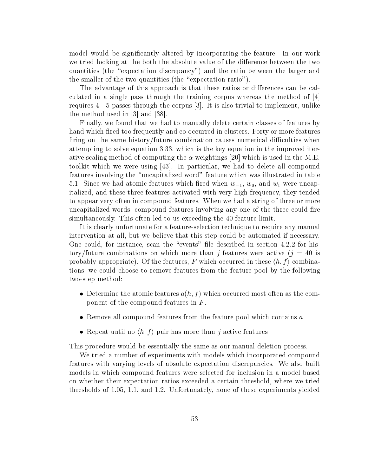model would be signicantly altered by incorporating the feature. In our work we tried looking at the both the absolute value of the difference between the two quantities (the "expectation discrepancy") and the ratio between the larger and the smaller of the two quantities (the "expectation ratio").

The advantage of this approach is that these ratios or differences can be calculated in a single pass through the training corpus whereas the method of [4] requires 4 - 5 passes through the corpus [3]. It is also trivial to implement, unlike the method used in [3] and [38].

Finally, we found that we had to manually delete certain classes of features by hand which fired too frequently and co-occurred in clusters. Forty or more features firing on the same history/future combination causes numerical difficulties when attempting to solve equation 3.33, which is the key equation in the improved iterative scaling method of computing the  $\alpha$  weightings [20] which is used in the M.E. toolkit which we were using [43]. In particular, we had to delete all compound features involving the "uncapitalized word" feature which was illustrated in table 5.1. Since we had atomic features which fired when  $w_{-1}$ ,  $w_0$ , and  $w_1$  were uncapitalized, and these three features activated with very high frequency, they tended to appear very often in compound features. When we had a string of three or more uncapitalized words, compound features involving any one of the three could fire simultaneously. This often led to us exceeding the 40-feature limit.

It is clearly unfortunate for a feature-selection technique to require any manual intervention atall, but we believe that this step could be automated if necessary. One could, for instance, scan the "events" file described in section 4.2.2 for history/future combinations on which more than j features were active  $(j = 40$  is probably appropriate). Of the features, F which occurred in these  $\langle h, f \rangle$  combinations, we could choose to remove features from the feature pool by the following two-step method:

- $\bullet$  Determine the atomic features  $a(n, f)$  which occurred most often as the component of the compound features in F .
- $\bullet$  -Kemove all compound features from the feature pool which contains  $a$
- Repeat until no  $\langle n, f \rangle$  pair has more than  $j$  active features

This procedure would be essentially the same as our manual deletion process.

We tried a number of experiments with models which incorporated compound features with varying levels of absolute expectation discrepancies. We also built models in which compound features were selected for inclusion in a model based on whether their expectation ratios exceeded a certain threshold, where we tried thresholds of 1.05, 1.1, and 1.2. Unfortunately, none of these experiments yielded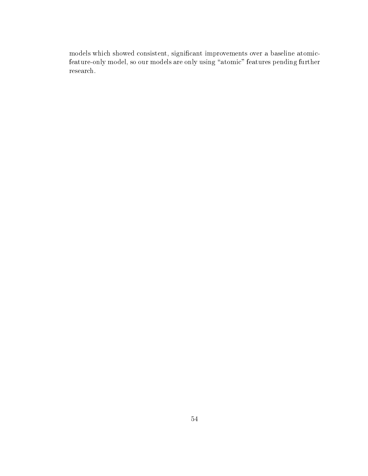models which showed consistent, signicant improvements over a baseline atomicfeature-only model, so our models are only using "atomic" features pending further research.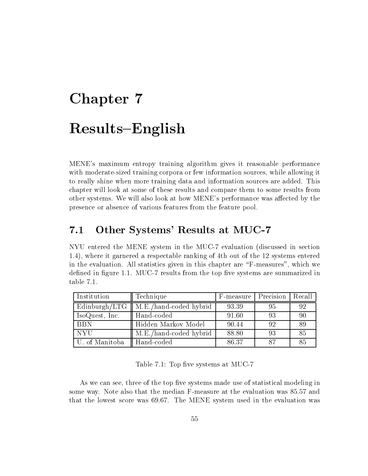# Chapter 7 Results-English

MENE's maximum entropy training algorithm gives it reasonable performance with moderate-sized training corpora or few information sources, while allowing it to really shine when more training data and information sources are added. This chapter will look at some of these results and compare them to some results from other systems. We will also look at how MENE's performance was affected by the presence or absence of various features from the feature pool.

# 7.1 Other Systems' Results at MUC-7

NYU entered the MENE system in the MUC-7 evaluation (discussed in section 1.4), where it garnered a respectable ranking of 4th out of the 12 systems entered in the evaluation. All statistics given in this chapter are \F-measures", which we defined in figure 1.1. MUC-7 results from the top five systems are summarized in table 7.1.

| Institution    | Technique                                        | F-measure   Precision |    | Recall |
|----------------|--------------------------------------------------|-----------------------|----|--------|
|                | Edinburgh/LTG $\parallel$ M.E./hand-coded hybrid | 93.39                 | 95 | 92     |
| IsoQuest, Inc. | Hand-coded                                       | 91.60                 | 93 | 90     |
| <b>BBN</b>     | Hidden Markov Model                              | 90.44                 | 92 | 89     |
| <b>NYU</b>     | M.E./hand-coded hybrid                           | 88.80                 | 93 | 85     |
| U. of Manitoba | Hand-coded                                       | 86.37                 | 87 | 85     |

Table 7.1: Top five systems at MUC-7

As we can see, three of the top five systems made use of statistical modeling in some way. Note also that the median F-measure at the evaluation was 85.57 and that the lowest score was 69.67. The MENE system used in the evaluation was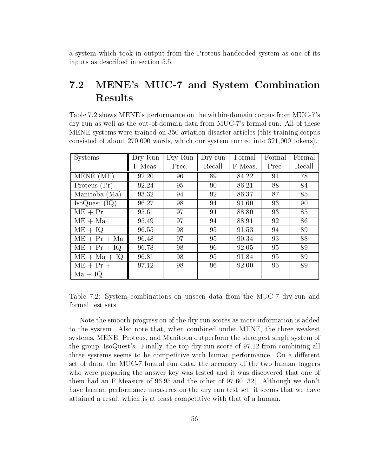a system which took in output from the Proteus handcoded system as one of its inputs as described in section 5.5.

# 7.2 MENE's MUC-7 and System Combination Results

Table 7.2 shows MENE's performance on the within-domain corpus from MUC-7's dry run as well as the out-of-domain data from MUC-7's formal run. All of these MENE systems were trained on 350 aviation disaster articles (this training corpus consisted of about 270,000 words, which our system turned into 321,000 tokens).

| <b>Systems</b> | Dry Run | Dry Run | Dry run | Formal  | Formal | Formal |
|----------------|---------|---------|---------|---------|--------|--------|
|                | F-Meas. | Prec.   | Recall  | F-Meas. | Prec.  | Recall |
| MENE (ME)      | 92.20   | 96      | 89      | 84.22   | 91     | 78     |
| Proteus (Pr)   | 92.24   | 95      | 90      | 86.21   | 88     | 84     |
| Manitoba (Ma)  | 93.32   | 94      | 92      | 86.37   | 87     | 85     |
| IsoQuest (IQ)  | 96.27   | 98      | 94      | 91.60   | 93     | 90     |
| $ME + Pr$      | 95.61   | 97      | 94      | 88.80   | 93     | 85     |
| $ME + Ma$      | 95.49   | 97      | 94      | 88.91   | 92     | 86     |
| $ME + IO$      | 96.55   | 98      | 95      | 91.53   | 94     | 89     |
| $ME + Pr + Ma$ | 96.48   | 97      | 95      | 90.34   | 93     | 88     |
| $ME + Pr + IQ$ | 96.78   | 98      | 96      | 92.05   | 95     | 89     |
| $ME + Ma + IQ$ | 96.81   | 98      | 95      | 91.84   | 95     | 89     |
| $ME + Pr +$    | 97.12   | 98      | 96      | 92.00   | 95     | 89     |
| $Ma + IQ$      |         |         |         |         |        |        |

Table 7.2: System combinations on unseen data from the MUC-7 dry-run and formal test sets

Note the smooth progression of the dry run scores as more information is added to the system. Also note that, when combined under MENE, the three weakest systems, MENE, Proteus, and Manitoba outperform the strongest single system of the group, IsoQuest's. Finally, the top dry-run score of 97.12 from combining all three systems seems to be competitive with human performance. On a different set of data, the MUC-7 formal run data, the accuracy of the two human taggers who were preparing the answer key was tested and it was discovered that one of them had an F-Measure of 96.95 and the other of 97.60 [32]. Although we don't have human performance measures on the dry run test set, it seems that we have attained a result which is at least competitive with that of a human.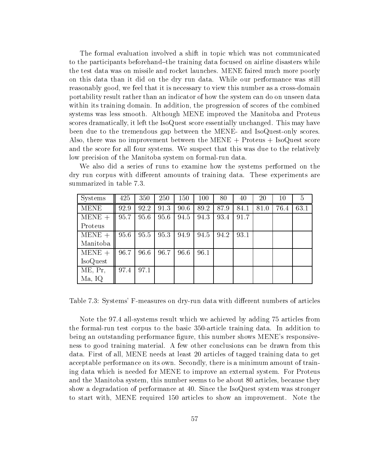The formal evaluation involved a shift in topic which was not communicated to the participants beforehand-the training data focused on airline disasters while the test data was on missile and rocket launches. MENE faired much more poorly on this data than it did on the dry run data. While our performance was still reasonably good, we feel that it is necessary to view this number as a cross-domain portability result rather than an indicator of how the system can do on unseen data within its training domain. In addition, the progression of scores of the combined systems was less smooth. Although MENE improved the Manitoba and Proteus scores dramatically, it left the IsoQuest score essentially unchanged. This may have been due to the tremendous gap between the MENE- and IsoQuest-only scores. Also, there was no improvement between the MENE  $+$  Proteus  $+$  IsoQuest score and the score for all four systems. We suspect that this was due to the relatively low precision of the Manitoba system on formal-run data.

We also did a series of runs to examine how the systems performed on the dry run corpus with different amounts of training data. These experiments are summarized in table 7.3.

| <b>Systems</b>  | 425  | 350  | 250  | 150  | 100  | 80   | 40   | 20   | 10   | 5    |
|-----------------|------|------|------|------|------|------|------|------|------|------|
| <b>MENE</b>     | 92.9 | 92.2 | 91.3 | 90.6 | 89.2 | 87.9 | 84.1 | 81.0 | 76.4 | 63.1 |
| $MENE +$        | 95.7 | 95.6 | 95.6 | 94.5 | 94.3 | 93.4 | 91.7 |      |      |      |
| Proteus         |      |      |      |      |      |      |      |      |      |      |
| $MENE +$        | 95.6 | 95.5 | 95.3 | 94.9 | 94.5 | 94.2 | 93.1 |      |      |      |
| Manitoba        |      |      |      |      |      |      |      |      |      |      |
| $MENE +$        | 96.7 | 96.6 | 96.7 | 96.6 | 96.1 |      |      |      |      |      |
| <b>IsoQuest</b> |      |      |      |      |      |      |      |      |      |      |
| ME, Pr,         | 97.4 | 97.1 |      |      |      |      |      |      |      |      |
| Ma, IQ          |      |      |      |      |      |      |      |      |      |      |

Table 7.3: Systems' F-measures on dry-run data with different numbers of articles

Note the 97.4 all-systems result which we achieved by adding 75 articles from the formal-run test corpus to the basic 350-article training data. In addition to being an outstanding performance figure, this number shows MENE's responsiveness to good training material. A few other conclusions can be drawn from this data. First of all, MENE needs at least 20 articles of tagged training data to get acceptable performance on its own. Secondly, there is a minimum amount of training data which is needed for MENE to improve an external system. For Proteus and the Manitoba system, this number seems to be about 80 articles, because they show a degradation of performance at 40. Since the IsoQuest system was stronger to start with, MENE required 150 articles to show an improvement. Note the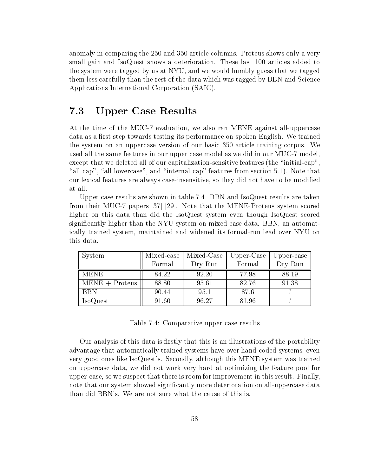anomaly in comparing the 250 and 350 article columns. Proteus shows only a very small gain and IsoQuest shows a deterioration. These last 100 articles added to the system were tagged by us at NYU, and we would humbly guess that we tagged them less carefully than the rest of the data which was tagged by BBN and Science Applications International Corporation (SAIC).

# 7.3 Upper Case Results

At the time of the MUC-7 evaluation, we also ran MENE against all-uppercase data as a first step towards testing its performance on spoken English. We trained the system on an uppercase version of our basic 350-article training corpus. We used all the same features in our upper case model as we did in our MUC-7 model, except that we deleted all of our capitalization-sensitive features (the "initial-cap" "all-cap", "all-lowercase", and "internal-cap" features from section 5.1). Note that our lexical features are always case-insensitive, so they did not have to be modied at all.

Upper case results are shown in table 7.4. BBN and IsoQuest results are taken from their MUC-7 papers [37] [29]. Note that the MENE-Proteus system scored higher on this data than did the IsoQuest system even though IsoQuest scored signicantly higher than the NYU system on mixed case data. BBN, an automatically trained system, maintained and widened its formal-run lead over NYU on this data.

| System           | Mixed-case | Mixed-Case | $Upper\text{-}Case$ | Upper-case |
|------------------|------------|------------|---------------------|------------|
|                  | Formal     | Dry Run    | Formal              | Dry Run    |
| MENE             | 84.22      | 92.20      | 77.98               | 88.19      |
| $MENE + Proteus$ | 88.80      | 95.61      | 82.76               | 91.38      |
| <b>BBN</b>       | 90.44      | 95.1       | 87.6                |            |
| <b>IsoQuest</b>  | 91.60      | 96.27      | 81.96               |            |

Table 7.4: Comparative upper case results

Our analysis of this data is firstly that this is an illustrations of the portability advantage that automatically trained systems have over hand-coded systems, even very good ones like IsoQuest's. Secondly, although this MENE system was trained on uppercase data, we did not work very hard at optimizing the feature pool for upper-case, so we suspect that there is room for improvement in this result. Finally, note that our system showed signicantly more deterioration on all-uppercase data than did BBN's. We are not sure what the cause of this is.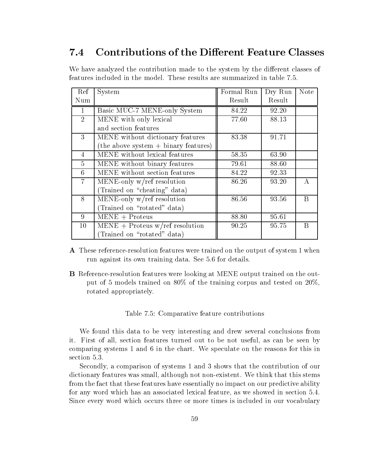#### Contributions of the Different Feature Classes  $7.4$

We have analyzed the contribution made to the system by the different classes of features included in the model. These results are summarized in table 7.5.

| Ref            | System                                 | Formal Run | Dry Run | <b>Note</b> |
|----------------|----------------------------------------|------------|---------|-------------|
| Num            |                                        | Result     | Result  |             |
|                | Basic MUC-7 MENE-only System           | 84.22      | 92.20   |             |
| 2              | MENE with only lexical                 | 77.60      | 88.13   |             |
|                | and section features                   |            |         |             |
| 3              | MENE without dictionary features       | 83.38      | 91.71   |             |
|                | $(the above system + binary features)$ |            |         |             |
| $\overline{4}$ | MENE without lexical features          | 58.35      | 63.90   |             |
| $\overline{5}$ | MENE without binary features           | 79.61      | 88.60   |             |
| 6              | MENE without section features          | 84.22      | 92.33   |             |
| $\overline{7}$ | MENE-only w/ref resolution             | 86.26      | 93.20   | $\bf{A}$    |
|                | (Trained on "cheating" data)           |            |         |             |
| 8              | MENE-only $w$ /ref resolution          | 86.56      | 93.56   | B           |
|                | (Trained on "rotated" data)            |            |         |             |
| 9              | $MENE + Proteus$                       | 88.80      | 95.61   |             |
| $10^{\circ}$   | $MENE + Proteus w/ref resolution$      | 90.25      | 95.75   | B           |
|                | (Trained on "rotated" data)            |            |         |             |

- A These reference-resolution features were trained on the output of system 1 when run against its own training data. See 5.6 for details.
- B Reference-resolution features were looking at MENE output trained on the output of 5 models trained on 80% of the training corpus and tested on 20%, rotated appropriately.

#### Table 7.5: Comparative feature contributions

We found this data to be very interesting and drew several conclusions from it. First of all, section features turned out to be not useful, as can be seen by comparing systems 1 and 6 in the chart. We speculate on the reasons for this in section 5.3.

Secondly, a comparison of systems 1 and 3 shows that the contribution of our dictionary features was small, although not non-existent. We think that this stems from the fact that these features have essentially no impact on our predictive ability for any word which has an associated lexical feature, as we showed in section 5.4. Since every word which occurs three or more times is included in our vocabulary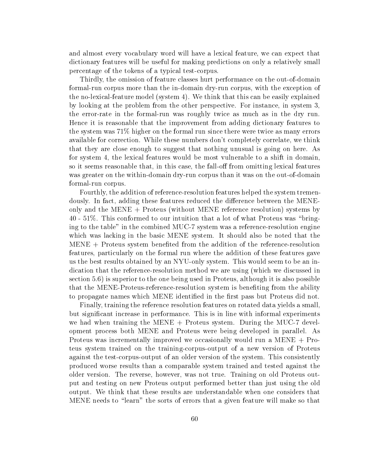and almost every vocabulary word will have a lexical feature, we can expect that dictionary features will be useful for making predictions on only a relatively small percentage of the tokens of a typical test-corpus.

Thirdly, the omission of feature classes hurt performance on the out-of-domain formal-run corpus more than the in-domain dry-run corpus, with the exception of the no-lexical-feature model (system 4). We think that this can be easily explained by looking at the problem from the other perspective. For instance, in system 3, the error-rate in the formal-run was roughly twice as much as in the dry run. Hence it is reasonable that the improvement from adding dictionary features to the system was 71% higher on the formal run since there were twice as many errors available for correction. While these numbers don't completely correlate, we think that they are close enough to suggest that nothing unusual is going on here. As for system 4, the lexical features would be most vulnerable to a shift in domain, so it seems reasonable that, in this case, the fall-off from omitting lexical features was greater on the within-domain dry-run corpus than it was on the out-of-domain formal-run corpus.

Fourthly, the addition of reference-resolution features helped the system tremendously. In fact, adding these features reduced the difference between the MENEonly and the MENE + Proteus (without MENE reference resolution) systems by 40 - 51%. This conformed to our intuition that a lot of what Proteus was \bringing to the table" in the combined MUC-7 system was a reference-resolution engine which was lacking in the basic MENE system. It should also be noted that the MENE + Proteus system beneted from the addition of the reference-resolution features, particularly on the formal run where the addition of these features gave us the best results obtained by an NYU-only system. This would seem to be an indication that the reference-resolution method we are using (which we discussed in section 5.6) is superior to the one being used in Proteus, although it is also possible that the MENE-Proteus-reference-resolution system is beneting from the ability to propagate names which MENE identified in the first pass but Proteus did not.

Finally, training the reference resolution features on rotated data yields a small, but signicant increase in performance. This is in line with informal experiments we had when training the MENE  $+$  Proteus system. During the MUC-7 development process both MENE and Proteus were being developed in parallel. As Proteus was incrementally improved we occasionally would run a MENE + Proteus system trained on the training-corpus-output of a new version of Proteus against the test-corpus-output of an older version of the system. This consistently produced worse results than a comparable system trained and tested against the older version. The reverse, however, was not true. Training on old Proteus output and testing on new Proteus output performed better than just using the old output. We think that these results are understandable when one considers that MENE needs to "learn" the sorts of errors that a given feature will make so that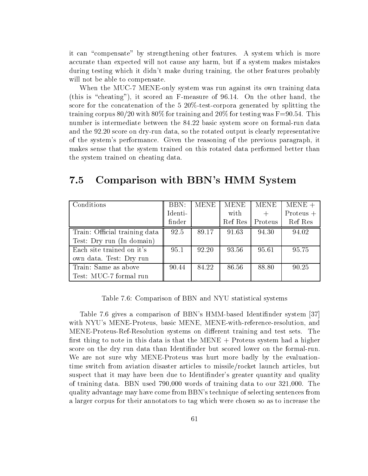it can "compensate" by strengthening other features. A system which is more accurate than expected willnot cause any harm, but if a system makes mistakes during testing which it didn't make during training, the other features probably will not be able to compensate.

When the MUC-7 MENE-only system was run against its own training data (this is "cheating"), it scored an F-measure of  $96.14$ . On the other hand, the score for the concatenation of the 5 20%-test-corpora generated by splitting the training corpus 80/20 with 80% for training and 20% for testing was  $F=90.54$ . This number is intermediate between the 84.22 basic system score on formal-run data and the 92.20 score on dry-run data, so the rotated output is clearly representative of the system's performance. Given the reasoning of the previous paragraph, it makes sense that the system trained on this rotated data performed better than the system trained on cheating data.

| Conditions                    | BBN:    | <b>MENE</b> | <b>MENE</b> | <b>MENE</b> | $MENE +$    |
|-------------------------------|---------|-------------|-------------|-------------|-------------|
|                               | Identi- |             | with        |             | Proteus $+$ |
|                               | finder  |             | Ref Res     | Proteus     | Ref Res     |
| Train: Official training data | 92.5    | 89.17       | 91.63       | 94.30       | 94.02       |
| Test: Dry run (In domain)     |         |             |             |             |             |
| Each site trained on it's     | 95.1    | 92.20       | 93.56       | 95.61       | 95.75       |
| own data. Test: Dry run       |         |             |             |             |             |
| Train: Same as above          | 90.44   | 84.22       | 86.56       | 88.80       | 90.25       |
| Test: MUC-7 formal run        |         |             |             |             |             |

### 7.5 Comparison with BBN's HMM System

#### Table 7.6: Comparison of BBN and NYU statistical systems

Table 7.6 gives a comparison of BBN's HMM-based Identinder system [37] with NYU's MENE-Proteus, basic MENE, MENE-with-reference-resolution, and MENE-Proteus-Ref-Resolution systems on different training and test sets. The first thing to note in this data is that the MENE  $+$  Proteus system had a higher score on the dry run data than Identinder but scored lower on the formal-run. We are not sure why MENE-Proteus was hurt more badly by the evaluationtime switch from aviation disaster articles to missile/rocket launch articles, but suspect that it may have been due to Identinder's greater quantity and quality of training data. BBN used 790,000 words of training data to our 321,000. The quality advantage may have come from BBN's technique of selecting sentences from a larger corpus for their annotators to tag which were chosen so as to increase the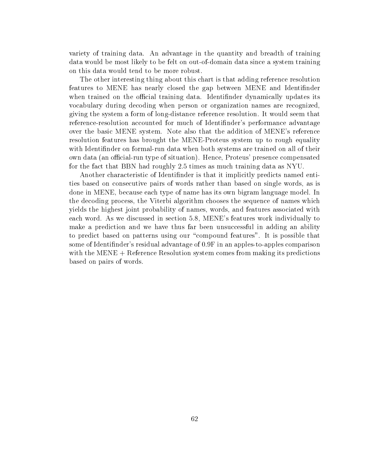variety of training data. An advantage in the quantity and breadth of training data would be most likely to be felt on out-of-domain data since a system training on this data would tend to be more robust.

The other interesting thing about this chart is that adding reference resolution features to MENE has nearly closed the gap between MENE and Identinder when trained on the official training data. Identifinder dynamically updates its vocabulary during decoding when person or organization names are recognized, giving the system a form of long-distance reference resolution. It would seem that reference-resolution accounted for much of Identinder's performance advantage over the basic MENE system. Note also that the addition of MENE's reference resolution features has brought the MENE-Proteus system up to rough equality with Identinder on formal-run data when both systems are trained on all of their own data (an official-run type of situation). Hence, Proteus' presence compensated for the fact that BBN had roughly 2.5 times as much training data as NYU.

Another characteristic of Identinder is that it implicitly predicts named entities based on consecutive pairs of words rather than based on single words, as is done in MENE, because each type of name has its own bigram language model. In the decoding process, the Viterbi algorithm chooses the sequence of names which yields the highest joint probability of names, words, and features associated with each word. As we discussed in section 5.8, MENE's features work individually to make a prediction and we have thus far been unsuccessful in adding an ability to predict based on patterns using our "compound features". It is possible that some of Identinder's residual advantage of 0.9F in an apples-to-apples comparison with the MENE + Reference Resolution system comes from making its predictions based on pairs of words.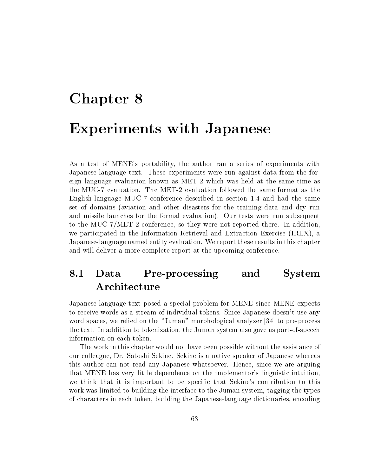# Chapter 8 Experiments with Japanese

As a test of MENE's portability, the author ran a series of experiments with Japanese-language text. These experiments were run against data from the foreign language evaluation known as MET-2 which was held at the same time as the MUC-7 evaluation. The MET-2 evaluation followed the same format as the English-language MUC-7 conference described in section 1.4 and had the same set of domains (aviation and other disasters for the training data and dry run and missile launches for the formal evaluation). Our tests were run subsequent to the MUC-7/MET-2 conference, so they were not reported there. In addition, we participated in the Information Retrieval and Extraction Exercise (IREX), a Japanese-language named entity evaluation. We report these results in this chapter and will deliver a more complete report at the upcoming conference.

# 8.1 Data Pre-processing and System Architecture

Japanese-language text posed a special problem for MENE since MENE expects to receive words as a stream of individual tokens. Since Japanese doesn't use any word spaces, we relied on the "Juman" morphological analyzer [34] to pre-process the text. In addition to tokenization, the Juman system also gave us part-of-speech information on each token.

The work in this chapter would not have been possible without the assistance of our colleague, Dr. Satoshi Sekine. Sekine is a native speaker of Japanese whereas this author can not read any Japanese whatsoever. Hence, since we are arguing that MENE has very little dependence on the implementor's linguistic intuition, we think that it is important to be specific that Sekine's contribution to this work was limited to building the interface to the Juman system, tagging the types of characters in each token, building the Japanese-language dictionaries, encoding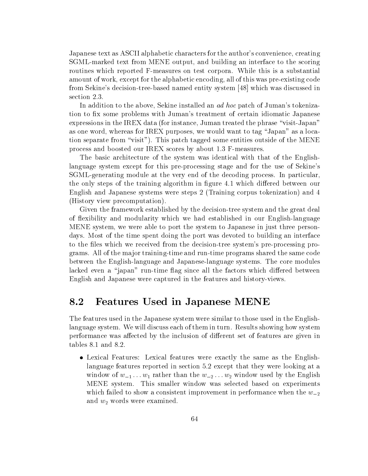Japanese text as ASCII alphabetic characters for the author's convenience, creating SGML-marked text from MENE output, and building an interface to the scoring routines which reported F-measures on test corpora. While this is a substantial amount of work, except for the alphabetic encoding, all of this was pre-existing code from Sekine's decision-tree-based named entity system [48] which was discussed in section 2.3.

In addition to the above, Sekine installed an *ad hoc* patch of Juman's tokenization to fix some problems with Juman's treatment of certain idiomatic Japanese expressions in the IREX data (for instance, Juman treated the phrase "visit-Japan" as one word, whereas for IREX purposes, we would want to tag \Japan" as a location separate from \visit"). This patch tagged some entities outside of the MENE process and boosted our IREX scores by about 1.3 F-measures.

The basic architecture of the system was identical with that of the Englishlanguage system except for this pre-processing stage and for the use of Sekine's SGML-generating module at the very end of the decoding process. In particular, the only steps of the training algorithm in figure 4.1 which differed between our English and Japanese systems were steps 2 (Training corpus tokenization) and 4 (History view precomputation).

Given the framework established by the decision-tree system and the great deal of flexibility and modularity which we had established in our English-language MENE system, we were able to port the system to Japanese in just three persondays. Most of the time spent doing the port was devoted to building an interface to the files which we received from the decision-tree system's pre-processing programs. All of the ma jor training-time and run-time programs shared the same code between the English-language and Japanese-language systems. The core modules lacked even a "japan" run-time flag since all the factors which differed between English and Japanese were captured in the features and history-views.

### 8.2 Features Used in Japanese MENE

The features used in the Japanese system were similar to those used in the Englishlanguage system. We will discuss each of them in turn. Results showing how system performance was affected by the inclusion of different set of features are given in tables 8.1 and 8.2.

 Lexical Features: Lexical features were exactly the same as the Englishlanguage features reported in section 5.2 except that they were looking at a window of  $w_{-1} \ldots w_1$  rather than the  $w_{-2} \ldots w_2$  window used by the English MENE system. This smaller window was selected based on experiments which failed to show a consistent improvement in performance when the  $w_{-2}$ and  $w_2$  words were examined.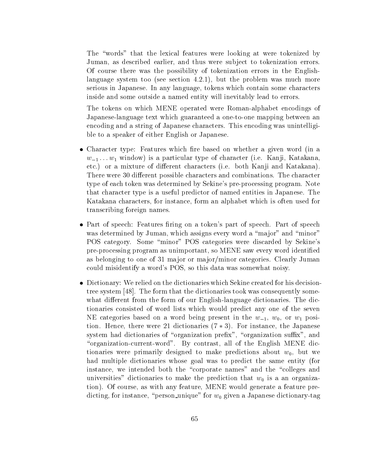The "words" that the lexical features were looking at were tokenized by Juman, as described earlier, and thus were subject to tokenization errors. Of course there was the possibility of tokenization errors in the Englishlanguage system too (see section 4.2.1), but the problem was much more serious in Japanese. In any language, tokens which contain some characters inside and some outside a named entity will inevitably lead to errors.

The tokens on which MENE operated were Roman-alphabet encodings of Japanese-language text which guaranteed a one-to-one mapping between an encoding and a string of Japanese characters. This encoding was unintelligible to a speaker of either English or Japanese.

- $\bullet$  Unaracter type: Features which fire based on whether a given word (in a  $w_{-1} \ldots w_1$  window) is a particular type of character (i.e. Kanji, Katakana, etc.) or a mixture of different characters (i.e. both Kanji and Katakana). There were 30 different possible characters and combinations. The character type of each token was determined by Sekine's pre-processing program. Note that character type is a useful predictor of named entities in Japanese. The Katakana characters, for instance, form an alphabet which is often used for transcribing foreign names.
- Part of speech: Features firing on a token's part of speech. Part of speech was determined by Juman, which assigns every word a "major" and "minor" POS category. Some \minor" POS categories were discarded by Sekine's pre-processing program as unimportant, so MENE saw every word identied as belonging to one of 31 major or major/minor categories. Clearly Juman could misidentify a word's POS, so this data was somewhat noisy.
- $\bullet$  Dictionary: We refled on the dictionaries which Sekine created for his decisiontree system [48]. The form that the dictionaries took was consequently somewhat different from the form of our English-language dictionaries. The dictionaries consisted of word lists which would predict any one of the seven NE categories based on a word being present in the  $w_{-1}$ ,  $w_0$ , or  $w_1$  position. Hence, there were 21 dictionaries  $(7 * 3)$ . For instance, the Japanese system had dictionaries of "organization prefix", "organization suffix", and "organization-current-word". By contrast, all of the English MENE dictionaries were primarily designed to make predictions about  $w_0$ , but we had multiple dictionaries whose goal was to predict the same entity (for instance, we intended both the "corporate names" and the "colleges and universities" dictionaries to make the prediction that  $w_0$  is a an organization). Of course, as with any feature, MENE would generate a feature predicting, for instance, "person unique" for  $w_0$  given a Japanese dictionary-tag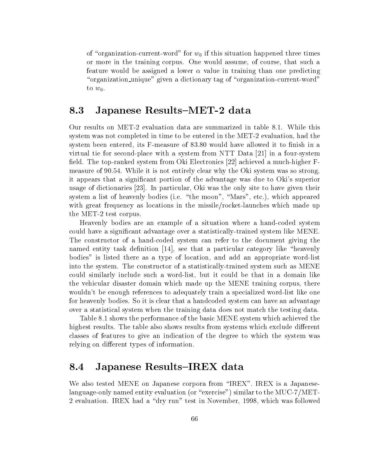of "organization-current-word" for  $w_0$  if this situation happened three times or more in the training corpus. One would assume, of course, that such a feature would be assigned a lower  $\alpha$  value in training than one predicting "organization unique" given a dictionary tag of "organization-current-word" to  $w_0$ .

## 8.3 Japanese Results-MET-2 data

Our results on MET-2 evaluation data are summarized in table 8.1. While this system was not completed in time to be entered in the MET-2 evaluation, had the system been entered, its F-measure of 83.80 would have allowed it to finish in a virtual tie for second-place with a system from NTT Data [21] in a four-system field. The top-ranked system from Oki Electronics  $[22]$  achieved a much-higher Fmeasure of 90.54. While it is not entirely clear why the Oki system was so strong, it appears that a signicant portion of the advantage was due to Oki's superior usage of dictionaries [23]. In particular, Oki was the only site to have given their system a list of heavenly bodies (i.e. "the moon", "Mars", etc.), which appeared with great frequency as locations in the missile/rocket-launches which made up the MET-2 test corpus.

Heavenly bodies are an example of a situation where a hand-coded system could have a signicant advantage over a statistically-trained system like MENE. The constructor of a hand-coded system can refer to the document giving the named entity task definition  $|14|$ , see that a particular category like "heavenly bodies" is listed there as a type of location, and add an appropriate word-list into the system. The constructor of a statistically-trained system such as MENE could similarly include such a word-list, but it could be that in a domain like the vehicular disaster domain which made up the MENE training corpus, there wouldn't be enough references to adequately train a specialized word-list like one for heavenly bodies. So it is clear that a handcoded system can have an advantage over a statistical system when the training data does not match the testing data.

Table 8.1 shows the performance of the basic MENE system which achieved the highest results. The table also shows results from systems which exclude different classes of features to give an indication of the degree to which the system was relying on different types of information.

#### 8.4 Japanese Results{IREX data 8.4

We also tested MENE on Japanese corpora from "IREX". IREX is a Japaneselanguage-only named entity evaluation (or "exercise") similar to the MUC-7/MET-2 evaluation. IREX had a \dry run" test in November, 1998, which was followed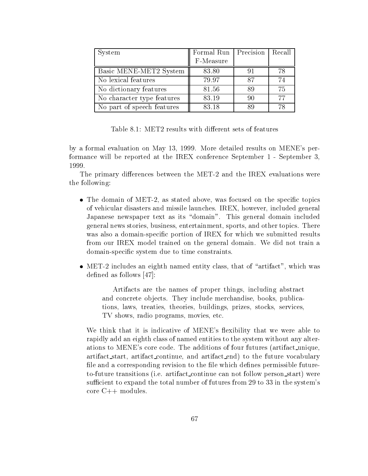| System                     | Formal Run   Precision   Recall |    |    |
|----------------------------|---------------------------------|----|----|
|                            | F-Measure                       |    |    |
| Basic MENE-MET2 System     | 83.80                           | 91 | 78 |
| No lexical features        | 79.97                           | 87 | 74 |
| No dictionary features     | 81.56                           | 89 | 75 |
| No character type features | 83.19                           | 90 | 77 |
| No part of speech features | 83.18                           | 89 | 78 |

Table 8.1: MET2 results with different sets of features

by a formal evaluation on May 13, 1999. More detailed results on MENE's performance will be reported at the IREX conference September 1 - September 3, 1999.

The primary differences between the MET-2 and the IREX evaluations were the following:

- $\bullet$  -fine domain of MET-2, as stated above, was focused on the specific topics of vehicular disasters and missile launches. IREX, however, included general Japanese newspaper text as its "domain". This general domain included general news stories, business, entertainment, sports, and other topics. There was also a domain-specific portion of IREX for which we submitted results from our IREX model trained on the general domain. We did not train a domain-specic system due to time constraints.
- $\bullet$  MET-2 includes an eighth named entity class, that of  $\,$  artifact , which was  $\,$ defined as follows  $[47]$ :

Artifacts are the names of proper things, including abstract and concrete objects. They include merchandise, books, publications, laws, treaties, theories, buildings, prizes, stocks, services, TV shows, radio programs, movies, etc.

We think that it is indicative of MENE's flexibility that we were able to rapidly add an eighth class of named entities to the system without any alterations to MENE's core code. The additions of four futures (artifact unique, artifact start, artifact continue, and artifact end) to the future vocabulary file and a corresponding revision to the file which defines permissible futureto-future transitions (i.e. artifact continue can not follow person start) were sufficient to expand the total number of futures from 29 to 33 in the system's core C++ modules.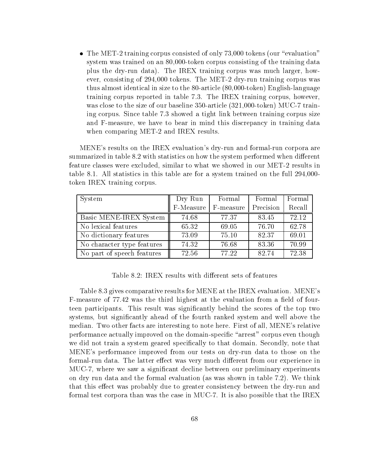$\bullet$  The MET-2 training corpus consisted of only 73,000 tokens (our  $\,$  evaluation  $\,$ system was trained on an 80,000-token corpus consisting of the training data plus the dry-run data). The IREX training corpus was much larger, however, consisting of 294,000 tokens. The MET-2 dry-run training corpus was thus almost identical in size to the 80-article (80,000-token) English-language training corpus reported in table 7.3. The IREX training corpus, however, was close to the size of our baseline 350-article (321,000-token) MUC-7 training corpus. Since table 7.3 showed a tight link between training corpus size and F-measure, we have to bear in mind this discrepancy in training data when comparing MET-2 and IREX results.

MENE's results on the IREX evaluation's dry-run and formal-run corpora are summarized in table 8.2 with statistics on how the system performed when different feature classes were excluded, similar to what we showed in our MET-2 results in table 8.1. All statistics in this table are for a system trained on the full 294,000 token IREX training corpus.

| System                     | Dry Run   | Formal    | Formal    | Formal |
|----------------------------|-----------|-----------|-----------|--------|
|                            | F-Measure | F-measure | Precision | Recall |
| Basic MENE-IREX System     | 74.68     | 77.37     | 83.45     | 72.12  |
| No lexical features        | 65.32     | 69.05     | 76.70     | 62.78  |
| No dictionary features     | 73.09     | 75.10     | 82.37     | 69.01  |
| No character type features | 74.32     | 76.68     | 83.36     | 70.99  |
| No part of speech features | 72.56     | 77.22     | 82.74     | 72.38  |

Table 8.2: IREX results with different sets of features

Table 8.3 gives comparative results for MENE at the IREX evaluation. MENE's F-measure of 77.42 was the third highest at the evaluation from a field of fourteen participants. This result was signicantly behind the scores of the top two systems, but signicantly ahead of the fourth ranked system and well above the median. Two other facts are interesting to note here. First of all, MENE's relative performance actually improved on the domain-specific "arrest" corpus even though we did not train a system geared specifically to that domain. Secondly, note that MENE's performance improved from our tests on dry-run data to those on the formal-run data. The latter effect was very much different from our experience in MUC-7, where we saw a signicant decline between our preliminary experiments on dry run data and the formal evaluation (as was shown in table 7.2). We think that this effect was probably due to greater consistency between the dry-run and formal test corpora than was the case in MUC-7. It is also possible that the IREX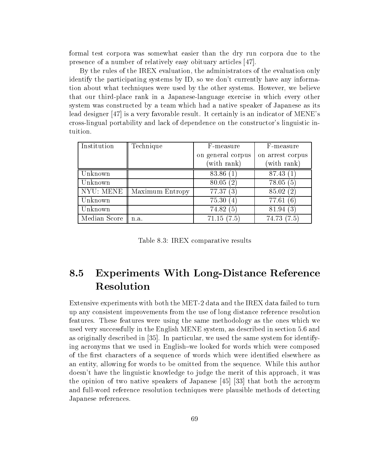formal test corpora was somewhat easier than the dry run corpora due to the presence of a number of relatively easy obituary articles [47].

By the rules of the IREX evaluation, the administrators of the evaluation only identify the participating systems by ID, so we don't currently have any information about what techniques were used by the other systems. However, we believe that our third-place rank in a Japanese-language exercise in which every other system was constructed by a team which had a native speaker of Japanese as its lead designer [47] is a very favorable result. It certainly is an indicator of MENE's cross-lingual portability and lack of dependence on the constructor's linguistic intuition.

| Institution  | Technique       | F-measure               | F-measure        |
|--------------|-----------------|-------------------------|------------------|
|              |                 | on general corpus       | on arrest corpus |
|              |                 | (with rank)             | (with rank)      |
| Unknown      |                 | 83.86                   | 87.43 (1)        |
| Unknown      |                 | 80.05(2)                | 78.05(5)         |
| NYU: MENE    | Maximum Entropy | 77.37(3)                | 85.02(2)         |
| Unknown      |                 | 75.30<br>$\overline{4}$ | 77.61<br>66      |
| Unknown      |                 | 74.82<br>5              | 81.94 (3)        |
| Median Score | n.a.            | 71.15(7.5)              | 74.73 (7.5)      |

Table 8.3: IREX comparative results

# 8.5 Experiments With Long-Distance Reference

Extensive experiments with both the MET-2 data and the IREX data failed to turn up any consistent improvements from the use of long distance reference resolution features. These features were using the same methodology as the ones which we used very successfully in the English MENE system, as described in section 5.6 and as originally described in [35]. In particular, we used the same system for identifying acronyms that we used in English-we looked for words which were composed of the first characters of a sequence of words which were identified elsewhere as an entity, allowing for words to be omitted from the sequence. While this author doesn't have the linguistic knowledge to judge the merit of this approach, it was the opinion of two native speakers of Japanese [45] [33] that both the acronym and full-word reference resolution techniques were plausible methods of detecting Japanese references.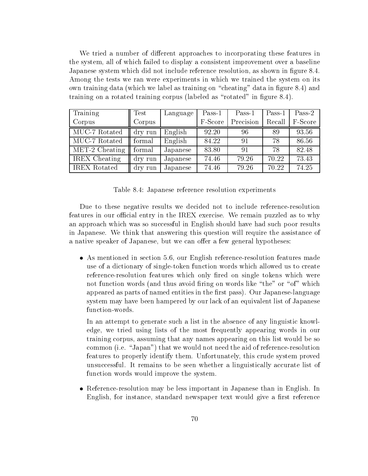We tried a number of different approaches to incorporating these features in the system, all of which failed to display a consistent improvement over a baseline Japanese system which did not include reference resolution, as shown in figure 8.4. Among the tests we ran were experiments in which we trained the system on its own training data (which we label as training on "cheating" data in figure 8.4) and training on a rotated training corpus (labeled as "rotated" in figure  $8.4$ ).

| Training                            | Test    | Language | $Pass-1$ | $Pass-1$  | $Pass-1$ | $Pass-2$ |
|-------------------------------------|---------|----------|----------|-----------|----------|----------|
| Corpus                              | Corpus  |          | F-Score  | Precision | Recall   | F-Score  |
| MUC-7 Rotated                       | dry run | English  | 92.20    | 96        | 89       | 93.56    |
| MUC-7 Rotated                       | formal  | English  | 84.22    | 91        | 78       | 86.56    |
| $\overline{\text{MET-2} }$ Cheating | formal  | Japanese | 83.80    | 91        | 78       | 82.48    |
| <b>IREX</b> Cheating                | dry run | Japanese | 74.46    | 79.26     | 70.22    | 73.43    |
| <b>IREX</b> Rotated                 | dry run | Japanese | 74.46    | 79.26     | 70.22    | 74.25    |

Table 8.4: Japanese reference resolution experiments

Due to these negative results we decided not to include reference-resolution features in our official entry in the IREX exercise. We remain puzzled as to why an approach which was so successful in English should have had such poor results in Japanese. We think that answering this question will require the assistance of a native speaker of Japanese, but we can offer a few general hypotheses:

 As mentioned in section 5.6, our English reference-resolution features made use of a dictionary of single-token function words which allowed us to create reference-resolution features which only fired on single tokens which were not function words (and thus avoid firing on words like "the" or "of" which appeared as parts of named entities in the first pass). Our Japanese-language system may have been hampered by our lack of an equivalent list of Japanese function-words.

In an attempt to generate such a list in the absence of any linguistic knowledge, we tried using lists of the most frequently appearing words in our training corpus, assuming that any names appearing on this list would be so common (i.e. "Japan") that we would not need the aid of reference-resolution features to properly identify them. Unfortunately, this crude system proved unsuccessful. It remains to be seen whether a linguistically accurate list of function words would improve the system.

 $\bullet$  -Keierence-resolution may be less important in Japanese than in English. In English, for instance, standard newspaper text would give a first reference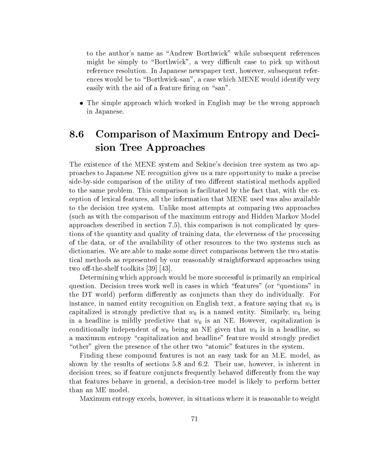to the author's name as \Andrew Borthwick" while subsequent references might be simply to "Borthwick", a very difficult case to pick up without reference resolution. In Japanese newspaper text, however, subsequent references would be to "Borthwick-san", a case which MENE would identify very easily with the aid of a feature firing on "san".

 $\bullet$  The simple approach which worked in English may be the wrong approach in Japanese.

# 8.6 Comparison of Maximum Entropy and Decision Tree Approaches

The existence of the MENE system and Sekine's decision tree system as two approaches to Japanese NE recognition gives us a rare opportunity to make a precise side-by-side comparison of the utility of two different statistical methods applied to the same problem. This comparison is facilitated by the fact that, with the exception of lexical features, all the information that MENE used was also available to the decision tree system. Unlike most attempts at comparing two approaches (such as with the comparison of the maximum entropy and Hidden Markov Model approaches described in section 7.5), this comparison is not complicated by questions of the quantity and quality of training data, the cleverness of the processing of the data, or of the availability of other resources to the two systems such as dictionaries. We are able to make some direct comparisons between the two statistical methods as represented by our reasonably straightforward approaches using two off-the-shelf toolkits  $[39]$   $[43]$ .

Determining which approach would be more successful is primarily an empirical question. Decision trees work well in cases in which "features" (or "questions" in the DT world) perform differently as conjuncts than they do individually. For instance, in named entity recognition on English text, a feature saying that  $w_0$  is capitalized is strongly predictive that  $w_0$  is a named entity. Similarly,  $w_0$  being in a headline is mildly predictive that  $w_0$  is an NE. However, capitalization is conditionally independent of  $w_0$  being an NE given that  $w_0$  is in a headline, so a maximum entropy "capitalization and headline" feature would strongly predict "other" given the presence of the other two "atomic" features in the system.

Finding these compound features is not an easy task for an M.E. model, as shown by the results of sections 5.8 and 6.2. Their use, however, is inherent in decision trees, so if feature conjuncts frequently behaved differently from the way that features behave in general, a decision-tree model is likely to perform better than an ME model.

Maximum entropy excels, however, in situations where it is reasonable to weight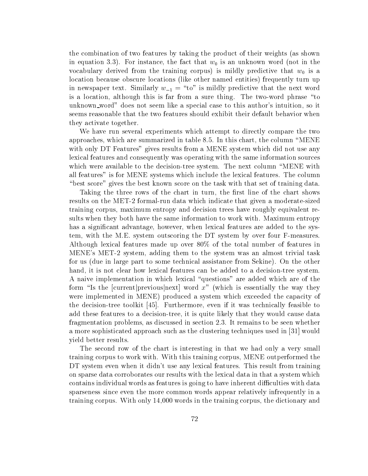the combination of two features by taking the product of their weights (as shown in equation 3.3). For instance, the fact that  $w_0$  is an unknown word (not in the vocabulary derived from the training corpus) is mildly predictive that  $w_0$  is a location because obscure locations (like other named entities) frequently turn up in newspaper text. Similarly  $w_{-1} = "to"$  is mildly predictive that the next word is a location, although this is far from a sure thing. The two-word phrase "to unknown word" does not seem like a special case to this author's intuition, so it seems reasonable that the two features should exhibit their default behavior when they activate together.

We have run several experiments which attempt to directly compare the two approaches, which are summarized in table 8.5. In this chart, the column \MENE with only DT Features" gives results from a MENE system which did not use any lexical features and consequently was operating with the same information sources which were available to the decision-tree system. The next column "MENE with all features" is for MENE systems which include the lexical features. The column "best score" gives the best known score on the task with that set of training data.

Taking the three rows of the chart in turn, the first line of the chart shows results on the MET-2 formal-run data which indicate that given a moderate-sized training corpus, maximum entropy and decision trees have roughly equivalent results when they both have the same information to work with. Maximum entropy has a signicant advantage, however, when lexical features are added to the system, with the M.E. system outscoring the DT system by over four F-measures. Although lexical features made up over 80% of the total number of features in MENE's MET-2 system, adding them to the system was an almost trivial task for us (due in large part to some technical assistance from Sekine). On the other hand, it is not clear how lexical features can be added to a decision-tree system. A naive implementation in which lexical "questions" are added which are of the form "Is the [current] previous next] word  $x$ " (which is essentially the way they were implemented in MENE) produced a system which exceeded the capacity of the decision-tree toolkit  $|45|$ . Furthermore, even if it was technically feasible to add these features to a decision-tree, it is quite likely that they would cause data fragmentation problems, as discussed in section 2.3. It remains to be seen whether a more sophisticated approach such as the clustering techniques used in [31] would yield better results.

The second row of the chart is interesting in that we had only a very small training corpus to work with. With this training corpus, MENE outperformed the DT system even when it didn't use any lexical features. This result from training on sparse data corroborates our results with the lexical data in that a system which contains individual words as features is going to have inherent difficulties with data sparseness since even the more common words appear relatively infrequently in a training corpus. With only 14,000 words in the training corpus, the dictionary and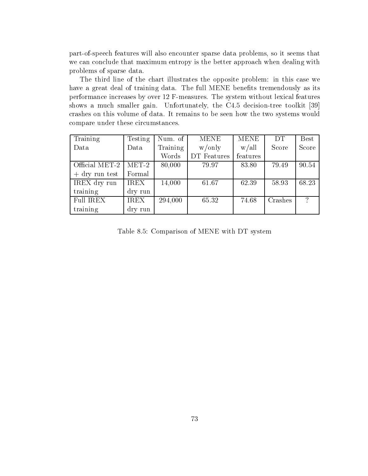part-of-speech features will also encounter sparse data problems, so it seems that we can conclude that maximum entropy is the better approach when dealing with problems of sparse data.

The third line of the chart illustrates the opposite problem: in this case we have a great deal of training data. The full MENE benefits tremendously as its performance increases by over 12 F-measures. The system without lexical features shows a much smaller gain. Unfortunately, the C4.5 decision-tree toolkit [39] crashes on this volume of data. It remains to be seen how the two systems would compare under these circumstances.

| Training         | Testing     | Num. of  | <b>MENE</b> | <b>MENE</b> | DT      | <b>Best</b>              |
|------------------|-------------|----------|-------------|-------------|---------|--------------------------|
| Data             | Data        | Training | w/only      | w/all       | Score   | Score                    |
|                  |             | Words    | DT Features | features    |         |                          |
| Official MET-2   | $MET-2$     | 80,000   | 79.97       | 83.80       | 79.49   | 90.54                    |
| $+$ dry run test | Formal      |          |             |             |         |                          |
| IREX dry run     | <b>IREX</b> | 14,000   | 61.67       | 62.39       | 58.93   | 68.23                    |
| training         | dry run     |          |             |             |         |                          |
| <b>Full IREX</b> | <b>IREX</b> | 294,000  | 65.32       | 74.68       | Crashes | $\overline{\mathcal{C}}$ |
| training         | dry run     |          |             |             |         |                          |

Table 8.5: Comparison of MENE with DT system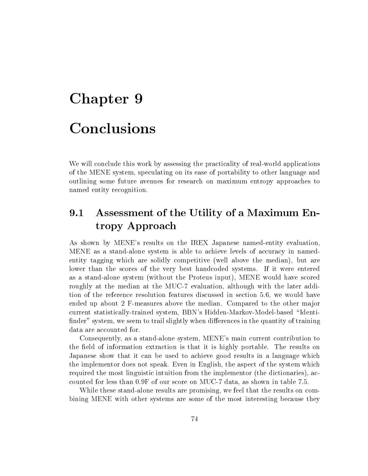# Chapter 9 Conclusions

We will conclude this work by assessing the practicality of real-world applications of the MENE system, speculating on its ease of portability to other language and outlining some future avenues for research on maximum entropy approaches to named entity recognition.

#### Assessment of the Utility of a Maximum En-9.1 tropy Approach

As shown by MENE's results on the IREX Japanese named-entity evaluation, MENE as a stand-alone system is able to achieve levels of accuracy in namedentity tagging which are solidly competitive (well above the median), but are lower than the scores of the very best handcoded systems. If it were entered as a stand-alone system (without the Proteus input), MENE would have scored roughly at the median at the MUC-7 evaluation, although with the later addition of the reference resolution features discussed in section 5.6, we would have ended up about 2 F-measures above the median. Compared to the other major current statistically-trained system, BBN's Hidden-Markov-Model-based \Identi finder" system, we seem to trail slightly when differences in the quantity of training data are accounted for.

Consequently, as a stand-alone system, MENE's main current contribution to the field of information extraction is that it is highly portable. The results on Japanese show that it can be used to achieve good results in a language which the implementor does not speak. Even in English, the aspect of the system which required the most linguistic intuition from the implementor (the dictionaries), accounted for less than 0.9F of our score on MUC-7 data, as shown in table 7.5.

While these stand-alone results are promising, we feel that the results on combining MENE with other systems are some of the most interesting because they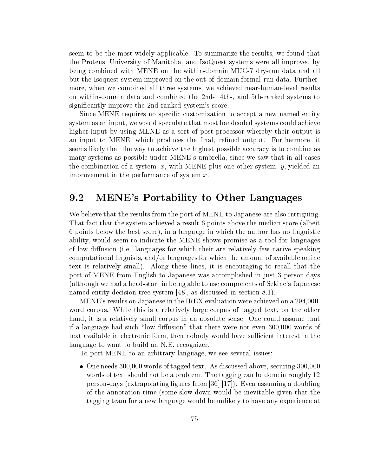seem to be the most widely applicable. To summarize the results, we found that the Proteus, University of Manitoba, and IsoQuest systems were all improved by being combined with MENE on the within-domain MUC-7 dry-run data and all but the Isoquest system improved on the out-of-domain formal-run data. Furthermore, when we combined all three systems, we achieved near-human-level results on within-domain data and combined the 2nd-, 4th-, and 5th-ranked systems to signicantly improve the 2nd-ranked system's score.

Since MENE requires no specic customization to accept a new named entity system as an input, we would speculate that most handcoded systems could achieve higher input by using MENE as a sort of post-processor whereby their output is an input to MENE, which produces the final, refined output. Furthermore, it seems likely that the way to achieve the highest possible accuracy is to combine as many systems as possible under MENE's umbrella, since we saw that in all cases the combination of a system, x, with MENE plus one other system,  $y$ , yielded an improvement in the performance of system  $x$ .

## 9.2 MENE's Portability to Other Languages

We believe that the results from the port of MENE to Japanese are also intriguing. That fact that the system achieved a result 6 points above the median score (albeit 6 points below the best score), in a language in which the author has no linguistic ability, would seem to indicate the MENE shows promise as a tool for languages of low diffusion (i.e. languages for which their are relatively few native-speaking computational linguists, and/or languages for which the amount of available online text is relatively small). Along these lines, it is encouraging to recall that the port of MENE from English to Japanese was accomplished in just 3 person-days (although we had a head-start in being able to use components of Sekine's Japanese named-entity decision-tree system [48], as discussed in section 8.1).

MENE's results on Japanese in the IREX evaluation were achieved on a 294,000 word corpus. While this is a relatively large corpus of tagged text, on the other hand, it is a relatively small corpus in an absolute sense. One could assume that if a language had such "low-diffusion" that there were not even 300,000 words of text available in electronic form, then nobody would have sufficient interest in the language to want to build an N.E. recognizer.

To port MENE to an arbitrary language, we see several issues:

 $\bullet$  One needs 300,000 words of tagged text. As discussed above, securing 300,000  $\bullet$ words of text should not be a problem. The tagging can be done in roughly 12 person-days (extrapolating figures from [36] [17]). Even assuming a doubling of the annotation time (some slow-down would be inevitable given that the tagging team for a new language would be unlikely to have any experience at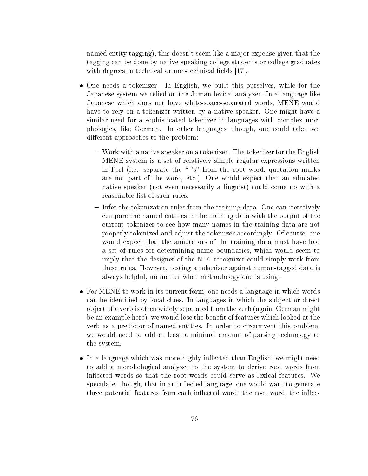named entity tagging), this doesn't seem like a ma jor expense given that the tagging can be done by native-speaking college students or college graduates with degrees in technical or non-technical fields [17].

- $\bullet$  One needs a tokenizer. In English, we built this ourselves, while for the Japanese system we relied on the Juman lexical analyzer. In a language like Japanese which does not have white-space-separated words, MENE would have to rely on a tokenizer written by a native speaker. One might have a similar need for a sophisticated tokenizer in languages with complex morphologies, like German. In other languages, though, one could take two different approaches to the problem:
	- { Work with a native speaker on a tokenizer. The tokenizer for the English MENE system is a set of relatively simple regular expressions written in Perl (i.e. separate the "'s" from the root word, quotation marks are not part of the word, etc.) One would expect that an educated native speaker (not even necessarily a linguist) could come up with a reasonable list of such rules.
	- ${\rm -}$  Infer the tokenization rules from the training data. One can iteratively compare the named entities in the training data with the output of the current tokenizer to see how many names in the training data are not properly tokenized and adjust the tokenizer accordingly. Of course, one would expect that the annotators of the training data must have had a set of rules for determining name boundaries, which would seem to imply that the designer of the N.E. recognizer could simply work from these rules. However, testing a tokenizer against human-tagged data is always helpful, no matter what methodology one is using.
- For MENE to work in its current form, one needs a language in which words can be identified by local clues. In languages in which the subject or direct ob ject of a verb is often widely separated from the verb (again, German might be an example here), we would lose the benet of features which looked at the verb as a predictor of named entities. In order to circumvent this problem, we would need to add at least a minimal amount of parsing technology to the system.
- $\bullet$  in a language which was more highly innected than English, we might need  $\bullet$ to add a morphological analyzer to the system to derive root words from in
ected words so that the root words could serve as lexical features. We speculate, though, that in an inflected language, one would want to generate three potential features from each inflected word: the root word, the inflec-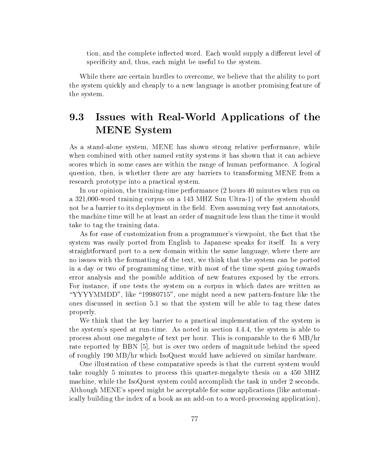tion, and the complete inflected word. Each would supply a different level of specificity and, thus, each might be useful to the system.

While there are certain hurdles to overcome, we believe that the ability to port the system quickly and cheaply to a new language is another promising feature of the system.

# 9.3 Issues with Real-World Applications of the MENE System

As a stand-alone system, MENE has shown strong relative performance, while when combined with other named entity systems it has shown that it can achieve scores which in some cases are within the range of human performance. A logical question, then, is whether there are any barriers to transforming MENE from a research prototype into a practical system.

In our opinion, the training-time performance (2 hours 40 minutes when run on a 321,000-word training corpus on a 143 MHZ Sun Ultra-1) of the system should not be a barrier to its deployment in the field. Even assuming very fast annotators, the machine time will be at least an order of magnitude less than the time it would take to tag the training data.

As for ease of customization from a programmer's viewpoint, the fact that the system was easily ported from English to Japanese speaks for itself. In a very straightforward port to a new domain within the same language, where there are no issues with the formatting of the text, we think that the system can be ported in a day or two of programming time, with most of the time spent going towards error analysis and the possible addition of new features exposed by the errors. For instance, if one tests the system on a corpus in which dates are written as "YYYYMMDD", like "19980715", one might need a new pattern-feature like the ones discussed in section 5.1 so that the system will be able to tag these dates properly.

We think that the key barrier to a practical implementation of the system is the system's speed at run-time. As noted in section 4.4.4, the system is able to process about one megabyte of text per hour. This is comparable to the 6 MB/hr rate reported by BBN [5], but is over two orders of magnitude behind the speed of roughly 190 MB/hr which IsoQuest would have achieved on similar hardware.

One illustration of these comparative speeds is that the current system would take roughly 5 minutes to process this quarter-megabyte thesis on a 450 MHZ machine, while the IsoQuest system could accomplish the task in under 2 seconds. Although MENE's speed might be acceptable for some applications (like automatically building the index of a book as an add-on to a word-processing application),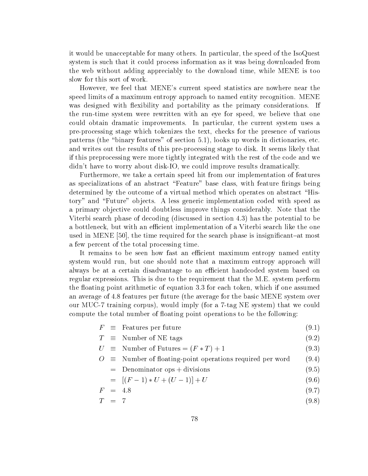it would be unacceptable for many others. In particular, the speed of the IsoQuest system is such that it could process information as it was being downloaded from the web without adding appreciably to the download time, while MENE is too slow for this sort of work.

However, we feel that MENE's current speed statistics are nowhere near the speed limits of a maximum entropy approach to named entity recognition. MENE was designed with flexibility and portability as the primary considerations. If the run-time system were rewritten with an eye for speed, we believe that one could obtain dramatic improvements. In particular, the current system uses a pre-processing stage which tokenizes the text, checks for the presence of various patterns (the \binary features" of section 5.1), looks up words in dictionaries, etc. and writes out the results of this pre-processing stage to disk. It seems likely that if this preprocessing were more tightly integrated with the rest of the code and we didn't have to worry about disk-IO, we could improve results dramatically.

Furthermore, we take a certain speed hit from our implementation of features as specializations of an abstract "Feature" base class, with feature firings being determined by the outcome of a virtual method which operates on abstract "History" and "Future" objects. A less generic implementation coded with speed as a primary ob jective could doubtless improve things considerably. Note that the Viterbi search phase of decoding (discussed in section 4.3) has the potential to be a bottleneck, but with an efficient implementation of a Viterbi search like the one used in MENE  $[50]$ , the time required for the search phase is insignificant-at most a few percent of the total processing time.

It remains to be seen how fast an efficient maximum entropy named entity system would run, but one should note that a maximum entropy approach will always be at a certain disadvantage to an efficient handcoded system based on regular expressions. This is due to the requirement that the M.E. system perform the floating point arithmetic of equation 3.3 for each token, which if one assumed an average of 4.8 features per future (the average for the basic MENE system over our MUC-7 training corpus), would imply (for a 7-tag NE system) that we could compute the total number of floating point operations to be the following:

- $F \equiv$  Features per future (9.1)
- $T \equiv$  Number of NE tags (9.2)
- $U \equiv$  Number of Futures =  $(F * T) + 1$  (9.3)
- $O \equiv$  Number of floating-point operations required per word (9.4)
	- $=$  Denominator ops + divisions (9.5)

$$
= [(F-1) * U + (U-1)] + U \tag{9.6}
$$

$$
F = 4.8 \tag{9.7}
$$

The  $\mathcal{F} = \mathcal{F}$  (1) and  $\mathcal{F} = \mathcal{F}$  (1) and  $\mathcal{F} = \mathcal{F}$  (1) and  $\mathcal{F} = \mathcal{F}$  (1) and  $\mathcal{F} = \mathcal{F}$  (1) and  $\mathcal{F} = \mathcal{F}$  (1) and  $\mathcal{F} = \mathcal{F}$  (1) and  $\mathcal{F} = \mathcal{F}$  (1) and  $\mathcal{F} = \mathcal{F}$  (1) and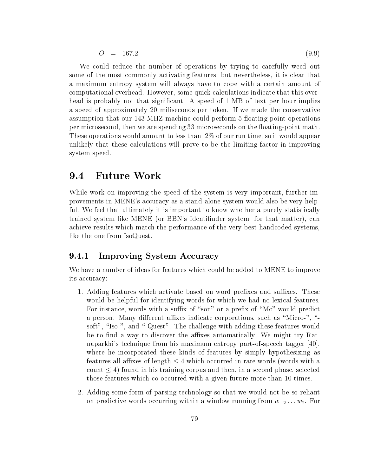$$
O = 167.2 \tag{9.9}
$$

We could reduce the number of operations by trying to carefully weed out some of the most commonly activating features, but nevertheless, it is clear that a maximum entropy system will always have to cope with a certain amount of computational overhead. However, some quick calculations indicate that this overhead is probably not that significant. A speed of 1 MB of text per hour implies a speed of approximately 20 miliseconds per token. If we made the conservative assumption that our 143 MHZ machine could perform 5 floating point operations per microsecond, then we are spending 33 microseconds on the floating-point math. These operations would amount to less than .2% of our run time, so it would appear unlikely that these calculations will prove to be the limiting factor in improving system speed.

#### 9.4 Future Work 9.4

While work on improving the speed of the system is very important, further improvements in MENE's accuracy as a stand-alone system would also be very helpful. We feel that ultimately it is important to know whether a purely statistically trained system like MENE (or BBN's Identinder system, for that matter), can achieve results which match the performance of the very best handcoded systems, like the one from IsoQuest.

#### 9.4.1 Improving System Accuracy

We have a number of ideas for features which could be added to MENE to improve its accuracy:

- 1. Adding features which activate based on word prefixes and suffixes. These would be helpful for identifying words for which we had no lexical features. For instance, words with a suffix of "son" or a prefix of "Mc" would predict a person. Many different affixes indicate corporations, such as "Micro-", "soft", "Iso-", and "-Quest". The challenge with adding these features would be to find a way to discover the affixes automatically. We might try Ratnaparkhi's technique from his maximum entropy part-of-speech tagger [40], where he incorporated these kinds of features by simply hypothesizing as features all affixes of length  $\leq 4$  which occurred in rare words (words with a count  $\leq 4$ ) found in his training corpus and then, in a second phase, selected those features which co-occurred with a given future more than 10 times.
- 2. Adding some form of parsing technology so that we would not be so reliant on predictive words occurring within a window running from  $w_{-2} \ldots w_2$ . For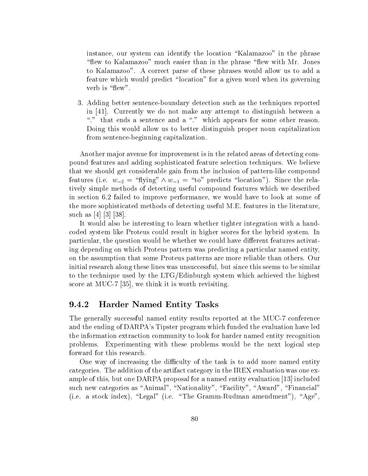instance, our system can identify the location "Kalamazoo" in the phrase "flew to Kalamazoo" much easier than in the phrase "flew with Mr. Jones to Kalamazoo". A correct parse of these phrases would allow us to add a feature which would predict "location" for a given word when its governing verb is "flew".

3. Adding better sentence-boundary detection such asthe techniques reported in [41]. Currently we do not make any attempt to distinguish between a "." that ends a sentence and a "." which appears for some other reason. Doing this would allow us to better distinguish proper noun capitalization from sentence-beginning capitalization.

Another ma jor avenue for improvement is in the related areas of detecting compound features and adding sophisticated feature selection techniques. We believe that we should get considerable gain from the inclusion of pattern-like compound features (i.e.  $w_{-2} = \text{``flying''} \wedge w_{-1} = \text{``to''} \text{ predicts ``location''}.$  Since the relatively simple methods of detecting useful compound features which we described in section 6.2 failed to improve performance, we would have to look at some of the more sophisticated methods of detecting useful M.E. features in the literature, such as[4] [3] [38].

It would also be interesting to learn whether tighter integration with a handcoded system like Proteus could result in higher scores for the hybrid system. In particular, the question would be whether we could have different features activating depending on which Proteus pattern was predicting a particular named entity, on the assumption that some Proteus patterns are more reliable than others. Our initial research along these lines was unsuccessful, but since this seems to be similar to the technique used by the LTG/Edinburgh system which achieved the highest score at MUC-7 [35], we think it is worth revisiting.

#### 9.4.2 Harder Named Entity Tasks

The generally successful named entity results reported at the MUC-7 conference and the ending of DARPA's Tipster program which funded the evaluation have led the information extraction community to look for harder named entity recognition problems. Experimenting with these problems would be the next logical step forward for this research.

One way of increasing the difficulty of the task is to add more named entity categories. The addition of the artifact category in the IREX evaluation was one example of this, but one DARPA proposal for a named entity evaluation [13] included such new categories as "Animal", "Nationality", "Facility", "Award", "Financial" (i.e. a stock index), "Legal" (i.e. "The Gramm-Rudman amendment"), "Age",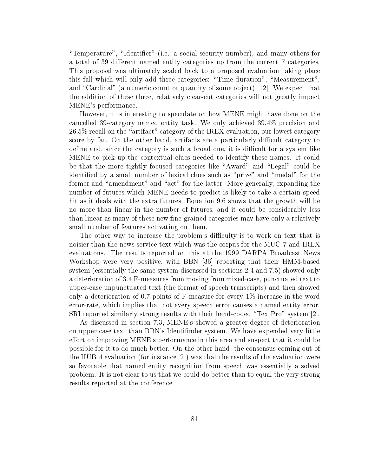"Temperature", "Identifier" (i.e. a social-security number), and many others for a total of 39 different named entity categories up from the current 7 categories. This proposal was ultimately scaled back to a proposed evaluation taking place this fall which will only add three categories: "Time duration", "Measurement", and "Cardinal" (a numeric count or quantity of some object) [12]. We expect that the addition of these three, relatively clear-cut categories will not greatly impact MENE's performance.

However, it is interesting to speculate on how MENE might have done on the cancelled 39-category named entity task. We only achieved 39.4% precision and  $26.5\%$  recall on the "artifact" category of the IREX evaluation, our lowest category score by far. On the other hand, artifacts are a particularly difficult category to define and, since the category is such a broad one, it is difficult for a system like MENE topick up the contextual clues needed to identify these names. It could be that the more tightly focused categories like "Award" and "Legal" could be identified by a small number of lexical clues such as "prize" and "medal" for the former and "amendment" and "act" for the latter. More generally, expanding the number of futures which MENE needs to predict is likely to take a certain speed hit as it deals with the extra futures. Equation 9.6 shows that the growth will be no more than linear in the number of futures, and it could be considerably less than linear as many of these new fine-grained categories may have only a relatively small number of features activating on them.

The other way to increase the problem's difficulty is to work on text that is noisier than the news service text which was the corpus for the MUC-7 and IREX evaluations. The results reported on this at the 1999 DARPA Broadcast News Workshop were very positive, with BBN [36] reporting that their HMM-based system (essentially the same system discussed in sections 2.4 and 7.5) showed only a deterioration of 3.4 F-measures from moving from mixed-case, punctuated text to upper-case unpunctuated text (the format of speech transcripts) and then showed only a deterioration of 0.7 points of F-measure for every 1% increase in the word error-rate, which implies that not every speech error causes a named entity error. SRI reported similarly strong results with their hand-coded "TextPro" system  $[2]$ .

As discussed in section 7.3, MENE's showed a greater degree of deterioration on upper-case text than BBN's Identinder system. We have expended very little effort on improving MENE's performance in this area and suspect that it could be possible for it to do much better. On the other hand, the consensus coming out of the HUB-4 evaluation (for instance [2]) was that the results of the evaluation were so favorable that named entity recognition from speech was essentially a solved problem. It is not clear to us that we could do better than to equal the very strong results reported at the conference.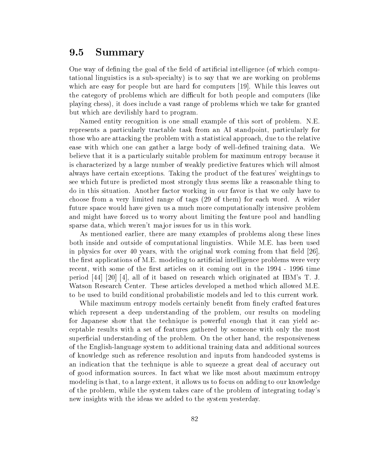#### 9.5 **Summary**

One way of defining the goal of the field of artificial intelligence (of which computational linguistics is a sub-specialty) is to say that we are working on problems which are easy for people but are hard for computers [19]. While this leaves out the category of problems which are difficult for both people and computers (like playing chess), it does include a vast range of problems which we take for granted but which are devilishly hard to program.

Named entity recognition is one small example of this sort of problem. N.E. represents a particularly tractable task from an AI standpoint, particularly for those who are attacking the problem with a statistical approach, due to the relative ease with which one can gather a large body of well-defined training data. We believe that it is a particularly suitable problem for maximum entropy because it is characterized by a large number of weakly predictive features which will almost always have certain exceptions. Taking the product of the features' weightings to see which future is predicted most strongly thus seems like a reasonable thing to do in this situation. Another factor working in our favor is that we only have to choose from a very limited range of tags (29 of them) for each word. A wider future space would have given us a much more computationally intensive problem and might have forced us to worry about limiting the feature pool and handling sparse data, which weren't major issues for us in this work.

As mentioned earlier, there are many examples of problems along these lines both inside and outside of computational linguistics. While M.E. has been used in physics for over 40 years, with the original work coming from that field  $[26]$ , the first applications of M.E. modeling to artificial intelligence problems were very recent, with some of the first articles on it coming out in the 1994 - 1996 time period  $[44]$  [20] [4], all of it based on research which originated at IBM's T. J. Watson Research Center. These articles developed a method which allowed M.E. to be used to build conditional probabilistic models and led to this current work.

While maximum entropy models certainly benefit from finely crafted features which represent a deep understanding of the problem, our results on modeling for Japanese show that the technique is powerful enough that it can yield acceptable results with a set of features gathered by someone with only the most superficial understanding of the problem. On the other hand, the responsiveness of the English-language system to additional training data and additional sources of knowledge such as reference resolution and inputs from handcoded systems is an indication that the technique is able to squeeze a great deal of accuracy out of good information sources. In fact what we like most about maximum entropy modeling is that, to a large extent, it allows us to focus on adding to our knowledge of the problem, while the system takes care of the problem of integrating today's new insights with the ideas we added to the system yesterday.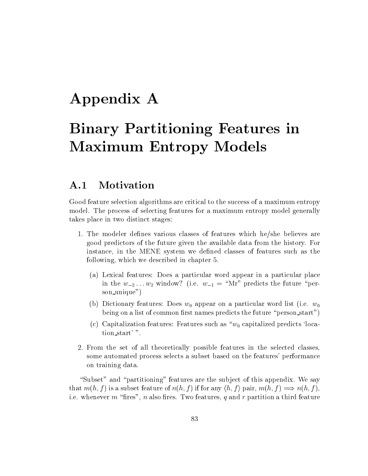# Appendix A

# Binary Partitioning Features in Maximum Entropy Models

#### Motivation  $A.1$

Good feature selection algorithms are critical to the success of a maximum entropy model. The process of selecting features for a maximum entropy model generally takes place in two distinct stages:

- 1. The modeler defines various classes of features which he/she believes are good predictors of the future given the available data from the history. For instance, in the MENE system we defined classes of features such as the following, which we described in chapter 5.
	- (a) Lexical features: Does a particular word appear in a particular place in the  $w_{-2} \ldots w_2$  window? (i.e.  $w_{-1} = \text{``Mr''}$  predicts the future "person unique")
	- (b) Dictionary features: Does  $w_0$  appear on a particular word list (i.e.  $w_0$ being on a list of common first names predicts the future "person\_start")
	- (c) Capitalization features: Features such as  $\omega_0$  capitalized predicts 'location start' ".
- 2. From the set of all theoretically possible features in the selected classes, some automated process selects a subset based on the features' performance on training data.

"Subset" and "partitioning" features are the subject of this appendix. We say that  $m(h, f)$  is a subset feature of  $n(h, f)$  if for any  $\langle h, f \rangle$  pair,  $m(h, f) \implies n(h, f)$ , i.e. whenever m "fires", n also fires. Two features, q and r partition a third feature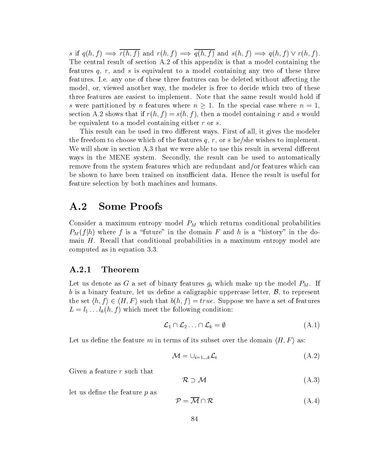s if  $q(h, f) \Longrightarrow \overline{r(h, f)}$  and  $r(h, f) \Longrightarrow \overline{q(h, f)}$  and  $s(h, f) \Longrightarrow q(h, f) \vee r(h, f)$ . The central result of section A.2 of this appendix is that a model containing the features  $q, r$ , and s is equivalent to a model containing any two of these three features. I.e. any one of these three features can be deleted without affecting the model, or, viewed another way, the modeler is free to decide which two of these three features are easiest to implement. Note that the same result would hold if s were partitioned by n features where  $n \geq 1$ . In the special case where  $n = 1$ , section A.2 shows that if  $r(h, f) = s(h, f)$ , then a model containing r and s would be equivalent to a model containing either r or s.

This result can be used in two different ways. First of all, it gives the modeler the freedom to choose which of the features  $q, r,$  or s he/she wishes to implement. We will show in section  $A.3$  that we were able to use this result in several different ways in the MENE system. Secondly, the result can be used to automatically remove from the system features which are redundant and/or features which can be shown to have been trained on insufficient data. Hence the result is useful for feature selection by both machines and humans.

## A.2 Some Proofs

Consider a maximum entropy model PM which returns conditional probabilities  $P_M(f|h)$  where f is a "future" in the domain F and h is a "history" in the domain  $H$ . Recall that conditional probabilities in a maximum entropy model are computed asin equation 3.3.

#### A.2.1 Theorem

Let us denote as G a set of binary features  $g_{\ell}$  which make up the model  $_{\rm{max}}$  if  $_{\rm{max}}$ b is a binary feature, let us define a caligraphic uppercase letter,  $\mathcal{B}$ , to represent the set  $\langle h, f \rangle \in \langle H, F \rangle$  such that  $b(h, f) = true$ . Suppose we have a set of features  $\Box$  in the following condition:  $\Box$ he following condition:<br>  $\mathcal{L}_1 \cap \mathcal{L}_2 \dots \cap \mathcal{L}_k = \emptyset$  (A.1)

$$
\mathcal{L}_1 \cap \mathcal{L}_2 \dots \cap \mathcal{L}_k = \emptyset \tag{A.1}
$$

Let us define the feature m in terms of its subset over the domain  $\langle H, F \rangle$  as:

$$
\mathcal{M} = \cup_{i=1...k} \mathcal{L}_i \tag{A.2}
$$

Given a feature r such that

$$
R \supset \mathcal{M} \tag{A.3}
$$

let us define the feature  $p$  as

$$
\mathcal{P} = \overline{\mathcal{M}} \cap \mathcal{R} \tag{A.4}
$$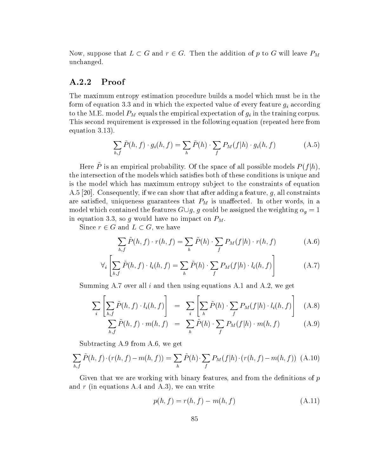Now, suppose that  $L \subset G$  and  $r \in G$ . Then the addition of p to G will leave  $P_M$ unchanged.

#### A.2.2 Proof

The maximum entropy estimation procedure builds a model which must be in the for each of equation 3.3 and in which the expected value of expected value of every feature given  $\alpha$ to the M.E. model PM equals the empirical expectation of gi in the training corpus. This second requirement is expressed in the following equation (repeated here from equation 3.13).

$$
\sum_{h,f} \tilde{P}(h,f) \cdot g_i(h,f) = \sum_h \tilde{P}(h) \cdot \sum_f P_M(f|h) \cdot g_i(h,f) \tag{A.5}
$$

Here P~ is an empirical probability. Of the space of all possible models  $P(T|n)$ , the intersection of the models which satisfies both of these conditions is unique and is the model which has maximum entropy subject to the constraints of equation  $A.5$  [20]. Consequently, if we can show that after adding a feature, q, all constraints are satisfied, uniqueness graduate that  $M$  is uncertaintegrated. In other words, in an other words, in an other words, in an other words, in an other words, in an other words, in an other words, in an other words, in an model which contained the features  $G\cup g,\ g$  could be assigned the weighting  $\alpha_g =$  1 in equation 3.3, so g would have no impact on  $P_M$ .

Since  $r \in G$  and  $L \subset G$ , we have

$$
\sum_{h,f} \tilde{P}(h,f) \cdot r(h,f) = \sum_{h} \tilde{P}(h) \cdot \sum_{f} P_M(f|h) \cdot r(h,f) \tag{A.6}
$$

$$
\forall_i \left[ \sum_{h,f} \tilde{P}(h,f) \cdot l_i(h,f) = \sum_h \tilde{P}(h) \cdot \sum_f P_M(f|h) \cdot l_i(h,f) \right]
$$
(A.7)

Summing A.7 over all  $i$  and then using equations A.1 and A.2, we get

$$
\sum_{i} \left[ \sum_{h,f} \tilde{P}(h,f) \cdot l_i(h,f) \right] = \sum_{i} \left[ \sum_{h} \tilde{P}(h) \cdot \sum_{f} P_M(f|h) \cdot l_i(h,f) \right] \quad (A.8)
$$

$$
\sum_{h,f} \tilde{P}(h,f) \cdot m(h,f) = \sum_{h} \tilde{P}(h) \cdot \sum_{f} P_M(f|h) \cdot m(h,f) \tag{A.9}
$$

Subtracting A.9 from A.6, we get

$$
\sum_{h,f} \tilde{P}(h,f) \cdot (r(h,f) - m(h,f)) = \sum_{h} \tilde{P}(h) \cdot \sum_{f} P_M(f|h) \cdot (r(h,f) - m(h,f)) \quad (A.10)
$$

Given that we are working with binary features, and from the definitions of  $p$ and  $r$  (in equations A.4 and A.3), we can write

$$
p(h, f) = r(h, f) - m(h, f)
$$
\n(A.11)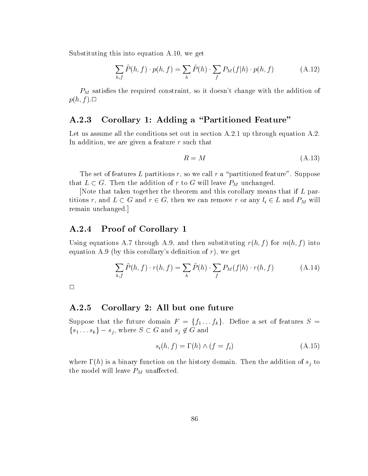Substituting this into equation A.10, we get

$$
\sum_{h,f} \tilde{P}(h,f) \cdot p(h,f) = \sum_{h} \tilde{P}(h) \cdot \sum_{f} P_M(f|h) \cdot p(h,f) \tag{A.12}
$$

 $P_M$  satisfies the required constraint, so it doesn't change with the addition of  $p(h, f)$ .

### A.2.3 Corollary 1: Adding a "Partitioned Feature"

Let us assume all the conditions set out in section A.2.1 up through equation A.2. In addition, we are given a feature  $r$  such that

$$
R = M \tag{A.13}
$$

The set of features L partitions r, so we call r a "partitioned feature". Suppose that  $L \subset G$ . Then the addition of r to  $G$  will leave  $P_M$  unchanged.

[Note that taken together the theorem and this corollary means that if L partitions r, and  $L \subseteq G$  and  $r \in G$ , then we can remove r or any  $\iota_i \in L$  and  $P_M$  will remain unchanged.]

#### A.2.4 Proof of Corollary 1

Using equations A.7 through A.9, and then substituting  $r(h, f)$  for  $m(h, f)$  into equation A.9 (by this corollary's definition of  $r$ ), we get

$$
\sum_{h,f} \tilde{P}(h,f) \cdot r(h,f) = \sum_{h} \tilde{P}(h) \cdot \sum_{f} P_M(f|h) \cdot r(h,f) \tag{A.14}
$$

 $\Box$ 

#### A.2.5 Corollary 2: All but one future

Suppose that the future domain  $F = \{f_1 \ldots f_k\}$ . Define a set of features  $S =$ Suppose that the future domain  $F = \{f_1 \dots f_k\}$ . De<br>  $\{s_1 \dots s_k\} - s_i$ , where  $S \subset G$  and  $s_i \notin G$  and

$$
s_i(h, f) = \Gamma(h) \wedge (f = f_i)
$$
\n<sup>(A.15)</sup>

where  $\alpha$  is a binary function on the distribution of  $\alpha$  and  $\alpha$  to addition of  $\alpha$  and  $\alpha$  and  $\alpha$  to addition of  $\alpha$ the model will leave PM under  $\mu_I$  understand the set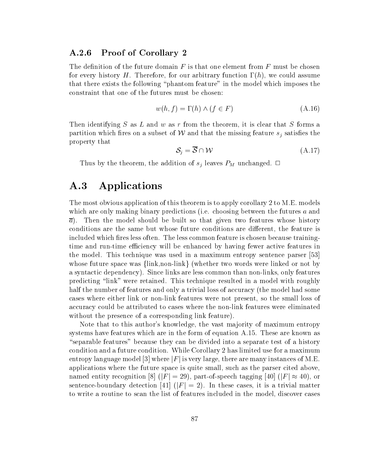#### A.2.6 Proof of Corollary 2

The definition of the future domain  $F$  is that one element from  $F$  must be chosen for every history H. Therefore, for our arbitrary function  $\Gamma(h)$ , we could assume that there exists the following \phantom feature" in the model which imposes the constraint that one of the futures must be chosen:

$$
w(h, f) = \Gamma(h) \land (f \in F) \tag{A.16}
$$

Then identifying  $S$  as  $L$  and  $w$  as  $r$  from the theorem, it is clear that  $S$  forms a partition which fires on a subset of  $\ell \ell$  and that the missing feature  $s_i$  satisfies the property that

$$
S_i = \overline{S} \cap \mathcal{W} \tag{A.17}
$$

Thus by the theorem, the addition of signals  $\sim$  and  $\sim$   $\sim$   $\sim$   $\sim$   $\sim$   $\sim$   $\sim$ 

## A.3 Applications

The most obvious application of this theorem is to apply corollary 2 to M.E. models which are only making binary predictions (i.e. choosing between the futures  $a$  and  $\bar{a}$ ). Then the model should be built so that given two features whose history conditions are the same but whose future conditions are different, the feature is included which fires less often. The less common feature is chosen because trainingtime and run-time efficiency will be enhanced by having fewer active features in the model. This technique was used in a maximum entropy sentence parser [53] whose future space was  $\{\text{link}, \text{non-link}\}\$  (whether two words were linked or not by a syntactic dependency). Since links are less common than non-links, only features predicting \link" were retained. This technique resulted in a model with roughly half the number of features and only a trivial loss of accuracy (the model had some cases where either link or non-link features were not present, so the small loss of accuracy could be attributed to cases where the non-link features were eliminated without the presence of a corresponding link feature).

Note that to this author's knowledge, the vast majority of maximum entropy systems have features which are in the form of equation A.15. These are known as "separable features" because they can be divided into a separate test of a history condition and a future condition. While Corollary 2 has limited use for a maximum entropy language model [3] where  $|F|$  is very large, there are many instances of M.E. applications where the future space is quite small, such as the parser cited above, named entity recognition [8] ( $|F| = 29$ ), part-of-speech tagging [40] ( $|F| \approx 40$ ), or sentence-boundary detection [41] ( $|F| = 2$ ). In these cases, it is a trivial matter to write a routine to scan the list of features included in the model, discover cases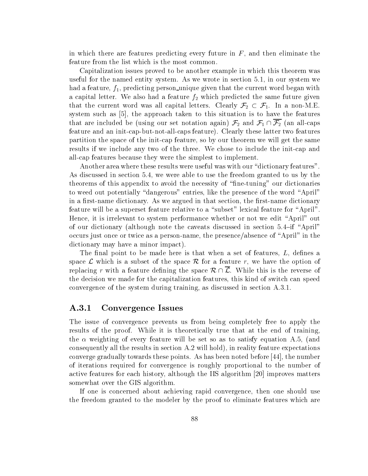in which there are features predicting every future in  $F$ , and then eliminate the feature from the list which is the most common.

Capitalization issues proved to be another example in which this theorem was useful for the named entity system. As we wrote in section 5.1, in our system we had a feature,  $f_1$ , predicting person-unique given that the current word began with a capital letter. We also had a feature  $f_2$  which predicted the same future given that the current word was all capital letters. Clearly  $\mathcal{F}_2 \subset \mathcal{F}_1$ . In a non-M.E. system such as [5], the approach taken to this situation is to have the features that are included be (using our set notation again)  $\mathcal{F}_2$  and  $\mathcal{F}_1 \cap \overline{\mathcal{F}_2}$  (an all-caps feature and an init-cap-but-not-all-caps feature). Clearly these latter two features partition the space of the init-cap feature, so by our theorem we will get the same results if we include any two of the three. We chose to include the init-cap and all-cap features because they were the simplest to implement.

Another area where these results were useful was with our "dictionary features". As discussed in section 5.4, we were able to use the freedom granted to us by the theorems of this appendix to avoid the necessity of \ne-tuning" our dictionaries to weed out potentially "dangerous" entries, like the presence of the word "April" in a first-name dictionary. As we argued in that section, the first-name dictionary feature will be a superset feature relative to a "subset" lexical feature for "April". Hence, it is irrelevant to system performance whether or not we edit \April" out of our dictionary (although note the caveats discussed in section  $5.4$ -if "April" occurs just once or twice as a person-name, the presence/absence of "April" in the dictionary may have a minor impact).

The final point to be made here is that when a set of features,  $L$ , defines a space  $\mathcal L$  which is a subset of the space  $\mathcal R$  for a feature r, we have the option of replacing r with a feature defining the space  $\mathcal{R} \cap \overline{\mathcal{L}}$ . While this is the reverse of the decision we made for the capitalization features, this kind of switch can speed convergence of the system during training, as discussed in section A.3.1.

#### A.3.1 Convergence Issues

The issue of convergence prevents us from being completely free to apply the results of the proof. While it is theoretically true that at the end of training, the  $\alpha$  weighting of every feature will be set so as to satisfy equation A.5, (and consequently all the results in section A.2 will hold), in reality feature expectations converge gradually towards these points. As has been noted before [44], the number of iterations required for convergence is roughly proportional to the number of active features for each history, although the IIS algorithm [20] improves matters somewhat over the GIS algorithm.

If one is concerned about achieving rapid convergence, then one should use the freedom granted to the modeler by the proof to eliminate features which are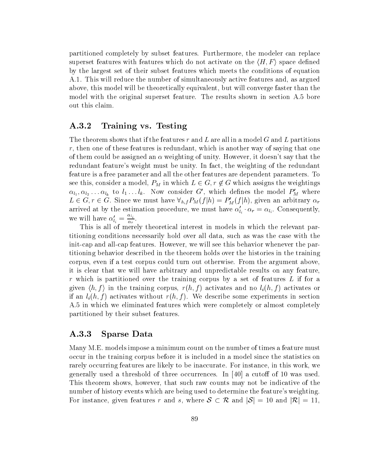partitioned completely by subset features. Furthermore, the modeler can replace superset features with features which do not activate on the  $\langle H, F \rangle$  space defined by the largest set of their subset features which meets the conditions of equation A.1. This will reduce the number of simultaneously active features and, as argued above, this model will be theoretically equivalent, but will converge faster than the model with the original superset feature. The results shown in section A.5 bore out this claim.

#### A.3.2 Training vs. Testing

The theorem shows that if the features r and L are all in a model G and L partitions  $r$ , then one of these features is redundant, which is another way of saying that one of them could be assigned an  $\alpha$  weighting of unity. However, it doesn't say that the redundant feature's weight must be unity. In fact, the weighting of the redundant feature is a free parameter and all the other features are dependent parameters. To see this, consider a model,  $P_M$  in which  $L \in G, r \not\in G$  which assigns the weightings  $\alpha_{l_1},\alpha_{l_2}\ldots\alpha_{l_k}$  to  $\iota_1\ldots\iota_k.$  Now consider  $G$  , which defines the model  $P_M$  where  $L \in G, T \in G$ . Since we must have  $v_{h,f} P_M(f | n) = P_M(f | n)$ , given an arbitrary  $\alpha_r$ arrived at by the estimation procedure, we must have  $\alpha'_{l_i} \cdot \alpha_r = \alpha_{l_i}$ . Consequently, we will have  $\alpha'_{l_i} = \frac{-\alpha_i}{\alpha_r}$ . <u>respectively</u>

This is all of merely theoretical interest interest interest in  $\mathbb{R}^n$ titioning conditions necessarily hold over all data, such as was the case with the init-cap and all-cap features. However, we will see this behavior whenever the partitioning behavior described in the theorem holds over the histories in the training corpus, even if a test corpus could turn out otherwise. From the argument above, it is clear that we will have arbitrary and unpredictable results on any feature, r which is partitioned over the training corpus by a set of features  $L$  if for a given  $\{n, f\}$  in the training corpus,  $r(n, f)$  activates and no  $i_i(n, f)$  activates or if and if (iii) is a limit result with some experiments in section in section in section and we describe some A.5 in which we eliminated features which were completely or almost completely partitioned by their subset features.

#### A.3.3 Sparse Data

Many M.E. models impose a minimum count on the number of times a feature must occur in the training corpus before it is included in a model since the statistics on rarely occurring features are likely to be inaccurate. For instance, in this work, we generally used a threshold of three occurrences. In  $[40]$  a cutoff of 10 was used. This theorem shows, however, that such raw counts may not be indicated of the indicative of the indicative of the indicative of the indicative of the indicative of the indicative of the indicative of the indicative of the number of history events which are being used to determine the feature's weighting. This theorem shows, however, that such raw counts may not be indicative of the number of history events which are being used to determine the feature's weighting.<br>For instance, given features r and s, where  $S \subset \mathcal{R}$  an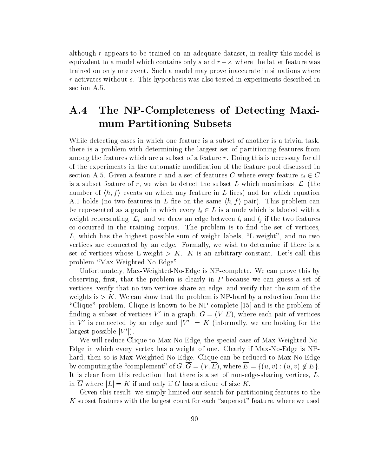although  $r$  appears to be trained on an adequate dataset, in reality this model is equivalent to a model which contains only s and  $r - s$ , where the latter feature was trained on only one event. Such a model may prove inaccurate in situations where r activates without s. This hypothesis was also tested in experiments described in section A.5.

# A.4 The NP-Completeness of Detecting Maximum Partitioning Subsets

While detecting cases in which one feature is a subset of another is a trivial task, there is a problem with determining the largest set of partitioning features from among the features which are a subset of a feature  $r$ . Doing this is necessary for all of the experiments in the automatic modification of the feature pool discussed in section A.5. Given a feature r and a set of features C where every feature  $c_i \in C$ is a subset feature of r, we wish to detect the subset L which maximizes  $|\mathcal{L}|$  (the number of  $\langle h, f \rangle$  events on which any feature in L fires) and for which equation A.1 holds (no two features in L fire on the same  $\langle h, f \rangle$  pair). This problem can be represented as a graph in which every  $t_i \in L$  is a node which is labeled with a weight representing  $|\mathcal{L}_i|$  and we draw an edge between  $\iota_i$  and  $\iota_j$  if the two features co-occurred in the training corpus. The problem is to find the set of vertices, L, which has the highest possible sum of weight labels, "L-weight", and no two vertices are connected by an edge. Formally, we wish to determine if there is a set of vertices whose L-weight  $>K$ . K is an arbitrary constant. Let's call this problem "Max-Weighted-No-Edge".

Unfortunately, Max-Weighted-No-Edge is NP-complete. We can prove this by observing, first, that the problem is clearly in  $P$  because we can guess a set of vertices, verify that no two vertices share an edge, and verify that the sum of the weights is  $> K$ . We can show that the problem is NP-hard by a reduction from the "Clique" problem. Clique is known to be  $NP$ -complete [15] and is the problem of finding a subset of vertices V' in a graph,  $G = (V, E)$ , where each pair of vertices in V' is connected by an edge and  $|V'| = K$  (informally, we are looking for the largest possible  $|V'|$ ).

We will reduce Clique to Max-No-Edge, the special case of Max-Weighted-No-Edge in which every vertex has a weight of one. Clearly if Max-No-Edge is NPhard, then so is Max-Weighted-No-Edge. Clique can be reduced to Max-No-Edge by computing the "complement" of  $G, \overline{G} = (V, \overline{E})$ , where  $\overline{E} = \{(u, v): (u, v) \notin E\}.$ It is clear from this reduction that there is a set of non-edge-sharing vertices,  $L$ , in  $\overline{G}$  where  $|L|=K$  if and only if G has a clique of size K.

Given this result, we simply limited our search for partitioning features to the  $K$  subset features with the largest count for each "superset" feature, where we used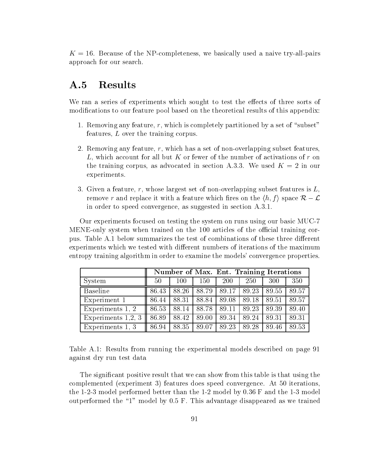$K = 16$ . Because of the NP-completeness, we basically used a naive try-all-pairs approach for our search.

## A.5 Results

We ran a series of experiments which sought to test the effects of three sorts of modifications to our feature pool based on the theoretical results of this appendix:

- 1. Removing any feature,  $r$ , which is completely partitioned by a set of "subset" features,  $L$  over the training corpus.
- 2. Removing any feature,  $r$ , which has a set of non-overlapping subset features, L, which account for all but K or fewer of the number of activations of r on the training corpus, as advocated in section A.3.3. We used  $K = 2$  in our experiments.
- 3. Given a feature, r, whose largest set of non-overlapping subset features is  $L$ , remove r and replace it with a feature which fires on the  $\langle h, f \rangle$  space  $\mathcal{R} - \mathcal{L}$ in order to speed convergence, as suggested in section A.3.1.

Our experiments focused on testing the system on runs using our basic MUC-7 MENE-only system when trained on the 100 articles of the official training corpus. Table A.1 below summarizes the test of combinations of these three different experiments which we tested with different numbers of iterations of the maximum entropy training algorithm in order to examine the models' convergence properties.

|                                | Number of Max. Ent. Training Iterations |     |         |                                                           |     |     |       |
|--------------------------------|-----------------------------------------|-----|---------|-----------------------------------------------------------|-----|-----|-------|
| System                         | 50 <sup>°</sup>                         | 100 | $150\,$ | 200                                                       | 250 | 300 | 350   |
| <b>Baseline</b>                | 86.43                                   |     |         | 88.26   88.79   89.17   89.23   89.55                     |     |     | 89.57 |
| Experiment 1                   |                                         |     |         | 86.44   88.31   88.84   89.08   89.18   89.51             |     |     | 89.57 |
| Experiments 1, 2               |                                         |     |         | 86.53   88.14   88.78   89.11   89.23   89.39             |     |     | 89.40 |
| Experiments 1,2, 3 $\parallel$ |                                         |     |         | 86.89   88.42   89.00   89.34   89.24   89.31             |     |     | 89.31 |
| Experiments 1, 3               |                                         |     |         | $86.94$   $88.35$   $89.07$   $89.23$   $89.28$   $89.46$ |     |     | 89.53 |

Table A.1: Results from running the experimental models described on page 91 against dry run test data

The significant positive result that we can show from this table is that using the complemented (experiment 3) features does speed convergence. At 50 iterations, the 1-2-3 model performed better than the 1-2 model by 0.36 F and the 1-3 model outperformed the \1" model by 0.5 F. This advantage disappeared as we trained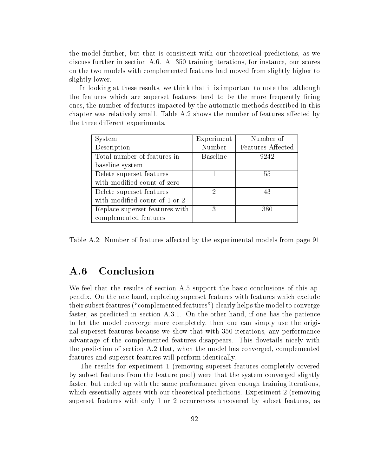the model further, but that is consistent with our theoretical predictions, as we discuss further in section A.6. At 350 training iterations, for instance, our scores on the two models with complemented features had moved from slightly higher to slightly lower.

In looking at these results, we think that it is important to note that although the features which are superset features tend to be the more frequently firing ones, the number of features impacted by the automatic methods described in this chapter was relatively small. Table A.2 shows the number of features affected by the three different experiments.

| System                         | Experiment      | Number of         |
|--------------------------------|-----------------|-------------------|
| Description                    | Number          | Features Affected |
| Total number of features in    | <b>Baseline</b> | 9242              |
| baseline system                |                 |                   |
| Delete superset features       |                 | 55                |
| with modified count of zero    |                 |                   |
| Delete superset features       | 2               | 43                |
| with modified count of 1 or 2  |                 |                   |
| Replace superset features with | 3               | 380               |
| complemented features          |                 |                   |

Table A.2: Number of features affected by the experimental models from page 91

#### $A.6$ **Conclusion**

We feel that the results of section A.5 support the basic conclusions of this appendix. On the one hand, replacing superset features with features which exclude their subset features ("complemented features") clearly helps the model to converge faster, as predicted in section A.3.1. On the other hand, if one has the patience to let the model converge more completely, then one can simply use the original superset features because we show that with 350 iterations, any performance advantage of the complemented features disappears. This dovetails nicely with the prediction of section A.2 that, when the model has converged, complemented features and superset features will perform identically.

The results for experiment 1 (removing superset features completely covered by subset features from the feature pool) were that the system converged slightly faster, but ended up with the same performance given enough training iterations, which essentially agrees with our theoretical predictions. Experiment 2 (removing superset features with only 1 or 2 occurrences uncovered by subset features, as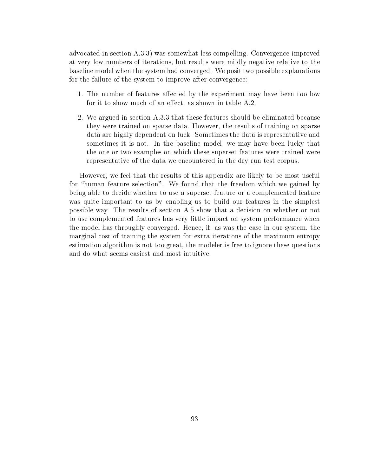advocated in section A.3.3) was somewhat less compelling. Convergence improved at very low numbers of iterations, but results were mildly negative relative to the baseline model when the system had converged. We posit two possible explanations for the failure of the system to improve after convergence:

- 1. The number of features affected by the experiment may have been too low for it to show much of an effect, as shown in table A.2.
- 2. We argued in section A.3.3 that these features should be eliminated because they were trained on sparse data. However, the results of training on sparse data are highly dependent on luck. Sometimes the data is representative and sometimes it is not. In the baseline model, we may have been lucky that the one or two examples on which these superset features were trained were representative of the data we encountered in the dry run test corpus.

However, we feel that the results of this appendix are likely to be most useful for "human feature selection". We found that the freedom which we gained by being able to decide whether to use a superset feature or a complemented feature was quite important to us by enabling us to build our features in the simplest possible way. The results of section A.5 show that a decision on whether or not to use complemented features has very little impact on system performance when the model has throughly converged. Hence, if, as was the case in our system, the marginal cost of training the system for extra iterations of the maximum entropy estimation algorithm is not too great, the modeler is free to ignore these questions and do what seems easiest and most intuitive.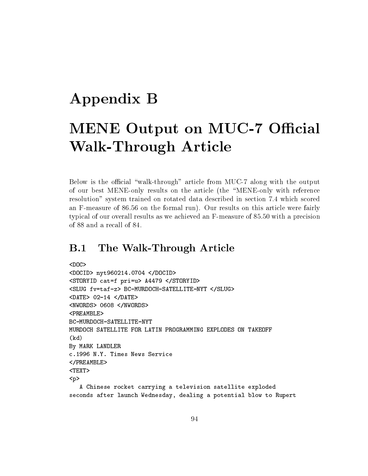# Appendix B

# MENE Output on MUC-7 Official Walk-Through Article

Below is the official "walk-through" article from MUC-7 along with the output of our best MENE-only results on the article (the \MENE-only with reference resolution" system trained on rotated data described in section 7.4 which scored an F-measure of 86.56 on the formal run). Our results on this article were fairly typical of our overall results as we achieved an F-measure of 85.50 with a precision of 88 and a recall of 84.

# B.1 The Walk-Through Article

```
<DOCID> nyt960214.0704 </DOCID>
<STORYID cat=f pri=u> A4479 </STORYID>
<SLUG fv=taf-z> BC-MURDOCH-SATELLITE-NYT </SLUG>
<DATE> 02-14 </DATE>
<NWORDS> 0608 </NWORDS>
<PREAMBLE>
BC-MURDOCH-SATELLITE-NYT
MURDOCH SATELLITE FOR LATIN PROGRAMMING EXPLODES ON TAKEOFF
(kd)
By MARK LANDLER
c.1996 N.Y. Times News Service
</PREAMBLE>
<TEXT>
<p>
  A Chinese rocket carrying a television satellite exploded
seconds after launch Wednesday, dealing a potential blow to Rupert
```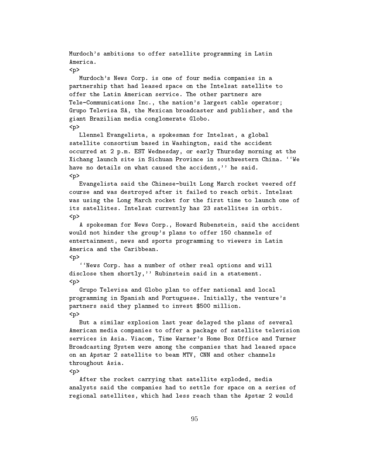Murdoch's ambitions to offer satellite programming in Latin America.

<p>

Murdoch's News Corp. is one of four media companies in a partnership that had leased space on the Intelsat satellite to offer the Latin American service. The other partners are Tele-Communications Inc., the nation's largest cable operator; Grupo Televisa SA, the Mexican broadcaster and publisher, and the giant Brazilian media conglomerate Globo. <p>

Llennel Evangelista, a spokesman for Intelsat, a global satellite consortium based in Washington, said the accident occurred at 2 p.m. EST Wednesday, or early Thursday morning at the Xichang launch site in Sichuan Province in southwestern China. 'We have no details on what caused the accident,'' he said. <p>

Evangelista said the Chinese-built Long March rocket veered off course and was destroyed after it failed to reach orbit. Intelsat was using the Long March rocket for the first time to launch one of its satellites. Intelsat currently has 23 satellites in orbit. <p>

A spokesman for News Corp., Howard Rubenstein, said the accident would not hinder the group's plans to offer 150 channels of entertainment, news and sports programming to viewers in Latin America and the Caribbean.

<p>

``News Corp. has a number of other real options and will disclose them shortly,'' Rubinstein said in a statement. <p>

Grupo Televisa and Globo plan to offer national and local programming in Spanish and Portuguese. Initially, the venture's partners said they planned to invest \$500 million. <p>

But a similar explosion last year delayed the plans of several American media companies to offer a package of satellite television services in Asia. Viacom, Time Warner's Home Box Office and Turner Broadcasting System were among the companies that had leased space on an Apstar 2 satellite to beam MTV, CNN and other channels throughout Asia.

<p>

After the rocket carrying that satellite exploded, media analysts said the companies had to settle for space on a series of regional satellites, which had less reach than the Apstar 2 would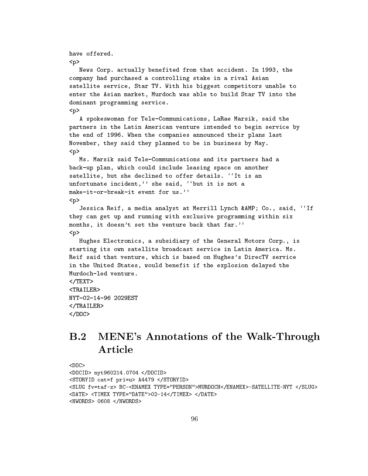```
have offered.
<p>
   News Corp. actually benefited from that accident. In 1993, the
company had purchased a controlling stake in a rival Asian
satellite service, Star TV. With his biggest competitors unable to
enter the Asian market, Murdoch was able to build Star TV into the
dominant programming service.
<p>
   A spokeswoman for Tele-Communications, LaRae Marsik, said the
partners in the Latin American venture intended to begin service by
the end of 1996. When the companies announced their plans last
November, they said they planned to be in business by May.
<p>
   Ms. Marsik said Tele-Communications and its partners had a
back-up plan, which could include leasing space on another
satellite, but she declined to offer details. ''It is an
unfortunate incident,'' she said, ''but it is not a
make-it-or-break-it event for us.''
< pJessica Reif, a media analyst at Merrill Lynch & AMP; Co., said, ''If
they can get up and running with exclusive programming within six
months, it doesn't set the venture back that far.''
<p>
   Hughes Electronics, a subsidiary of the General Motors Corp., is
starting its own satellite broadcast service in Latin America. Ms.
Reif said that venture, which is based on Hughes's DirecTV service
in the United States, would benefit if the explosion delayed the
Murdoch-led venture.
\langle/TEXT>
the contract of the contract of the contract of the contract of the contract of the contract of the contract of the contract of the contract of the contract of the contract of the contract of the contract of the contract o
<TRAILER>
NYT-02-14-96 2029EST
\langle/TRAILER>
the contract of the contract of the contract of the contract of the contract of the contract of the contract of the contract of the contract of the contract of the contract of the contract of the contract of the contract o
</DOC>
```
# B.2 MENE's Annotations of the Walk-Through Article

```
SDDC>
<DOCID> nyt960214.0704 </DOCID>
<STORYID cat=f pri=u> A4479 </STORYID>
<SLUG fv=taf-z> BC-<ENAMEX TYPE="PERSON">MURDOCH</ENAMEX>-SATELLITE-NYT </SLUG>
<DATE> <TIMEX TYPE="DATE">02-14</TIMEX> </DATE>
<NWORDS> 0608 </NWORDS>
```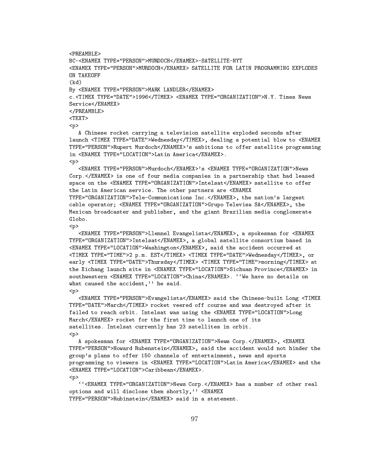<PREAMRLE> BC-<ENAMEX TYPE="PERSON">MURDOCH</ENAMEX>-SATELLITE-NYT BC-<ENAMEX TYPE="PERSON">MURDOCH</ENAMEX>-SATELLITE-NYT <ENAMEX TYPE="PERSON">MURDOCH</ENAMEX> SATELLITE FOR LATIN PROGRAMMING EXPLODES ON TAKEOFF  $(kd)$ (kd) By <ENAMEX TYPE="PERSON">MARK LANDLER</ENAMEX> c.<TIMEX TYPE="DATE">1996</TIMEX> <ENAMEX TYPE="ORGANIZATION">N.Y. Times News service and the continuum of the continuum of the continuum of the continuum of the continuum of the continuum and the continuum of the continuum of the continuum of the continuum of the continuum of the continuum of the continuum of the continuum of the continuum of the continuum of the continuum of the continuum of the continuum <p> A Chinese rocket carrying a television satellite exploded seconds after

launch <TIMEX TYPE="DATE">Wednesday</TIMEX>, dealing a potential blow to <ENAMEX TYPE="PERSON">Rupert Murdoch</ENAMEX>'s ambitions to offer satellite programming in <ENAMEX TYPE="LOCATION">Latin America</ENAMEX>.  $<sub>D</sub>$ </sub>

<ENAMEX TYPE="PERSON">Murdoch</ENAMEX>'s <ENAMEX TYPE="ORGANIZATION">News Corp.</ENAMEX> is one of four media companies in a partnership that had leased space on the <ENAMEX TYPE="ORGANIZATION">Intelsat</ENAMEX> satellite to offer the Latin American service. The other partners are <ENAMEX TYPE="ORGANIZATION">Tele-Communications Inc.</ENAMEX>, the nation's largest cable operator; <ENAMEX TYPE="ORGANIZATION">Grupo Televisa SA</ENAMEX>, the Mexican broadcaster and publisher, and the giant Brazilian media conglomerate Globo.

 $<sub>p</sub>$ </sub>

 $\sim$  . The set of the set of the set of the set of the set of the set of the set of the set of the set of the set of the set of the set of the set of the set of the set of the set of the set of the set of the set of the s

<ENAMEX TYPE="PERSON">Llennel Evangelista</ENAMEX>, a spokesman for <ENAMEX TYPE="ORGANIZATION">Intelsat</ENAMEX>, a global satellite consortium based in <ENAMEX TYPE="LOCATION">Washington</ENAMEX>, said the accident occurred at <TIMEX TYPE="TIME">2 p.m. EST</TIMEX> <TIMEX TYPE="DATE">Wednesday</TIMEX>, or early <TIMEX TYPE="DATE">Thursday</TIMEX> <TIMEX TYPE="TIME">morning</TIMEX> at the Xichang launch site in <ENAMEX TYPE="LOCATION">Sichuan Province</ENAMEX> in southwestern <ENAMEX TYPE="LOCATION">China</ENAMEX>. ''We have no details on what caused the accident," he said. <p>

<ENAMEX TYPE="PERSON">Evangelista</ENAMEX> said the Chinese-built Long <TIMEX TYPE="DATE">March</TIMEX> rocket veered off course and was destroyed after it failed to reach orbit. Intelsat was using the <ENAMEX TYPE="LOCATION">Long March</ENAMEX> rocket for the first time to launch one of its satellites. Intelsat currently has 23 satellites in orbit. <p>

A spokesman for <ENAMEX TYPE="ORGANIZATION">News Corp.</ENAMEX>, <ENAMEX TYPE="PERSON">Howard Rubenstein</ENAMEX>, said the accident would not hinder the group's plans to offer 150 channels of entertainment, news and sports programming to viewers in <ENAMEX TYPE="LOCATION">Latin America</ENAMEX> and the <ENAMEX TYPE="LOCATION">Caribbean</ENAMEX>. <p>

``<ENAMEX TYPE="ORGANIZATION">News Corp.</ENAMEX> has a number of other real options and will disclose them shortly,'' <ENAMEX TYPE="PERSON">Rubinstein</ENAMEX> said in a statement.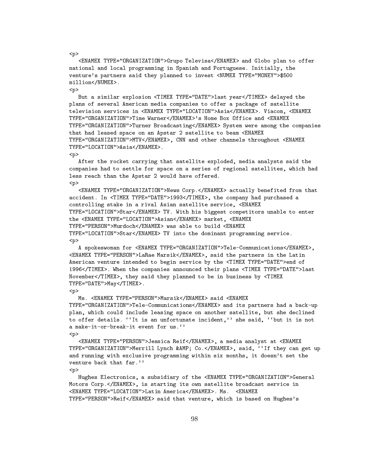<ENAMEX TYPE="ORGANIZATION">Grupo Televisa</ENAMEX> and Globo plan to offer national and local programming in Spanish and Portuguese. Initially, the venture's partners said they planned to invest <NUMEX TYPE="MONEY">\$500 million</NUMEX>.

<p>

<p>

But a similar explosion <TIMEX TYPE="DATE">last year</TIMEX> delayed the plans of several American media companies to offer a package of satellite television services in <ENAMEX TYPE="LOCATION">Asia</ENAMEX>. Viacom, <ENAMEX TYPE="ORGANIZATION">Time Warner</ENAMEX>'s Home Box Office and <ENAMEX TYPE="ORGANIZATION">Turner Broadcasting</ENAMEX> System were among the companies that had leased space on an Apstar 2 satellite to beam <ENAMEX TYPE="ORGANIZATION">MTV</ENAMEX>, CNN and other channels throughout <ENAMEX TYPE="LOCATION">Asia</ENAMEX>.

 $\langle p \rangle$ 

After the rocket carrying that satellite exploded, media analysts said the companies had to settle for space on a series of regional satellites, which had less reach than the Apstar 2 would have offered.  $<sub>p</sub>$ </sub>

<ENAMEX TYPE="ORGANIZATION">News Corp.</ENAMEX> actually benefited from that accident. In <TIMEX TYPE="DATE">1993</TIMEX>, the company had purchased a controlling stake in a rival Asian satellite service, <ENAMEX TYPE="LOCATION">Star</ENAMEX> TV. With his biggest competitors unable to enter the <ENAMEX TYPE="LOCATION">Asian</ENAMEX> market, <ENAMEX TYPE="PERSON">Murdoch</ENAMEX> was able to build <ENAMEX TYPE="LOCATION">Star</ENAMEX> TV into the dominant programming service.  $\langle p \rangle$ 

A spokeswoman for <ENAMEX TYPE="ORGANIZATION">Tele-Communications</ENAMEX>, <ENAMEX TYPE="PERSON">LaRae Marsik</ENAMEX>, said the partners in the Latin American venture intended to begin service by the <TIMEX TYPE="DATE">end of 1996</TIMEX>. When the companies announced their plans <TIMEX TYPE="DATE">last November</TIMEX>, they said they planned to be in business by <TIMEX TYPE="DATE">May</TIMEX>.

#### <p>

Ms. <ENAMEX TYPE="PERSON">Marsik</ENAMEX> said <ENAMEX TYPE="ORGANIZATION">Tele-Communications</ENAMEX> and its partners had a back-up plan, which could include leasing space on another satellite, but she declined to offer details. ''It is an unfortunate incident,'' she said, ''but it is not a make-it-or-break-it event for us.'' <p>

<ENAMEX TYPE="PERSON">Jessica Reif</ENAMEX>, a media analyst at <ENAMEX TYPE="ORGANIZATION">Merrill Lynch & AMP; Co.</ENAMEX>, said, ''If they can get up and running with exclusive programming within six months, it doesn't set the venture back that far.''

<p>

Hughes Electronics, a subsidiary of the <ENAMEX TYPE="ORGANIZATION">General Motors Corp.</ENAMEX>, is starting its own satellite broadcast service in <ENAMEX TYPE="LOCATION">Latin America</ENAMEX>. Ms. <ENAMEX TYPE="PERSON">Reif</ENAMEX> said that venture, which is based on Hughes's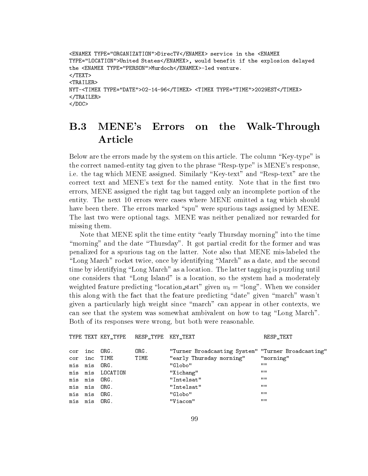```
<ENAMEX TYPE="ORGANIZATION">DirecTV</ENAMEX> service in the <ENAMEX
TYPE="LOCATION">United States</ENAMEX>, would benefit if the explosion delayed
the <ENAMEX TYPE="PERSON">Murdoch</ENAMEX>-led venture.
</TEXT>
<TRAILER>
NYT-<TIMEX TYPE="DATE">02-14-96</TIMEX> <TIMEX TYPE="TIME">2029EST</TIMEX>
</TRAILER>
</DOC>
```
## B.3 MENE's Errors on the Walk-Through Article

Below are the errors made by the system on this article. The column "Key-type" is the correct named-entity tag given to the phrase "Resp-type" is MENE's response, i.e. the tag which MENE assigned. Similarly "Key-text" and "Resp-text" are the correct text and MENE's text for the named entity. Note that in the first two errors, MENE assigned the right tag but tagged only an incomplete portion of the entity. The next 10 errors were cases where MENE omitted a tag which should have been there. The errors marked "spu" were spurious tags assigned by MENE. The last two were optional tags. MENE was neither penalized nor rewarded for missing them.

Note that MENE split the time entity "early Thursday morning" into the time "morning" and the date "Thursday". It got partial credit for the former and was penalized for a spurious tag on the latter. Note also that MENE mis-labeled the "Long March" rocket twice, once by identifying "March" as a date, and the second time by identifying "Long March" as a location. The latter tagging is puzzling until one considers that "Long Island" is a location, so the system had a moderately weighted feature predicting "location start" given  $w_0 =$  "long". When we consider this along with the fact that the feature predicting "date" given "march" wasn't given a particularly high weight since \march" can appear in other contexts, we can see that the system was somewhat ambivalent on how to tag "Long March". Both of its responses were wrong, but both were reasonable.

TYPE TEXT KEY TYPE RESP TYPE KEY TEXT RESP TEXT RESP TEXT

|         | cor inc | ORG.             | ORG. | "Turner Broadcasting System" "Turner Broadcasting" |           |
|---------|---------|------------------|------|----------------------------------------------------|-----------|
|         | cor inc | TIME             | TIME | "early Thursday morning"                           | "morning" |
|         | mis mis | ORG.             |      | "Globo"                                            | 11 H      |
|         |         | mis mis LOCATION |      | "Xichang"                                          | 11 H      |
|         | mis mis | ORG.             |      | "Intelsat"                                         | 1111      |
| mis mis |         | ORG.             |      | "Intelsat"                                         | <b>HH</b> |
| mis mis |         | ORG.             |      | "Globo"                                            | 1111      |
|         | mis mis | ORG.             |      | "Viacom"                                           | 11 H      |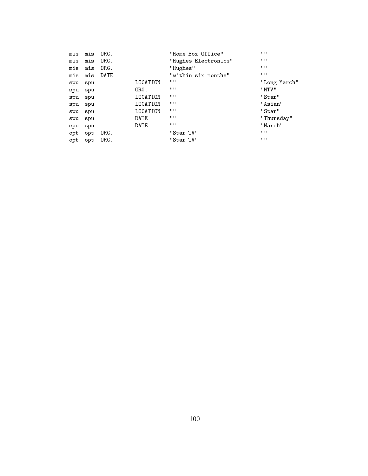| mis | mis      | ORG. |          | "Home Box Office"    | HH.          |
|-----|----------|------|----------|----------------------|--------------|
| mis | mis      | ORG. |          | "Hughes Electronics" | HH.          |
| mis | mis      | ORG. |          | "Hughes"             | HH.          |
| mis | mis DATE |      |          | "within six months"  | HH.          |
| spu | spu      |      | LOCATION | HH                   | "Long March" |
| spu | spu      |      | ORG.     | 11.11                | "MTV"        |
| spu | spu      |      | LOCATION | 11.11                | "Star"       |
| spu | spu      |      | LOCATION | HH                   | "Asian"      |
| spu | spu      |      | LOCATION | 11 H                 | "Star"       |
| spu | spu      |      | DATE     | 11.11                | "Thursday"   |
| spu | spu      |      | DATE     | 11.11                | "March"      |
| opt | opt      | ORG. |          | "Star TV"            | HH.          |
| opt | opt      | ORG. |          | "Star TV"            | HH.          |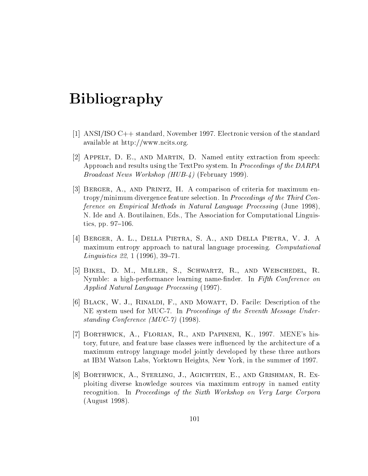## Bibliography

- [1] ANSI/ISO C++ standard, November 1997. Electronic version of the standard available at http://www.ncits.org.
- [2] Appelt, D. E., and Martin, D. Named entity extraction from speech: Approach and results using the TextPro system. In Proceedings of the DARPA Broadcast News Workshop (HUB-4) (February 1999).
- [3] Berger, A., and Printz, H. A comparison of criteria for maximum entropy/minimum divergence feature selection. In Proceedings of the Third Conference on Empirical Methods in Natural Language Processing (June 1998), N. Ide and A. Boutilainen, Eds., The Association for Computational Linguistics, pp.  $97-106$ .
- [4] Berger, A. L., Della Pietra, S. A., and Della Pietra, V. J. A maximum entropy approach to natural language processing. Computational *Linguistics* 22, 1 (1996), 39-71.
- [5] Bikel, D. M., Miller, S., Schwartz, R., and Weischedel, R. Nymble: a high-performance learning name-finder. In Fifth Conference on Applied Natural Language Processing (1997).
- [6] Black, W. J., Rinaldi, F., and Mowatt, D. Facile: Description of the NE system used for MUC-7. In Proceedings of the Seventh Message Understanding Conference (MUC-7) (1998).
- [7] Borthwick, A., Florian, R., and Papineni, K., 1997. MENE's history, future, and feature base classes were influenced by the architecture of a maximum entropy language model jointly developed by these three authors at IBM Watson Labs, Yorktown Heights, New York, in the summer of 1997.
- [8] Borthwick, A., Sterling, J., Agichtein, E., and Grishman, R. Exploiting diverse knowledge sources via maximum entropy in named entity recognition. In Proceedings of the Sixth Workshop on Very Large Corpora (August 1998).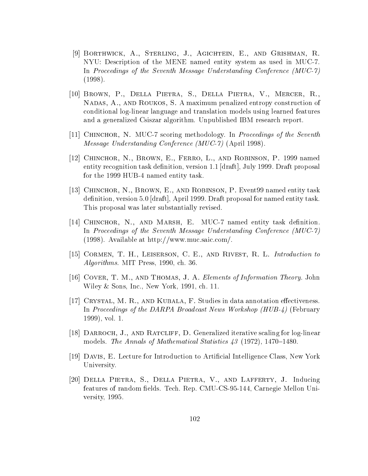- [9] Borthwick, A., Sterling, J., Agichtein, E., and Grishman, R. NYU: Description of the MENE named entity system as used in MUC-7. In Proceedings of the Seventh Message Understanding Conference (MUC-7) (1998).
- [10] Brown, P., Della Pietra, S., Della Pietra, V., Mercer, R., Nadas, A., and Roukos, S. A maximum penalized entropy construction of conditional log-linear language and translation models using learned features and a generalized Csiszar algorithm. Unpublished IBM research report.
- [11] CHINCHOR, N. MUC-7 scoring methodology. In *Proceedings of the Seventh* Message Understanding Conference (MUC-7) (April 1998).
- [12] CHINCHOR, N., BROWN, E., FERRO, L., AND ROBINSON, P. 1999 named entity recognition task definition, version  $1.1$  [draft], July 1999. Draft proposal for the 1999 HUB-4 named entity task.
- [13] Chinchor, N., Brown, E., and Robinson, P. Event99 named entity task definition, version 5.0 [draft], April 1999. Draft proposal for named entity task. This proposal was later substantially revised.
- [14] CHINCHOR, N., AND MARSH, E. MUC-7 named entity task definition. In Proceedings of the Seventh Message Understanding Conference (MUC-7) (1998). Available at http://www.muc.saic.com/.
- [15] CORMEN, T. H., LEISERSON, C. E., AND RIVEST, R. L. Introduction to Algorithms. MIT Press, 1990, ch. 36.
- [16] COVER, T. M., AND THOMAS, J. A. Elements of Information Theory. John Wiley & Sons, Inc., New York, 1991, ch. 11.
- [17] CRYSTAL, M. R., AND KUBALA, F. Studies in data annotation effectiveness. In Proceedings of the DARPA Broadcast News Workshop (HUB-4) (February 1999), vol. 1.
- [18] Darroch, J., and Ratcliff, D. Generalized iterative scaling for log-linear models. The Annals of Mathematical Statistics  $43$  (1972), 1470–1480.
- [19] Davis, E. Lecture for Introduction to Articial Intelligence Class, New York University.
- [20] Della Pietra, S., Della Pietra, V., and Lafferty, J. Inducing features of random fields. Tech. Rep. CMU-CS-95-144, Carnegie Mellon University, 1995.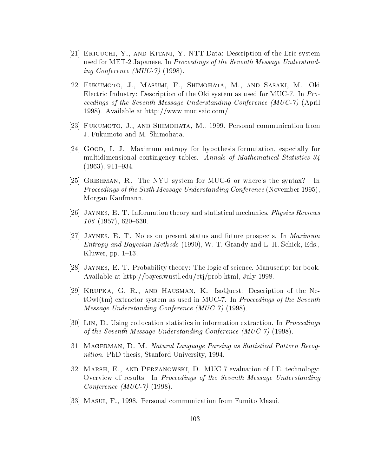- [21] Eriguchi, Y., and Kitani, Y. NTT Data: Description of the Erie system used for MET-2 Japanese. In Proceedings of the Seventh Message Understanding Conference (MUC-7) (1998).
- [22] Fukumoto, J., Masumi, F., Shimohata, M., and Sasaki, M. Oki Electric Industry: Description of the Oki system as used for MUC-7. In Proceedings of the Seventh Message Understanding Conference (MUC-7) (April 1998). Available at http://www.muc.saic.com/.
- [23] Fukumoto, J., and Shimohata, M., 1999. Personal communication from J. Fukumoto and M. Shimohata.
- [24] Good, I. J. Maximum entropy for hypothesis formulation, especially for multidimensional contingency tables. Annals of Mathematical Statistics 34  $(1963), 911-934.$
- [25] Grishman, R. The NYU system for MUC-6 or where's the syntax? In Proceedings of the Sixth Message Understanding Conference (November 1995), Morgan Kaufmann.
- [26] JAYNES, E. T. Information theory and statistical mechanics. *Physics Reviews*  $106$  (1957), 620–630.
- [27] JAYNES, E. T. Notes on present status and future prospects. In *Maximum* Entropy and Bayesian Methods (1990), W. T. Grandy and L. H. Schick, Eds., Kluwer, pp.  $1–13$ .
- [28] Jaynes, E. T. Probability theory: The logic of science. Manuscript for book. Available at http://bayes.wustl.edu/etj/prob.html, July 1998.
- [29] Krupka, G. R., and Hausman, K. IsoQuest: Description of the Ne $t$ Owl(tm) extractor system as used in MUC-7. In *Proceedings of the Seventh* Message Understanding Conference (MUC-7) (1998).
- [30] Lin, D. Using collocation statistics in information extraction. In Proceedings of the Seventh Message Understanding Conference (MUC-7) (1998).
- [31] MAGERMAN, D. M. Natural Language Parsing as Statistical Pattern Recognition. PhD thesis, Stanford University, 1994.
- [32] Marsh, E., and Perzanowski, D. MUC-7 evaluation of I.E. technology: Overview of results. In Proceedings of the Seventh Message Understanding Conference (MUC-7) (1998).
- [33] Masui, F., 1998. Personal communication from Fumito Masui.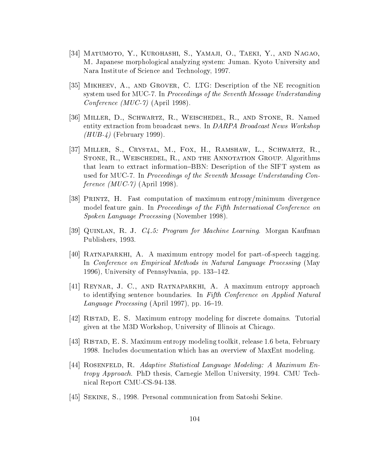- [34] Matumoto, Y., Kurohashi, S., Yamaji, O., Taeki, Y., and Nagao, M. Japanese morphological analyzing system: Juman. Kyoto University and Nara Institute of Science and Technology, 1997.
- [35] Mikheev, A., and Grover, C. LTG: Description of the NE recognition system used for MUC-7. In Proceedings of the Seventh Message Understanding Conference (MUC-7) (April 1998).
- [36] Miller, D., Schwartz, R., Weischedel, R., and Stone, R. Named entity extraction from broadcast news. In DARPA Broadcast News Workshop  $(HUB-4)$  (February 1999).
- [37] Miller, S., Crystal, M., Fox, H., Ramshaw, L., Schwartz, R., STONE, R., WEISCHEDEL, R., AND THE ANNOTATION GROUP. Algorithms that learn to extract information–BBN: Description of the SIFT system as used for MUC-7. In Proceedings of the Seventh Message Understanding Conference  $(MUC-7)$  (April 1998).
- [38] Printz, H. Fast computation of maximum entropy/minimum divergence model feature gain. In Proceedings of the Fifth International Conference on Spoken Language Processing (November 1998).
- [39] QUINLAN, R. J. *C4.5: Program for Machine Learning*. Morgan Kaufman Publishers, 1993.
- [40] RATNAPARKHI, A. A maximum entropy model for part-of-speech tagging. In Conference on Empirical Methods in Natural Language Processing (May 1996), University of Pennsylvania, pp.  $133-142$ .
- [41] Reynar, J. C., and Ratnaparkhi, A. A maximum entropy approach to identifying sentence boundaries. In Fifth Conference on Applied Natural Language Processing (April 1997), pp.  $16–19$ .
- [42] Ristad, E. S. Maximum entropy modeling for discrete domains. Tutorial given at the M3D Workshop, University of Illinois at Chicago.
- [43] Ristad, E. S. Maximum entropy modeling toolkit, release 1.6 beta, February 1998. Includes documentation which has an overview of MaxEnt modeling.
- [44] Rosenfeld, R. Adaptive Statistical Language Modeling: A Maximum Entropy Approach. PhD thesis, Carnegie Mellon University, 1994. CMU Technical Report CMU-CS-94-138.
- [45] Sekine, S., 1998. Personal communication from Satoshi Sekine.